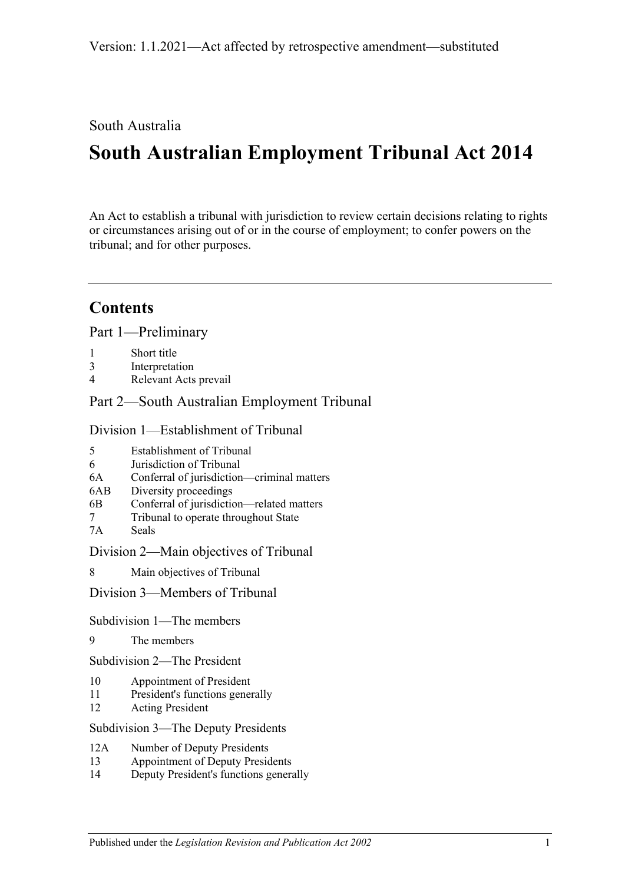South Australia

# **South Australian Employment Tribunal Act 2014**

An Act to establish a tribunal with jurisdiction to review certain decisions relating to rights or circumstances arising out of or in the course of employment; to confer powers on the tribunal; and for other purposes.

# **Contents**

Part [1—Preliminary](#page-4-0)

- 1 [Short title](#page-4-1)
- 3 [Interpretation](#page-4-2)
- 4 [Relevant Acts prevail](#page-5-0)

# Part [2—South Australian Employment Tribunal](#page-6-0)

Division [1—Establishment of Tribunal](#page-6-1)

- 6 [Jurisdiction of Tribunal](#page-6-3)
- 6A [Conferral of jurisdiction—criminal matters](#page-6-4)
- 6AB [Diversity proceedings](#page-7-0)
- 6B [Conferral of jurisdiction—related](#page-9-0) matters
- 7 [Tribunal to operate throughout State](#page-9-1)
- 7A [Seals](#page-9-2)

Division [2—Main objectives of Tribunal](#page-9-3)

8 [Main objectives of Tribunal](#page-9-4)

### Division [3—Members of Tribunal](#page-10-0)

Subdivision [1—The members](#page-10-1)

9 [The members](#page-10-2)

Subdivision [2—The President](#page-10-3)

- 10 [Appointment of President](#page-10-4)
- 11 [President's functions generally](#page-11-0)
- 12 [Acting President](#page-12-0)

Subdivision [3—The Deputy Presidents](#page-12-1)

- 12A [Number of Deputy Presidents](#page-12-2)
- 13 [Appointment of Deputy Presidents](#page-13-0)
- 14 [Deputy President's functions generally](#page-14-0)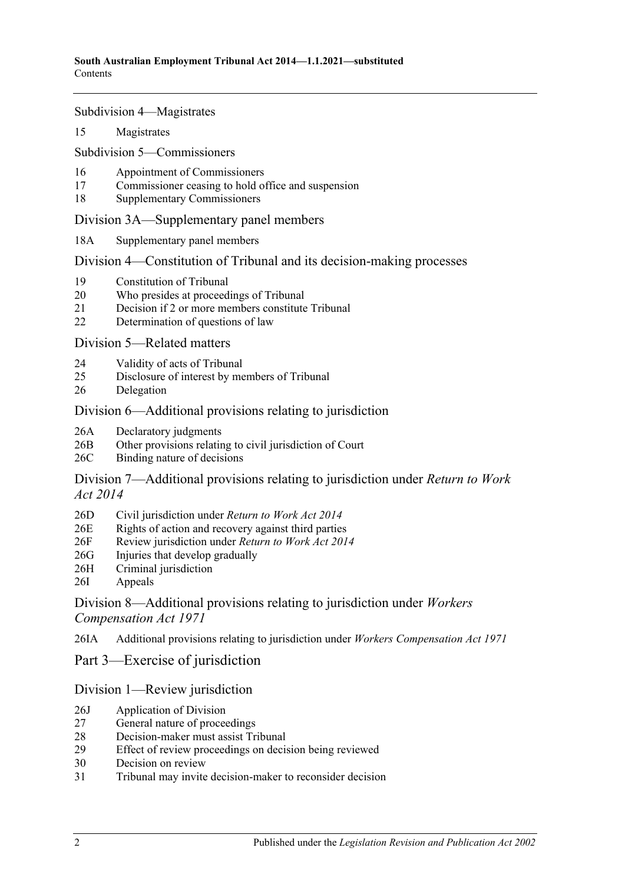Subdivision [4—Magistrates](#page-15-0)

15 [Magistrates](#page-15-1)

Subdivision [5—Commissioners](#page-15-2)

- 16 [Appointment of Commissioners](#page-15-3)
- 17 [Commissioner ceasing to hold office and suspension](#page-16-0)
- 18 [Supplementary Commissioners](#page-17-0)

[Division 3A—Supplementary panel members](#page-17-1)

18A [Supplementary panel members](#page-17-2)

Division [4—Constitution of Tribunal and its decision-making processes](#page-18-0)

- 19 [Constitution of Tribunal](#page-18-1)
- 20 [Who presides at proceedings of Tribunal](#page-19-0)
- 21 [Decision if 2 or more members constitute Tribunal](#page-20-0)
- 22 [Determination of questions of law](#page-20-1)

Division [5—Related matters](#page-20-2)

- 24 [Validity of acts of Tribunal](#page-20-3)
- 25 [Disclosure of interest by members of Tribunal](#page-20-4)
- 26 [Delegation](#page-21-0)

#### [Division 6—Additional provisions relating to jurisdiction](#page-21-1)

- 26A [Declaratory judgments](#page-21-2)
- 26B [Other provisions relating to civil jurisdiction of Court](#page-21-3)
- 26C [Binding nature of decisions](#page-21-4)

[Division 7—Additional provisions relating to jurisdiction under](#page-21-5) *Return to Work Act [2014](#page-21-5)*

- 26D [Civil jurisdiction under](#page-21-6) *Return to Work Act 2014*
- 26E [Rights of action and recovery against third parties](#page-22-0)
- 26F [Review jurisdiction under](#page-22-1) *Return to Work Act 2014*
- 26G [Injuries that develop gradually](#page-22-2)
- 26H [Criminal jurisdiction](#page-22-3)
- 26I [Appeals](#page-23-0)

[Division 8—Additional provisions relating to jurisdiction under](#page-23-1) *Workers [Compensation Act 1971](#page-23-1)*

26IA [Additional provisions relating to jurisdiction under](#page-23-2) *Workers Compensation Act 1971*

Part [3—Exercise of jurisdiction](#page-24-0)

#### [Division 1—Review jurisdiction](#page-24-1)

- 26J [Application of Division](#page-24-2)
- 27 [General nature of proceedings](#page-24-3)
- 28 [Decision-maker must assist Tribunal](#page-24-4)
- 29 [Effect of review proceedings on decision being reviewed](#page-25-0)
- 30 [Decision on review](#page-26-0)
- 31 [Tribunal may invite decision-maker to reconsider decision](#page-26-1)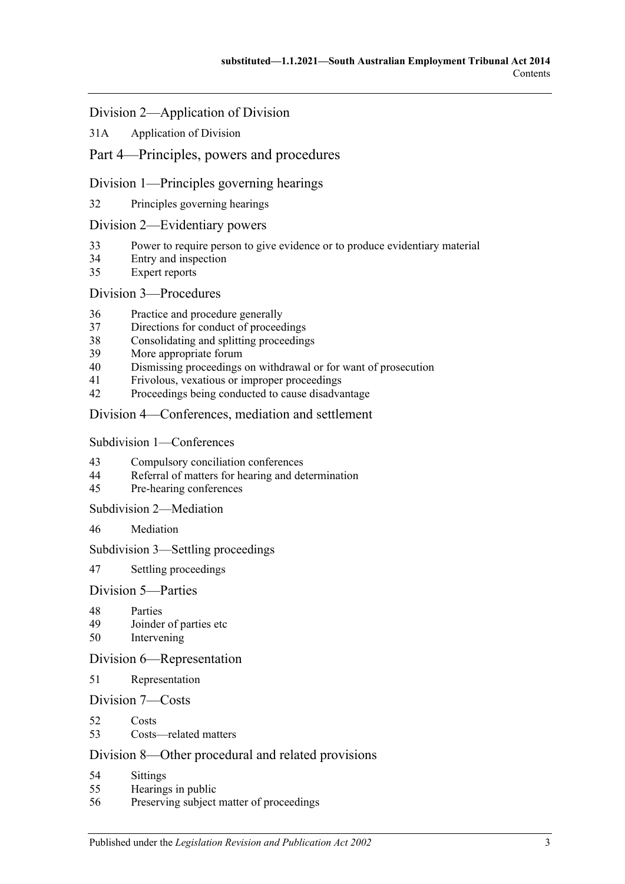### [Division 2—Application of Division](#page-27-0)

31A [Application of Division](#page-27-1)

# Part [4—Principles, powers and procedures](#page-27-2)

### Division [1—Principles governing hearings](#page-27-3)

32 [Principles governing hearings](#page-27-4)

#### Division [2—Evidentiary powers](#page-28-0)

- 33 [Power to require person to give evidence or to produce evidentiary material](#page-28-1)
- 34 [Entry and inspection](#page-29-0)
- 35 [Expert reports](#page-29-1)

#### Division [3—Procedures](#page-29-2)

- 36 [Practice and procedure generally](#page-29-3)
- 37 [Directions for conduct of proceedings](#page-30-0)
- 38 [Consolidating and splitting proceedings](#page-30-1)
- 39 [More appropriate forum](#page-31-0)
- 40 [Dismissing proceedings on withdrawal or for want of prosecution](#page-31-1)
- 41 [Frivolous, vexatious or improper proceedings](#page-31-2)
- 42 [Proceedings being conducted to cause disadvantage](#page-31-3)

#### Division [4—Conferences, mediation and settlement](#page-32-0)

#### Subdivision [1—Conferences](#page-32-1)

- 43 [Compulsory conciliation conferences](#page-32-2)
- 44 [Referral of matters for hearing and determination](#page-34-0)
- 45 [Pre-hearing conferences](#page-34-1)

#### Subdivision [2—Mediation](#page-34-2)

46 [Mediation](#page-34-3)

#### Subdivision [3—Settling proceedings](#page-35-0)

47 [Settling proceedings](#page-35-1)

#### Division [5—Parties](#page-36-0)

- 48 [Parties](#page-36-1)
- 49 [Joinder of parties etc](#page-36-2)
- 50 [Intervening](#page-37-0)

#### Division [6—Representation](#page-37-1)

51 [Representation](#page-37-2)

#### Division [7—Costs](#page-37-3)

- 52 [Costs](#page-37-4)
- 53 [Costs—related matters](#page-37-5)

#### Division [8—Other procedural and related provisions](#page-38-0)

- 54 [Sittings](#page-38-1)<br>55 Hearing
- [Hearings in public](#page-38-2)
- 56 [Preserving subject matter of proceedings](#page-39-0)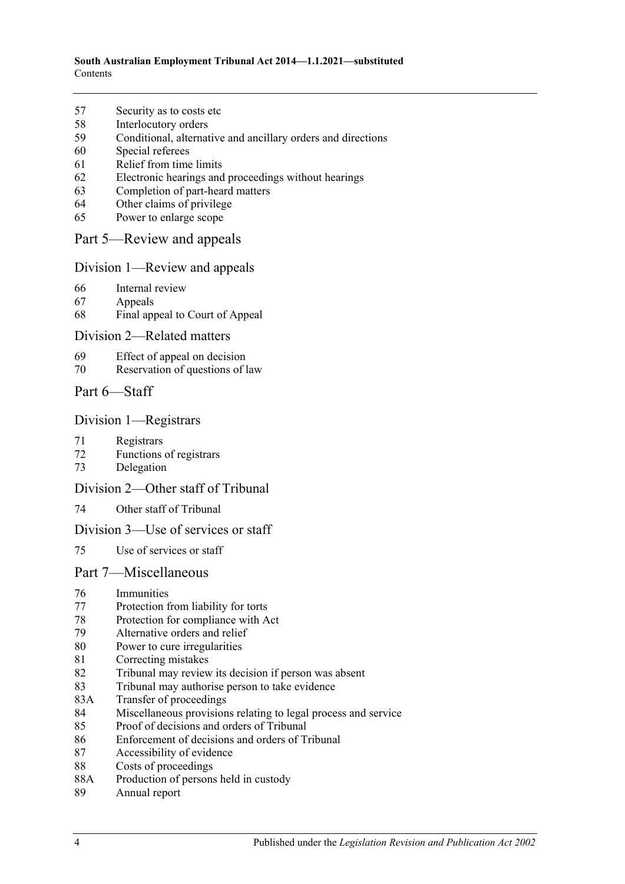#### **South Australian Employment Tribunal Act 2014—1.1.2021—substituted** Contents

- [Security as to costs etc](#page-39-1)
- [Interlocutory orders](#page-40-0)
- [Conditional, alternative and ancillary orders and directions](#page-40-1)
- [Special referees](#page-40-2)
- [Relief from time limits](#page-40-3)
- [Electronic hearings and proceedings without hearings](#page-40-4)
- [Completion of part-heard matters](#page-41-0)
- [Other claims of privilege](#page-41-1)
- [Power to enlarge scope](#page-41-2)
- Part [5—Review and appeals](#page-41-3)

#### Division [1—Review and appeals](#page-41-4)

- [Internal review](#page-41-5)
- [Appeals](#page-42-0)
- [Final appeal to Court of Appeal](#page-42-1)

#### Division [2—Related matters](#page-43-0)

- [Effect of appeal on decision](#page-43-1)
- [Reservation of questions of law](#page-43-2)
- Part [6—Staff](#page-43-3)

#### Division [1—Registrars](#page-43-4)

- [Registrars](#page-43-5)
- [Functions of registrars](#page-44-0)
- [Delegation](#page-44-1)

#### Division [2—Other staff of Tribunal](#page-45-0)

[Other staff of Tribunal](#page-45-1)

#### Division [3—Use of services or staff](#page-45-2)

[Use of services or staff](#page-45-3)

### Part [7—Miscellaneous](#page-45-4)

- [Immunities](#page-45-5)
- [Protection from liability for torts](#page-46-0)
- [Protection for compliance with Act](#page-46-1)
- [Alternative orders and relief](#page-46-2)
- [Power to cure irregularities](#page-46-3)
- [Correcting mistakes](#page-46-4)
- [Tribunal may review its decision if person was absent](#page-47-0)
- [Tribunal may authorise person to take evidence](#page-47-1)
- 83A [Transfer of proceedings](#page-48-0)
- [Miscellaneous provisions relating to legal process and service](#page-49-0)
- [Proof of decisions and orders of Tribunal](#page-49-1)
- [Enforcement of decisions and orders of Tribunal](#page-49-2)
- [Accessibility of evidence](#page-50-0)
- [Costs of proceedings](#page-50-1)
- 88A [Production of persons held in custody](#page-51-0)
- [Annual report](#page-51-1)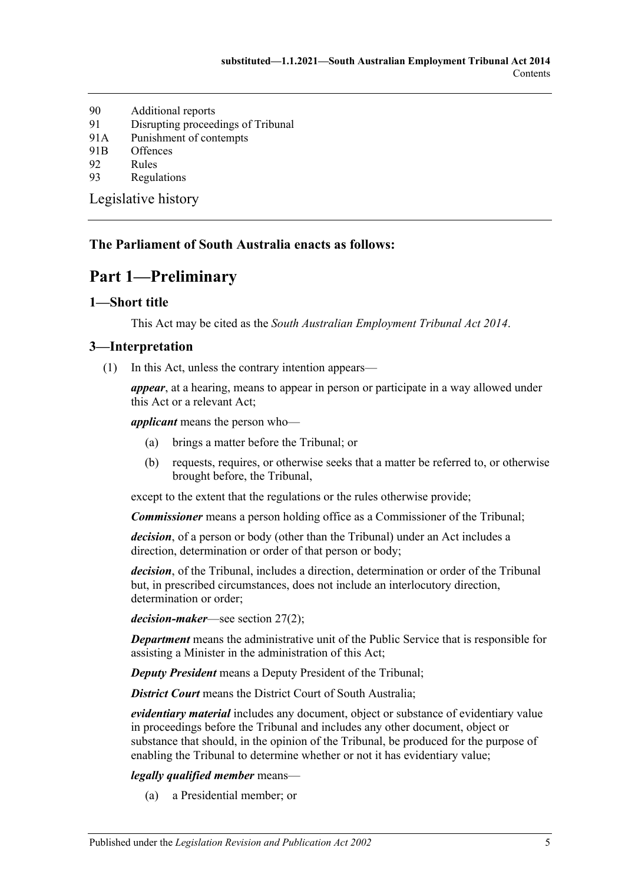- 90 [Additional reports](#page-51-2)
- 91 [Disrupting proceedings of Tribunal](#page-51-3)
- 91A [Punishment of contempts](#page-52-0)
- 91B [Offences](#page-52-1)
- 92 [Rules](#page-52-2)
- 93 [Regulations](#page-53-0)

[Legislative history](#page-55-0)

#### <span id="page-4-0"></span>**The Parliament of South Australia enacts as follows:**

# **Part 1—Preliminary**

### <span id="page-4-1"></span>**1—Short title**

This Act may be cited as the *South Australian Employment Tribunal Act 2014*.

#### <span id="page-4-2"></span>**3—Interpretation**

(1) In this Act, unless the contrary intention appears—

*appear*, at a hearing, means to appear in person or participate in a way allowed under this Act or a relevant Act;

*applicant* means the person who—

- (a) brings a matter before the Tribunal; or
- (b) requests, requires, or otherwise seeks that a matter be referred to, or otherwise brought before, the Tribunal,

except to the extent that the regulations or the rules otherwise provide;

*Commissioner* means a person holding office as a Commissioner of the Tribunal;

*decision*, of a person or body (other than the Tribunal) under an Act includes a direction, determination or order of that person or body;

*decision*, of the Tribunal, includes a direction, determination or order of the Tribunal but, in prescribed circumstances, does not include an interlocutory direction, determination or order;

*decision-maker*—see [section](#page-24-5) 27(2);

*Department* means the administrative unit of the Public Service that is responsible for assisting a Minister in the administration of this Act;

*Deputy President* means a Deputy President of the Tribunal;

*District Court* means the District Court of South Australia;

*evidentiary material* includes any document, object or substance of evidentiary value in proceedings before the Tribunal and includes any other document, object or substance that should, in the opinion of the Tribunal, be produced for the purpose of enabling the Tribunal to determine whether or not it has evidentiary value;

#### *legally qualified member* means—

(a) a Presidential member; or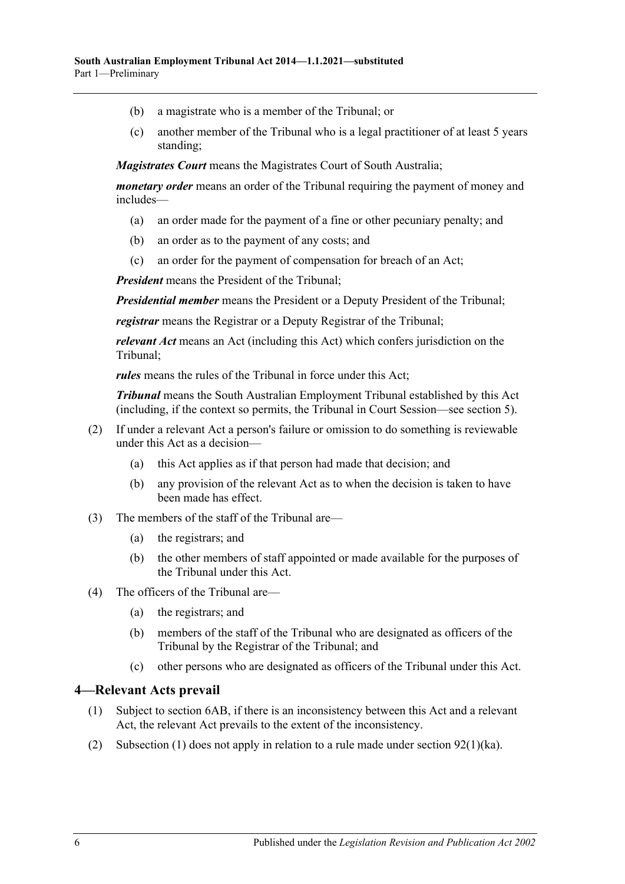- (b) a magistrate who is a member of the Tribunal; or
- (c) another member of the Tribunal who is a legal practitioner of at least 5 years standing;

*Magistrates Court* means the Magistrates Court of South Australia;

*monetary order* means an order of the Tribunal requiring the payment of money and includes—

- (a) an order made for the payment of a fine or other pecuniary penalty; and
- (b) an order as to the payment of any costs; and
- (c) an order for the payment of compensation for breach of an Act;

*President* means the President of the Tribunal;

*Presidential member* means the President or a Deputy President of the Tribunal;

*registrar* means the Registrar or a Deputy Registrar of the Tribunal;

*relevant Act* means an Act (including this Act) which confers jurisdiction on the Tribunal;

*rules* means the rules of the Tribunal in force under this Act;

*Tribunal* means the South Australian Employment Tribunal established by this Act (including, if the context so permits, the Tribunal in Court Session—see [section](#page-6-2) 5).

- (2) If under a relevant Act a person's failure or omission to do something is reviewable under this Act as a decision—
	- (a) this Act applies as if that person had made that decision; and
	- (b) any provision of the relevant Act as to when the decision is taken to have been made has effect.
- (3) The members of the staff of the Tribunal are—
	- (a) the registrars; and
	- (b) the other members of staff appointed or made available for the purposes of the Tribunal under this Act.
- (4) The officers of the Tribunal are—
	- (a) the registrars; and
	- (b) members of the staff of the Tribunal who are designated as officers of the Tribunal by the Registrar of the Tribunal; and
	- (c) other persons who are designated as officers of the Tribunal under this Act.

#### <span id="page-5-1"></span><span id="page-5-0"></span>**4—Relevant Acts prevail**

- (1) Subject to [section](#page-7-0) 6AB, if there is an inconsistency between this Act and a relevant Act, the relevant Act prevails to the extent of the inconsistency.
- (2) [Subsection](#page-5-1) (1) does not apply in relation to a rule made under section  $92(1)(ka)$ .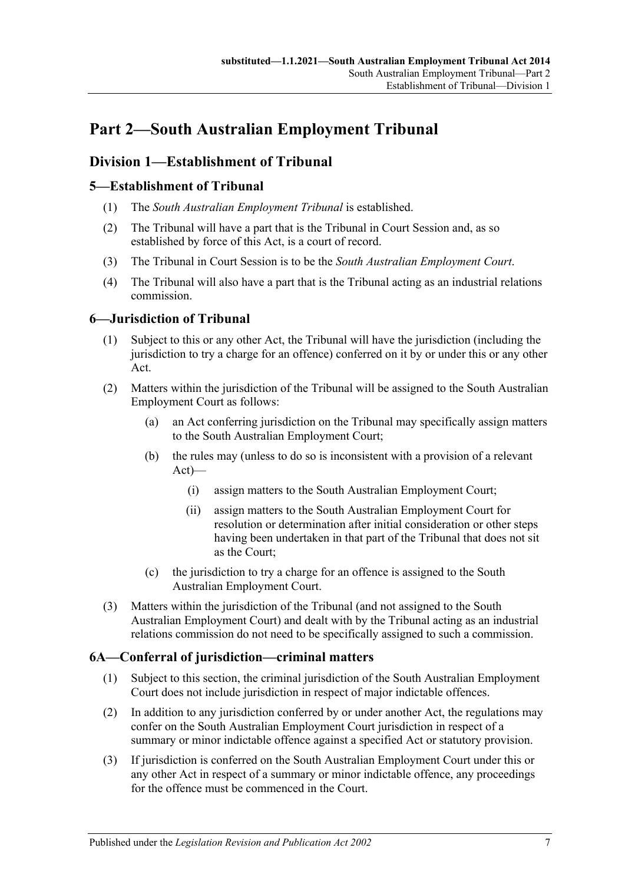# <span id="page-6-0"></span>**Part 2—South Australian Employment Tribunal**

# <span id="page-6-1"></span>**Division 1—Establishment of Tribunal**

# <span id="page-6-2"></span>**5—Establishment of Tribunal**

- (1) The *South Australian Employment Tribunal* is established.
- (2) The Tribunal will have a part that is the Tribunal in Court Session and, as so established by force of this Act, is a court of record.
- (3) The Tribunal in Court Session is to be the *South Australian Employment Court*.
- (4) The Tribunal will also have a part that is the Tribunal acting as an industrial relations commission.

# <span id="page-6-3"></span>**6—Jurisdiction of Tribunal**

- (1) Subject to this or any other Act, the Tribunal will have the jurisdiction (including the jurisdiction to try a charge for an offence) conferred on it by or under this or any other Act.
- (2) Matters within the jurisdiction of the Tribunal will be assigned to the South Australian Employment Court as follows:
	- (a) an Act conferring jurisdiction on the Tribunal may specifically assign matters to the South Australian Employment Court;
	- (b) the rules may (unless to do so is inconsistent with a provision of a relevant Act)—
		- (i) assign matters to the South Australian Employment Court;
		- (ii) assign matters to the South Australian Employment Court for resolution or determination after initial consideration or other steps having been undertaken in that part of the Tribunal that does not sit as the Court;
	- (c) the jurisdiction to try a charge for an offence is assigned to the South Australian Employment Court.
- (3) Matters within the jurisdiction of the Tribunal (and not assigned to the South Australian Employment Court) and dealt with by the Tribunal acting as an industrial relations commission do not need to be specifically assigned to such a commission.

# <span id="page-6-4"></span>**6A—Conferral of jurisdiction—criminal matters**

- (1) Subject to this section, the criminal jurisdiction of the South Australian Employment Court does not include jurisdiction in respect of major indictable offences.
- (2) In addition to any jurisdiction conferred by or under another Act, the regulations may confer on the South Australian Employment Court jurisdiction in respect of a summary or minor indictable offence against a specified Act or statutory provision.
- (3) If jurisdiction is conferred on the South Australian Employment Court under this or any other Act in respect of a summary or minor indictable offence, any proceedings for the offence must be commenced in the Court.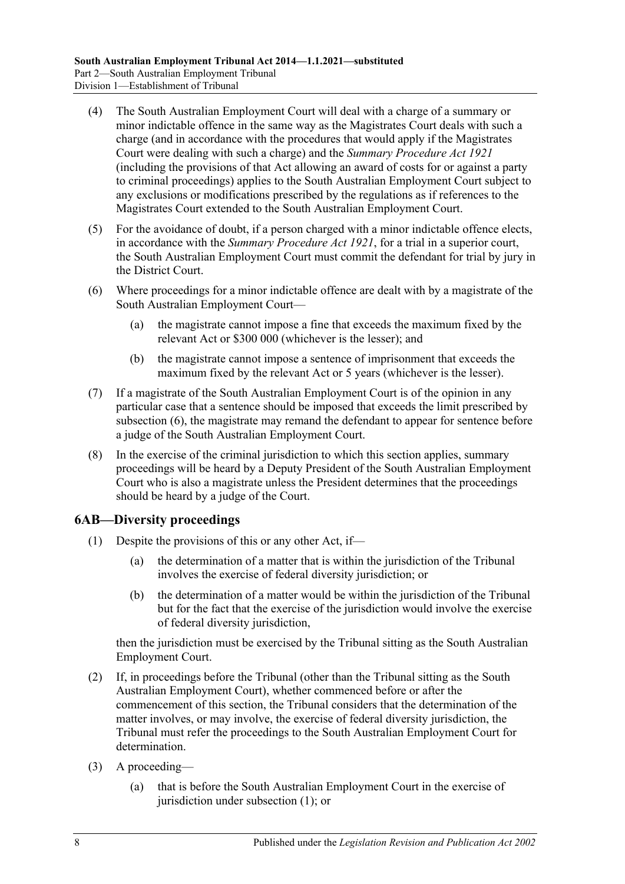- (4) The South Australian Employment Court will deal with a charge of a summary or minor indictable offence in the same way as the Magistrates Court deals with such a charge (and in accordance with the procedures that would apply if the Magistrates Court were dealing with such a charge) and the *[Summary Procedure Act](http://www.legislation.sa.gov.au/index.aspx?action=legref&type=act&legtitle=Summary%20Procedure%20Act%201921) 1921* (including the provisions of that Act allowing an award of costs for or against a party to criminal proceedings) applies to the South Australian Employment Court subject to any exclusions or modifications prescribed by the regulations as if references to the Magistrates Court extended to the South Australian Employment Court.
- (5) For the avoidance of doubt, if a person charged with a minor indictable offence elects, in accordance with the *[Summary Procedure Act](http://www.legislation.sa.gov.au/index.aspx?action=legref&type=act&legtitle=Summary%20Procedure%20Act%201921) 1921*, for a trial in a superior court, the South Australian Employment Court must commit the defendant for trial by jury in the District Court.
- <span id="page-7-1"></span>(6) Where proceedings for a minor indictable offence are dealt with by a magistrate of the South Australian Employment Court—
	- (a) the magistrate cannot impose a fine that exceeds the maximum fixed by the relevant Act or \$300 000 (whichever is the lesser); and
	- (b) the magistrate cannot impose a sentence of imprisonment that exceeds the maximum fixed by the relevant Act or 5 years (whichever is the lesser).
- (7) If a magistrate of the South Australian Employment Court is of the opinion in any particular case that a sentence should be imposed that exceeds the limit prescribed by [subsection](#page-7-1) (6), the magistrate may remand the defendant to appear for sentence before a judge of the South Australian Employment Court.
- (8) In the exercise of the criminal jurisdiction to which this section applies, summary proceedings will be heard by a Deputy President of the South Australian Employment Court who is also a magistrate unless the President determines that the proceedings should be heard by a judge of the Court.

# <span id="page-7-2"></span><span id="page-7-0"></span>**6AB—Diversity proceedings**

- (1) Despite the provisions of this or any other Act, if—
	- (a) the determination of a matter that is within the jurisdiction of the Tribunal involves the exercise of federal diversity jurisdiction; or
	- (b) the determination of a matter would be within the jurisdiction of the Tribunal but for the fact that the exercise of the jurisdiction would involve the exercise of federal diversity jurisdiction,

then the jurisdiction must be exercised by the Tribunal sitting as the South Australian Employment Court.

- <span id="page-7-3"></span>(2) If, in proceedings before the Tribunal (other than the Tribunal sitting as the South Australian Employment Court), whether commenced before or after the commencement of this section, the Tribunal considers that the determination of the matter involves, or may involve, the exercise of federal diversity jurisdiction, the Tribunal must refer the proceedings to the South Australian Employment Court for determination.
- (3) A proceeding—
	- (a) that is before the South Australian Employment Court in the exercise of jurisdiction under [subsection](#page-7-2) (1); or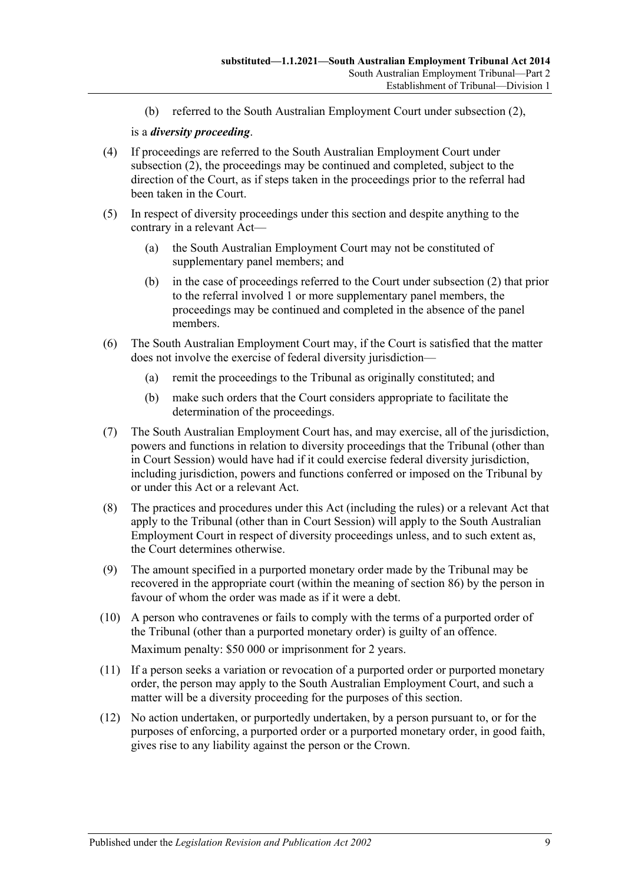(b) referred to the South Australian Employment Court under [subsection](#page-7-3) (2),

#### is a *diversity proceeding*.

- (4) If proceedings are referred to the South Australian Employment Court under [subsection](#page-7-3) (2), the proceedings may be continued and completed, subject to the direction of the Court, as if steps taken in the proceedings prior to the referral had been taken in the Court.
- (5) In respect of diversity proceedings under this section and despite anything to the contrary in a relevant Act—
	- (a) the South Australian Employment Court may not be constituted of supplementary panel members; and
	- (b) in the case of proceedings referred to the Court under [subsection](#page-7-3) (2) that prior to the referral involved 1 or more supplementary panel members, the proceedings may be continued and completed in the absence of the panel members.
- (6) The South Australian Employment Court may, if the Court is satisfied that the matter does not involve the exercise of federal diversity jurisdiction—
	- (a) remit the proceedings to the Tribunal as originally constituted; and
	- (b) make such orders that the Court considers appropriate to facilitate the determination of the proceedings.
- (7) The South Australian Employment Court has, and may exercise, all of the jurisdiction, powers and functions in relation to diversity proceedings that the Tribunal (other than in Court Session) would have had if it could exercise federal diversity jurisdiction, including jurisdiction, powers and functions conferred or imposed on the Tribunal by or under this Act or a relevant Act.
- (8) The practices and procedures under this Act (including the rules) or a relevant Act that apply to the Tribunal (other than in Court Session) will apply to the South Australian Employment Court in respect of diversity proceedings unless, and to such extent as, the Court determines otherwise.
- (9) The amount specified in a purported monetary order made by the Tribunal may be recovered in the appropriate court (within the meaning of [section](#page-49-2) 86) by the person in favour of whom the order was made as if it were a debt.
- (10) A person who contravenes or fails to comply with the terms of a purported order of the Tribunal (other than a purported monetary order) is guilty of an offence. Maximum penalty: \$50 000 or imprisonment for 2 years.
- (11) If a person seeks a variation or revocation of a purported order or purported monetary order, the person may apply to the South Australian Employment Court, and such a matter will be a diversity proceeding for the purposes of this section.
- (12) No action undertaken, or purportedly undertaken, by a person pursuant to, or for the purposes of enforcing, a purported order or a purported monetary order, in good faith, gives rise to any liability against the person or the Crown.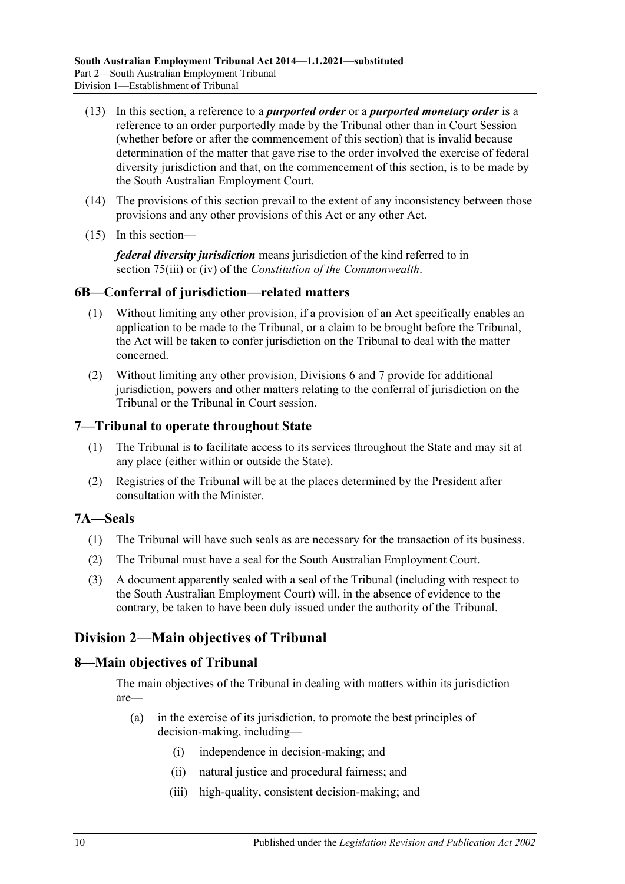- (13) In this section, a reference to a *purported order* or a *purported monetary order* is a reference to an order purportedly made by the Tribunal other than in Court Session (whether before or after the commencement of this section) that is invalid because determination of the matter that gave rise to the order involved the exercise of federal diversity jurisdiction and that, on the commencement of this section, is to be made by the South Australian Employment Court.
- (14) The provisions of this section prevail to the extent of any inconsistency between those provisions and any other provisions of this Act or any other Act.
- (15) In this section—

*federal diversity jurisdiction* means jurisdiction of the kind referred to in section 75(iii) or (iv) of the *Constitution of the Commonwealth*.

#### <span id="page-9-0"></span>**6B—Conferral of jurisdiction—related matters**

- (1) Without limiting any other provision, if a provision of an Act specifically enables an application to be made to the Tribunal, or a claim to be brought before the Tribunal, the Act will be taken to confer jurisdiction on the Tribunal to deal with the matter concerned.
- (2) Without limiting any other provision, [Divisions 6](#page-21-1) and [7](#page-21-5) provide for additional jurisdiction, powers and other matters relating to the conferral of jurisdiction on the Tribunal or the Tribunal in Court session.

#### <span id="page-9-1"></span>**7—Tribunal to operate throughout State**

- (1) The Tribunal is to facilitate access to its services throughout the State and may sit at any place (either within or outside the State).
- (2) Registries of the Tribunal will be at the places determined by the President after consultation with the Minister.

#### <span id="page-9-2"></span>**7A—Seals**

- (1) The Tribunal will have such seals as are necessary for the transaction of its business.
- (2) The Tribunal must have a seal for the South Australian Employment Court.
- (3) A document apparently sealed with a seal of the Tribunal (including with respect to the South Australian Employment Court) will, in the absence of evidence to the contrary, be taken to have been duly issued under the authority of the Tribunal.

# <span id="page-9-3"></span>**Division 2—Main objectives of Tribunal**

#### <span id="page-9-4"></span>**8—Main objectives of Tribunal**

The main objectives of the Tribunal in dealing with matters within its jurisdiction are—

- (a) in the exercise of its jurisdiction, to promote the best principles of decision-making, including—
	- (i) independence in decision-making; and
	- (ii) natural justice and procedural fairness; and
	- (iii) high-quality, consistent decision-making; and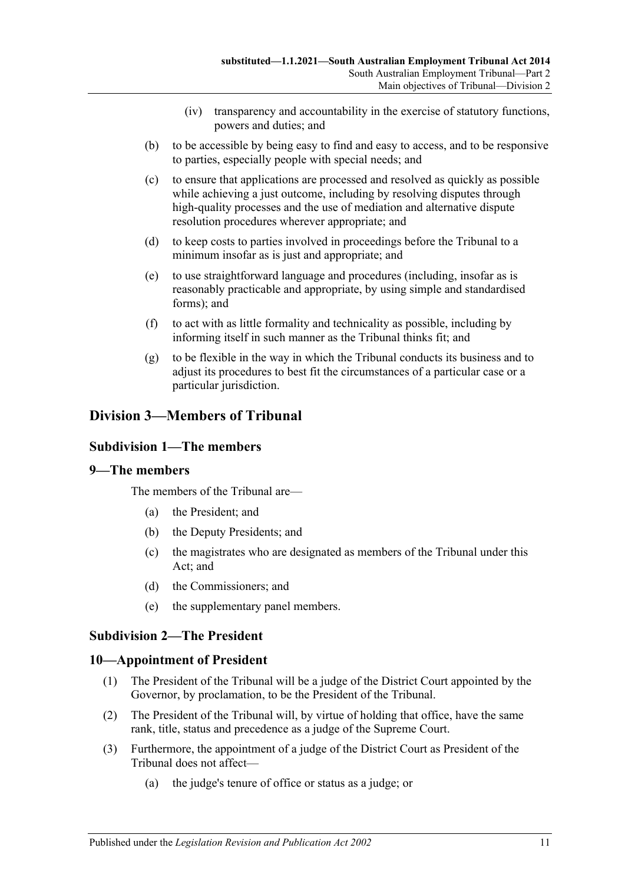- (iv) transparency and accountability in the exercise of statutory functions, powers and duties; and
- (b) to be accessible by being easy to find and easy to access, and to be responsive to parties, especially people with special needs; and
- (c) to ensure that applications are processed and resolved as quickly as possible while achieving a just outcome, including by resolving disputes through high-quality processes and the use of mediation and alternative dispute resolution procedures wherever appropriate; and
- (d) to keep costs to parties involved in proceedings before the Tribunal to a minimum insofar as is just and appropriate; and
- (e) to use straightforward language and procedures (including, insofar as is reasonably practicable and appropriate, by using simple and standardised forms); and
- (f) to act with as little formality and technicality as possible, including by informing itself in such manner as the Tribunal thinks fit; and
- (g) to be flexible in the way in which the Tribunal conducts its business and to adjust its procedures to best fit the circumstances of a particular case or a particular jurisdiction.

# <span id="page-10-1"></span><span id="page-10-0"></span>**Division 3—Members of Tribunal**

### **Subdivision 1—The members**

### <span id="page-10-2"></span>**9—The members**

The members of the Tribunal are—

- (a) the President; and
- (b) the Deputy Presidents; and
- (c) the magistrates who are designated as members of the Tribunal under this Act; and
- (d) the Commissioners; and
- (e) the supplementary panel members.

### <span id="page-10-3"></span>**Subdivision 2—The President**

#### <span id="page-10-4"></span>**10—Appointment of President**

- (1) The President of the Tribunal will be a judge of the District Court appointed by the Governor, by proclamation, to be the President of the Tribunal.
- (2) The President of the Tribunal will, by virtue of holding that office, have the same rank, title, status and precedence as a judge of the Supreme Court.
- <span id="page-10-5"></span>(3) Furthermore, the appointment of a judge of the District Court as President of the Tribunal does not affect—
	- (a) the judge's tenure of office or status as a judge; or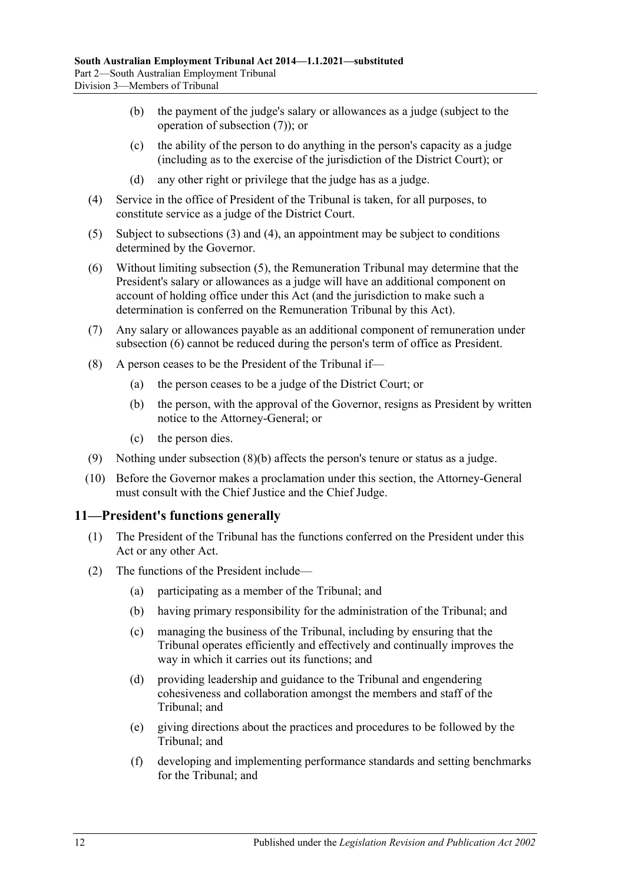- (b) the payment of the judge's salary or allowances as a judge (subject to the operation of [subsection](#page-11-1) (7)); or
- (c) the ability of the person to do anything in the person's capacity as a judge (including as to the exercise of the jurisdiction of the District Court); or
- (d) any other right or privilege that the judge has as a judge.
- <span id="page-11-2"></span>(4) Service in the office of President of the Tribunal is taken, for all purposes, to constitute service as a judge of the District Court.
- <span id="page-11-3"></span>(5) Subject to [subsections](#page-10-5) (3) and [\(4\),](#page-11-2) an appointment may be subject to conditions determined by the Governor.
- <span id="page-11-4"></span>(6) Without limiting [subsection](#page-11-3) (5), the Remuneration Tribunal may determine that the President's salary or allowances as a judge will have an additional component on account of holding office under this Act (and the jurisdiction to make such a determination is conferred on the Remuneration Tribunal by this Act).
- <span id="page-11-1"></span>(7) Any salary or allowances payable as an additional component of remuneration under [subsection](#page-11-4) (6) cannot be reduced during the person's term of office as President.
- <span id="page-11-5"></span>(8) A person ceases to be the President of the Tribunal if—
	- (a) the person ceases to be a judge of the District Court; or
	- (b) the person, with the approval of the Governor, resigns as President by written notice to the Attorney-General; or
	- (c) the person dies.
- (9) Nothing under [subsection](#page-11-5) (8)(b) affects the person's tenure or status as a judge.
- (10) Before the Governor makes a proclamation under this section, the Attorney-General must consult with the Chief Justice and the Chief Judge.

#### <span id="page-11-0"></span>**11—President's functions generally**

- (1) The President of the Tribunal has the functions conferred on the President under this Act or any other Act.
- (2) The functions of the President include—
	- (a) participating as a member of the Tribunal; and
	- (b) having primary responsibility for the administration of the Tribunal; and
	- (c) managing the business of the Tribunal, including by ensuring that the Tribunal operates efficiently and effectively and continually improves the way in which it carries out its functions; and
	- (d) providing leadership and guidance to the Tribunal and engendering cohesiveness and collaboration amongst the members and staff of the Tribunal; and
	- (e) giving directions about the practices and procedures to be followed by the Tribunal; and
	- (f) developing and implementing performance standards and setting benchmarks for the Tribunal; and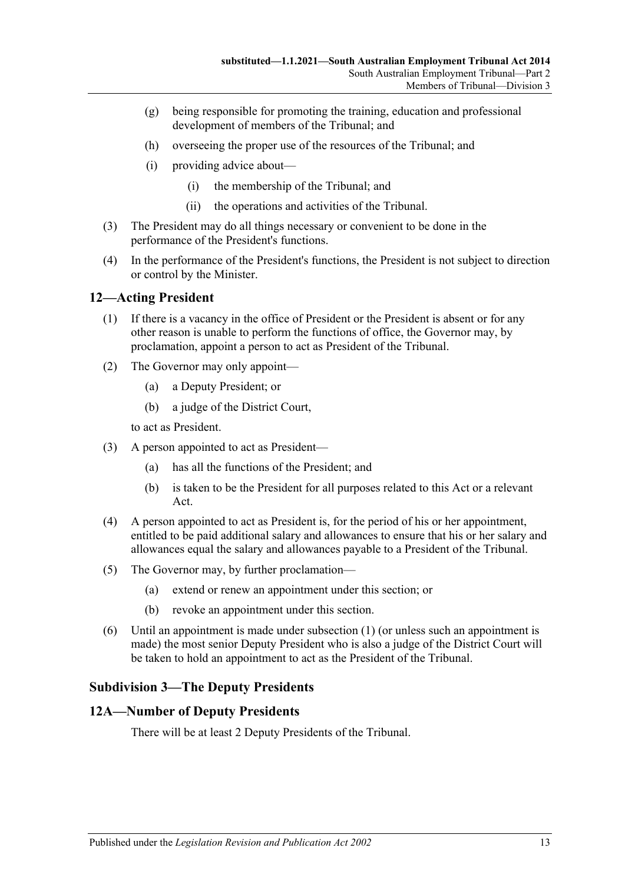- (g) being responsible for promoting the training, education and professional development of members of the Tribunal; and
- (h) overseeing the proper use of the resources of the Tribunal; and
- (i) providing advice about—
	- (i) the membership of the Tribunal; and
	- (ii) the operations and activities of the Tribunal.
- (3) The President may do all things necessary or convenient to be done in the performance of the President's functions.
- (4) In the performance of the President's functions, the President is not subject to direction or control by the Minister.

### <span id="page-12-3"></span><span id="page-12-0"></span>**12—Acting President**

- (1) If there is a vacancy in the office of President or the President is absent or for any other reason is unable to perform the functions of office, the Governor may, by proclamation, appoint a person to act as President of the Tribunal.
- (2) The Governor may only appoint—
	- (a) a Deputy President; or
	- (b) a judge of the District Court,

to act as President.

- (3) A person appointed to act as President—
	- (a) has all the functions of the President; and
	- (b) is taken to be the President for all purposes related to this Act or a relevant Act.
- (4) A person appointed to act as President is, for the period of his or her appointment, entitled to be paid additional salary and allowances to ensure that his or her salary and allowances equal the salary and allowances payable to a President of the Tribunal.
- (5) The Governor may, by further proclamation—
	- (a) extend or renew an appointment under this section; or
	- (b) revoke an appointment under this section.
- (6) Until an appointment is made under [subsection](#page-12-3) (1) (or unless such an appointment is made) the most senior Deputy President who is also a judge of the District Court will be taken to hold an appointment to act as the President of the Tribunal.

### <span id="page-12-1"></span>**Subdivision 3—The Deputy Presidents**

#### <span id="page-12-2"></span>**12A—Number of Deputy Presidents**

There will be at least 2 Deputy Presidents of the Tribunal.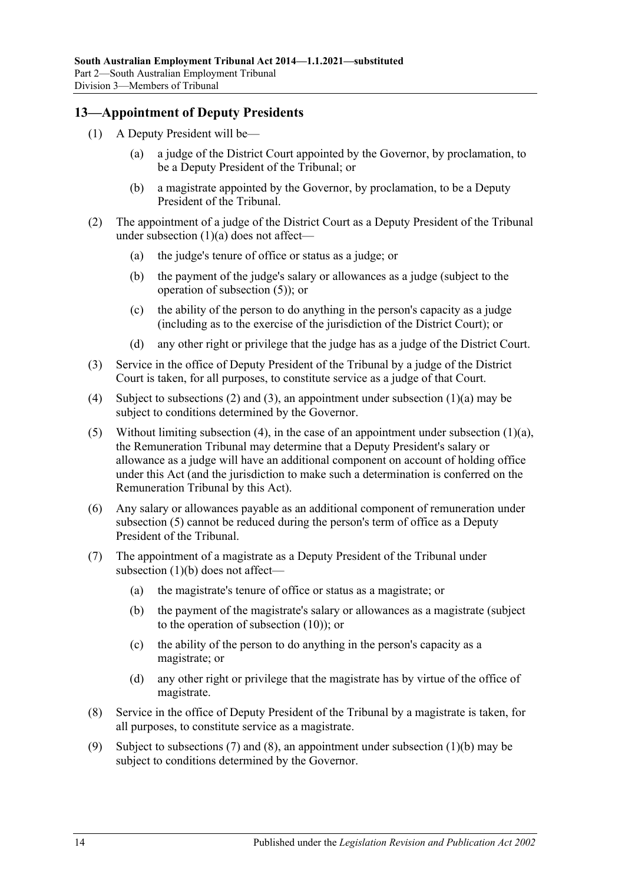### <span id="page-13-0"></span>**13—Appointment of Deputy Presidents**

- <span id="page-13-1"></span>(1) A Deputy President will be—
	- (a) a judge of the District Court appointed by the Governor, by proclamation, to be a Deputy President of the Tribunal; or
	- (b) a magistrate appointed by the Governor, by proclamation, to be a Deputy President of the Tribunal.
- <span id="page-13-6"></span><span id="page-13-3"></span>(2) The appointment of a judge of the District Court as a Deputy President of the Tribunal under [subsection](#page-13-1) (1)(a) does not affect—
	- (a) the judge's tenure of office or status as a judge; or
	- (b) the payment of the judge's salary or allowances as a judge (subject to the operation of [subsection](#page-13-2) (5)); or
	- (c) the ability of the person to do anything in the person's capacity as a judge (including as to the exercise of the jurisdiction of the District Court); or
	- (d) any other right or privilege that the judge has as a judge of the District Court.
- <span id="page-13-4"></span>(3) Service in the office of Deputy President of the Tribunal by a judge of the District Court is taken, for all purposes, to constitute service as a judge of that Court.
- <span id="page-13-5"></span>(4) Subject to [subsections \(2\)](#page-13-3) and [\(3\),](#page-13-4) an appointment under [subsection](#page-13-1) (1)(a) may be subject to conditions determined by the Governor.
- <span id="page-13-2"></span>(5) Without limiting [subsection](#page-13-1) (4), in the case of an appointment under subsection  $(1)(a)$ , the Remuneration Tribunal may determine that a Deputy President's salary or allowance as a judge will have an additional component on account of holding office under this Act (and the jurisdiction to make such a determination is conferred on the Remuneration Tribunal by this Act).
- (6) Any salary or allowances payable as an additional component of remuneration under [subsection](#page-13-2) (5) cannot be reduced during the person's term of office as a Deputy President of the Tribunal.
- <span id="page-13-7"></span>(7) The appointment of a magistrate as a Deputy President of the Tribunal under [subsection](#page-13-6) (1)(b) does not affect—
	- (a) the magistrate's tenure of office or status as a magistrate; or
	- (b) the payment of the magistrate's salary or allowances as a magistrate (subject to the operation of [subsection](#page-14-1) (10)); or
	- (c) the ability of the person to do anything in the person's capacity as a magistrate; or
	- (d) any other right or privilege that the magistrate has by virtue of the office of magistrate.
- <span id="page-13-8"></span>(8) Service in the office of Deputy President of the Tribunal by a magistrate is taken, for all purposes, to constitute service as a magistrate.
- <span id="page-13-9"></span>(9) Subject to [subsections](#page-13-7) (7) and [\(8\),](#page-13-8) an appointment under [subsection](#page-13-6) (1)(b) may be subject to conditions determined by the Governor.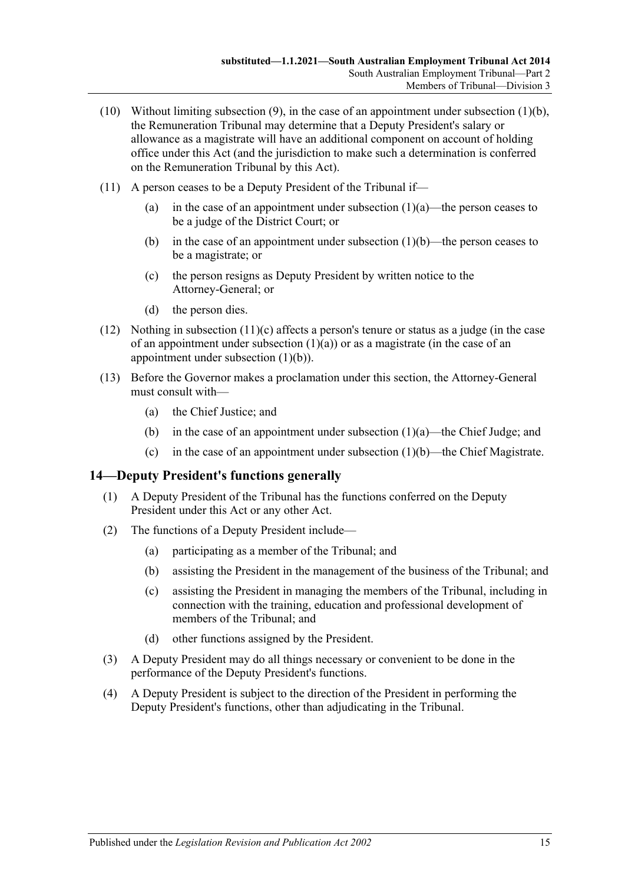- <span id="page-14-1"></span>(10) Without limiting [subsection](#page-13-9) (9), in the case of an appointment under [subsection](#page-13-6) (1)(b), the Remuneration Tribunal may determine that a Deputy President's salary or allowance as a magistrate will have an additional component on account of holding office under this Act (and the jurisdiction to make such a determination is conferred on the Remuneration Tribunal by this Act).
- (11) A person ceases to be a Deputy President of the Tribunal if
	- (a) in the case of an appointment under [subsection](#page-13-1)  $(1)(a)$ —the person ceases to be a judge of the District Court; or
	- (b) in the case of an appointment under [subsection](#page-13-6)  $(1)(b)$ —the person ceases to be a magistrate; or
	- (c) the person resigns as Deputy President by written notice to the Attorney-General; or
	- (d) the person dies.
- <span id="page-14-2"></span>(12) Nothing in [subsection](#page-14-2)  $(11)(c)$  affects a person's tenure or status as a judge (in the case of an appointment under [subsection](#page-13-1)  $(1)(a)$  or as a magistrate (in the case of an appointment under [subsection](#page-13-6) (1)(b)).
- (13) Before the Governor makes a proclamation under this section, the Attorney-General must consult with—
	- (a) the Chief Justice; and
	- (b) in the case of an appointment under [subsection](#page-13-1)  $(1)(a)$ —the Chief Judge; and
	- (c) in the case of an appointment under [subsection](#page-13-6)  $(1)(b)$ —the Chief Magistrate.

#### <span id="page-14-0"></span>**14—Deputy President's functions generally**

- (1) A Deputy President of the Tribunal has the functions conferred on the Deputy President under this Act or any other Act.
- (2) The functions of a Deputy President include—
	- (a) participating as a member of the Tribunal; and
	- (b) assisting the President in the management of the business of the Tribunal; and
	- (c) assisting the President in managing the members of the Tribunal, including in connection with the training, education and professional development of members of the Tribunal; and
	- (d) other functions assigned by the President.
- (3) A Deputy President may do all things necessary or convenient to be done in the performance of the Deputy President's functions.
- (4) A Deputy President is subject to the direction of the President in performing the Deputy President's functions, other than adjudicating in the Tribunal.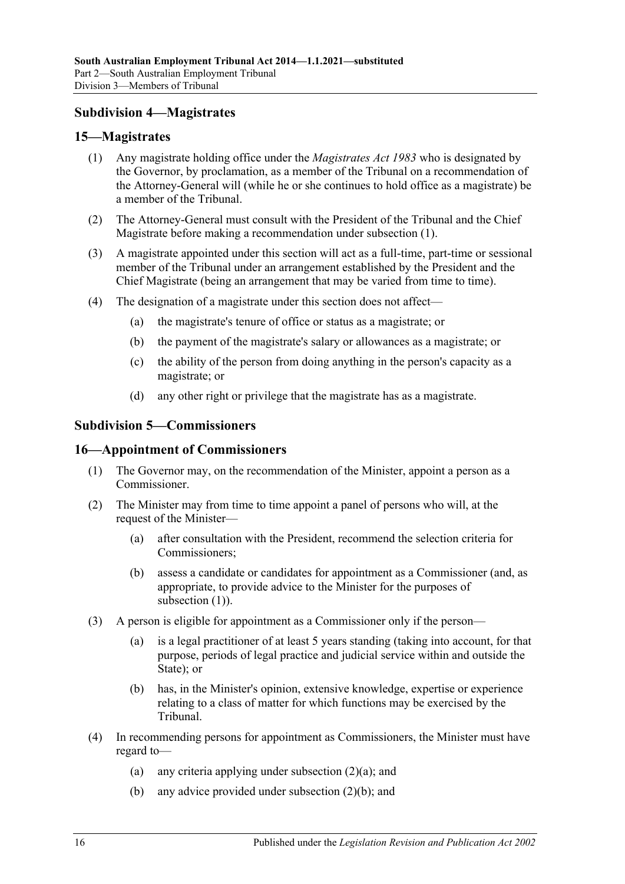## <span id="page-15-0"></span>**Subdivision 4—Magistrates**

#### <span id="page-15-4"></span><span id="page-15-1"></span>**15—Magistrates**

- (1) Any magistrate holding office under the *[Magistrates Act](http://www.legislation.sa.gov.au/index.aspx?action=legref&type=act&legtitle=Magistrates%20Act%201983) 1983* who is designated by the Governor, by proclamation, as a member of the Tribunal on a recommendation of the Attorney-General will (while he or she continues to hold office as a magistrate) be a member of the Tribunal.
- (2) The Attorney-General must consult with the President of the Tribunal and the Chief Magistrate before making a recommendation under [subsection](#page-15-4) (1).
- (3) A magistrate appointed under this section will act as a full-time, part-time or sessional member of the Tribunal under an arrangement established by the President and the Chief Magistrate (being an arrangement that may be varied from time to time).
- (4) The designation of a magistrate under this section does not affect—
	- (a) the magistrate's tenure of office or status as a magistrate; or
	- (b) the payment of the magistrate's salary or allowances as a magistrate; or
	- (c) the ability of the person from doing anything in the person's capacity as a magistrate; or
	- (d) any other right or privilege that the magistrate has as a magistrate.

### <span id="page-15-2"></span>**Subdivision 5—Commissioners**

#### <span id="page-15-5"></span><span id="page-15-3"></span>**16—Appointment of Commissioners**

- (1) The Governor may, on the recommendation of the Minister, appoint a person as a Commissioner.
- <span id="page-15-8"></span><span id="page-15-6"></span>(2) The Minister may from time to time appoint a panel of persons who will, at the request of the Minister—
	- (a) after consultation with the President, recommend the selection criteria for Commissioners;
	- (b) assess a candidate or candidates for appointment as a Commissioner (and, as appropriate, to provide advice to the Minister for the purposes of [subsection](#page-15-5) (1)).
- <span id="page-15-7"></span>(3) A person is eligible for appointment as a Commissioner only if the person—
	- (a) is a legal practitioner of at least 5 years standing (taking into account, for that purpose, periods of legal practice and judicial service within and outside the State); or
	- (b) has, in the Minister's opinion, extensive knowledge, expertise or experience relating to a class of matter for which functions may be exercised by the Tribunal.
- (4) In recommending persons for appointment as Commissioners, the Minister must have regard to—
	- (a) any criteria applying under [subsection](#page-15-6) (2)(a); and
	- (b) any advice provided under [subsection](#page-15-7) (2)(b); and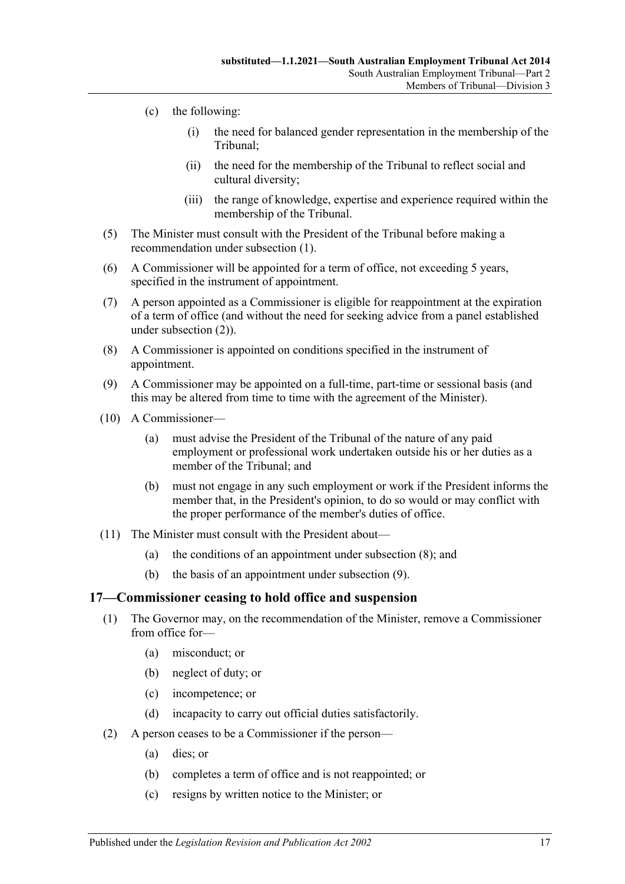- (c) the following:
	- (i) the need for balanced gender representation in the membership of the Tribunal;
	- (ii) the need for the membership of the Tribunal to reflect social and cultural diversity;
	- (iii) the range of knowledge, expertise and experience required within the membership of the Tribunal.
- (5) The Minister must consult with the President of the Tribunal before making a recommendation under [subsection](#page-15-5) (1).
- (6) A Commissioner will be appointed for a term of office, not exceeding 5 years, specified in the instrument of appointment.
- (7) A person appointed as a Commissioner is eligible for reappointment at the expiration of a term of office (and without the need for seeking advice from a panel established under [subsection](#page-15-8) (2)).
- <span id="page-16-1"></span>(8) A Commissioner is appointed on conditions specified in the instrument of appointment.
- <span id="page-16-2"></span>(9) A Commissioner may be appointed on a full-time, part-time or sessional basis (and this may be altered from time to time with the agreement of the Minister).
- (10) A Commissioner—
	- (a) must advise the President of the Tribunal of the nature of any paid employment or professional work undertaken outside his or her duties as a member of the Tribunal; and
	- (b) must not engage in any such employment or work if the President informs the member that, in the President's opinion, to do so would or may conflict with the proper performance of the member's duties of office.
- (11) The Minister must consult with the President about—
	- (a) the conditions of an appointment under [subsection](#page-16-1) (8); and
	- (b) the basis of an appointment under [subsection](#page-16-2) (9).

#### <span id="page-16-3"></span><span id="page-16-0"></span>**17—Commissioner ceasing to hold office and suspension**

- (1) The Governor may, on the recommendation of the Minister, remove a Commissioner from office for—
	- (a) misconduct; or
	- (b) neglect of duty; or
	- (c) incompetence; or
	- (d) incapacity to carry out official duties satisfactorily.
- (2) A person ceases to be a Commissioner if the person—
	- (a) dies; or
	- (b) completes a term of office and is not reappointed; or
	- (c) resigns by written notice to the Minister; or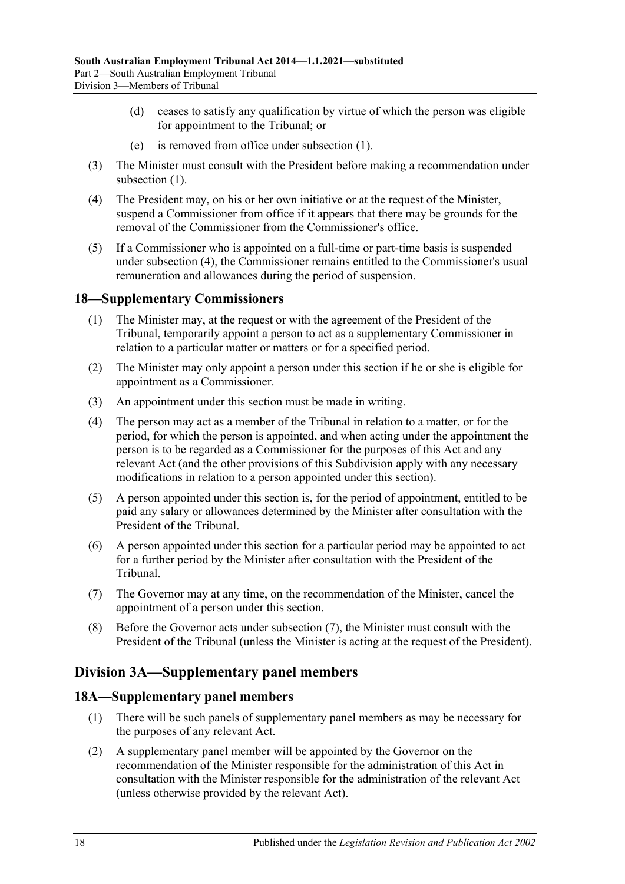- (d) ceases to satisfy any qualification by virtue of which the person was eligible for appointment to the Tribunal; or
- (e) is removed from office under [subsection](#page-16-3) (1).
- (3) The Minister must consult with the President before making a recommendation under [subsection](#page-16-3)  $(1)$ .
- <span id="page-17-3"></span>(4) The President may, on his or her own initiative or at the request of the Minister, suspend a Commissioner from office if it appears that there may be grounds for the removal of the Commissioner from the Commissioner's office.
- (5) If a Commissioner who is appointed on a full-time or part-time basis is suspended under [subsection](#page-17-3) (4), the Commissioner remains entitled to the Commissioner's usual remuneration and allowances during the period of suspension.

# <span id="page-17-0"></span>**18—Supplementary Commissioners**

- (1) The Minister may, at the request or with the agreement of the President of the Tribunal, temporarily appoint a person to act as a supplementary Commissioner in relation to a particular matter or matters or for a specified period.
- (2) The Minister may only appoint a person under this section if he or she is eligible for appointment as a Commissioner.
- (3) An appointment under this section must be made in writing.
- (4) The person may act as a member of the Tribunal in relation to a matter, or for the period, for which the person is appointed, and when acting under the appointment the person is to be regarded as a Commissioner for the purposes of this Act and any relevant Act (and the other provisions of this Subdivision apply with any necessary modifications in relation to a person appointed under this section).
- (5) A person appointed under this section is, for the period of appointment, entitled to be paid any salary or allowances determined by the Minister after consultation with the President of the Tribunal.
- (6) A person appointed under this section for a particular period may be appointed to act for a further period by the Minister after consultation with the President of the Tribunal.
- <span id="page-17-4"></span>(7) The Governor may at any time, on the recommendation of the Minister, cancel the appointment of a person under this section.
- (8) Before the Governor acts under [subsection](#page-17-4) (7), the Minister must consult with the President of the Tribunal (unless the Minister is acting at the request of the President).

# <span id="page-17-1"></span>**Division 3A—Supplementary panel members**

### <span id="page-17-2"></span>**18A—Supplementary panel members**

- (1) There will be such panels of supplementary panel members as may be necessary for the purposes of any relevant Act.
- (2) A supplementary panel member will be appointed by the Governor on the recommendation of the Minister responsible for the administration of this Act in consultation with the Minister responsible for the administration of the relevant Act (unless otherwise provided by the relevant Act).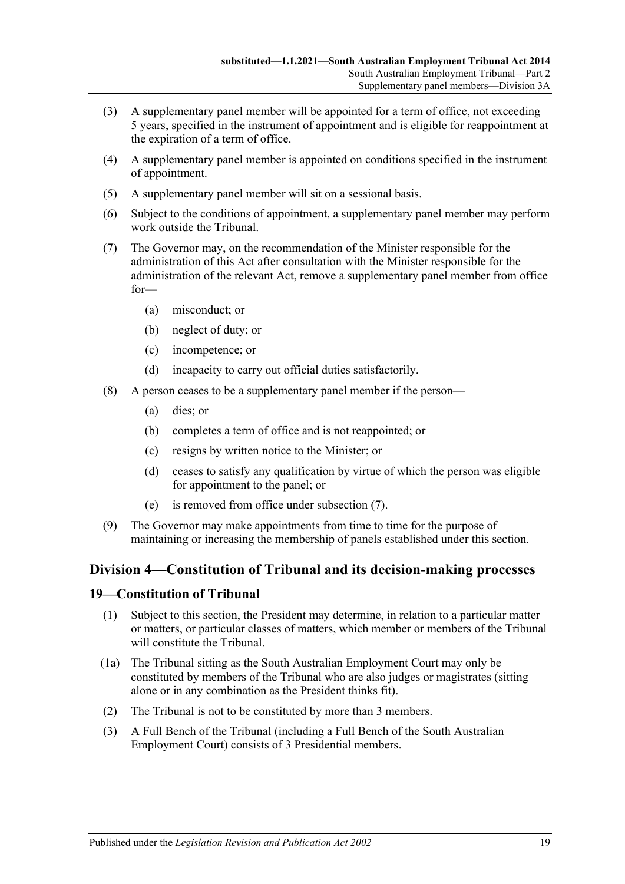- (3) A supplementary panel member will be appointed for a term of office, not exceeding 5 years, specified in the instrument of appointment and is eligible for reappointment at the expiration of a term of office.
- (4) A supplementary panel member is appointed on conditions specified in the instrument of appointment.
- (5) A supplementary panel member will sit on a sessional basis.
- (6) Subject to the conditions of appointment, a supplementary panel member may perform work outside the Tribunal.
- <span id="page-18-2"></span>(7) The Governor may, on the recommendation of the Minister responsible for the administration of this Act after consultation with the Minister responsible for the administration of the relevant Act, remove a supplementary panel member from office for—
	- (a) misconduct; or
	- (b) neglect of duty; or
	- (c) incompetence; or
	- (d) incapacity to carry out official duties satisfactorily.
- (8) A person ceases to be a supplementary panel member if the person—
	- (a) dies; or
	- (b) completes a term of office and is not reappointed; or
	- (c) resigns by written notice to the Minister; or
	- (d) ceases to satisfy any qualification by virtue of which the person was eligible for appointment to the panel; or
	- (e) is removed from office under [subsection](#page-18-2) (7).
- (9) The Governor may make appointments from time to time for the purpose of maintaining or increasing the membership of panels established under this section.

# <span id="page-18-0"></span>**Division 4—Constitution of Tribunal and its decision-making processes**

### <span id="page-18-1"></span>**19—Constitution of Tribunal**

- (1) Subject to this section, the President may determine, in relation to a particular matter or matters, or particular classes of matters, which member or members of the Tribunal will constitute the Tribunal.
- (1a) The Tribunal sitting as the South Australian Employment Court may only be constituted by members of the Tribunal who are also judges or magistrates (sitting alone or in any combination as the President thinks fit).
- (2) The Tribunal is not to be constituted by more than 3 members.
- (3) A Full Bench of the Tribunal (including a Full Bench of the South Australian Employment Court) consists of 3 Presidential members.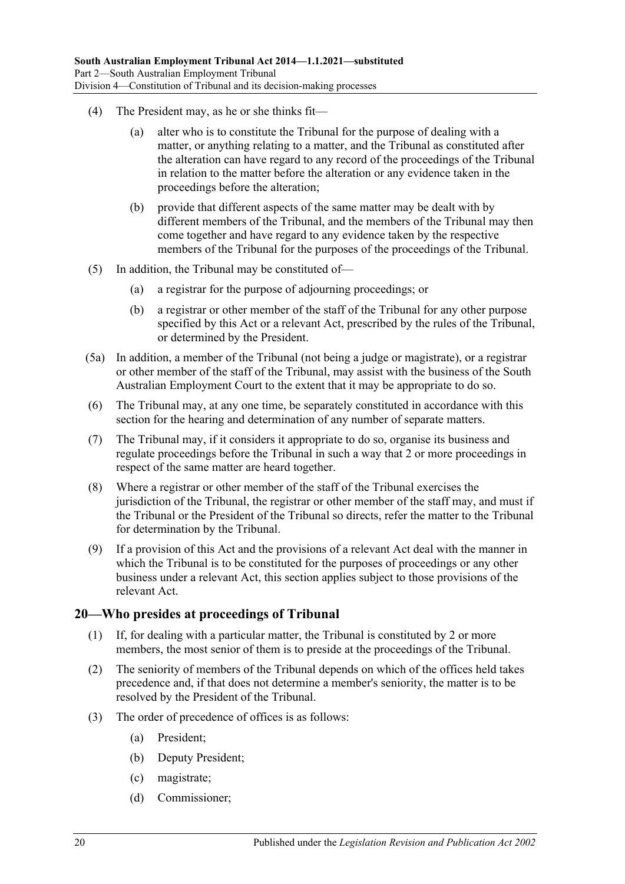- (4) The President may, as he or she thinks fit—
	- (a) alter who is to constitute the Tribunal for the purpose of dealing with a matter, or anything relating to a matter, and the Tribunal as constituted after the alteration can have regard to any record of the proceedings of the Tribunal in relation to the matter before the alteration or any evidence taken in the proceedings before the alteration;
	- (b) provide that different aspects of the same matter may be dealt with by different members of the Tribunal, and the members of the Tribunal may then come together and have regard to any evidence taken by the respective members of the Tribunal for the purposes of the proceedings of the Tribunal.
- (5) In addition, the Tribunal may be constituted of—
	- (a) a registrar for the purpose of adjourning proceedings; or
	- (b) a registrar or other member of the staff of the Tribunal for any other purpose specified by this Act or a relevant Act, prescribed by the rules of the Tribunal, or determined by the President.
- (5a) In addition, a member of the Tribunal (not being a judge or magistrate), or a registrar or other member of the staff of the Tribunal, may assist with the business of the South Australian Employment Court to the extent that it may be appropriate to do so.
- (6) The Tribunal may, at any one time, be separately constituted in accordance with this section for the hearing and determination of any number of separate matters.
- (7) The Tribunal may, if it considers it appropriate to do so, organise its business and regulate proceedings before the Tribunal in such a way that 2 or more proceedings in respect of the same matter are heard together.
- (8) Where a registrar or other member of the staff of the Tribunal exercises the jurisdiction of the Tribunal, the registrar or other member of the staff may, and must if the Tribunal or the President of the Tribunal so directs, refer the matter to the Tribunal for determination by the Tribunal.
- (9) If a provision of this Act and the provisions of a relevant Act deal with the manner in which the Tribunal is to be constituted for the purposes of proceedings or any other business under a relevant Act, this section applies subject to those provisions of the relevant Act.

#### <span id="page-19-0"></span>**20—Who presides at proceedings of Tribunal**

- (1) If, for dealing with a particular matter, the Tribunal is constituted by 2 or more members, the most senior of them is to preside at the proceedings of the Tribunal.
- (2) The seniority of members of the Tribunal depends on which of the offices held takes precedence and, if that does not determine a member's seniority, the matter is to be resolved by the President of the Tribunal.
- (3) The order of precedence of offices is as follows:
	- (a) President;
	- (b) Deputy President;
	- (c) magistrate;
	- (d) Commissioner;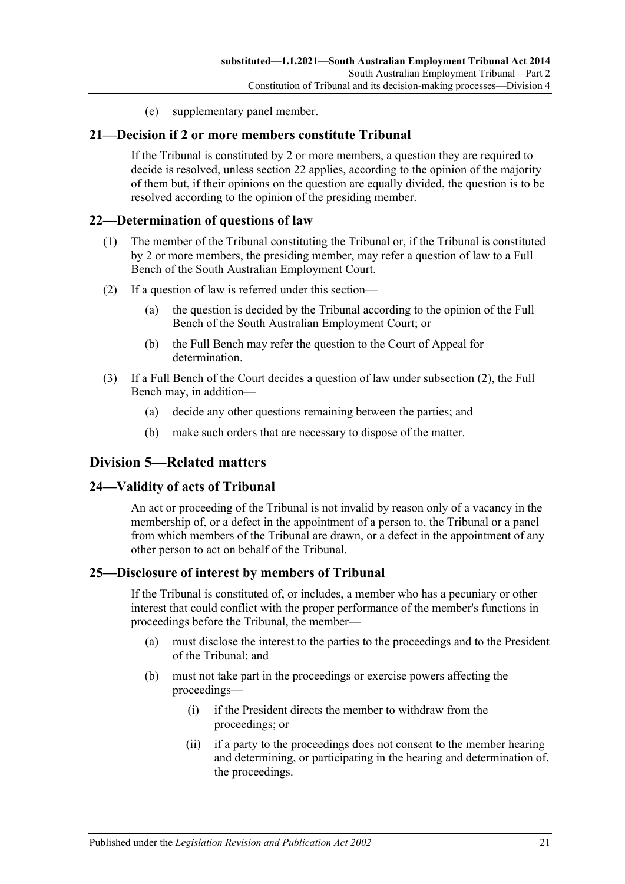(e) supplementary panel member.

#### <span id="page-20-0"></span>**21—Decision if 2 or more members constitute Tribunal**

If the Tribunal is constituted by 2 or more members, a question they are required to decide is resolved, unless [section](#page-20-1) 22 applies, according to the opinion of the majority of them but, if their opinions on the question are equally divided, the question is to be resolved according to the opinion of the presiding member.

#### <span id="page-20-1"></span>**22—Determination of questions of law**

- (1) The member of the Tribunal constituting the Tribunal or, if the Tribunal is constituted by 2 or more members, the presiding member, may refer a question of law to a Full Bench of the South Australian Employment Court.
- <span id="page-20-5"></span>(2) If a question of law is referred under this section—
	- (a) the question is decided by the Tribunal according to the opinion of the Full Bench of the South Australian Employment Court; or
	- (b) the Full Bench may refer the question to the Court of Appeal for determination.
- (3) If a Full Bench of the Court decides a question of law under [subsection](#page-20-5) (2), the Full Bench may, in addition—
	- (a) decide any other questions remaining between the parties; and
	- (b) make such orders that are necessary to dispose of the matter.

# <span id="page-20-2"></span>**Division 5—Related matters**

#### <span id="page-20-3"></span>**24—Validity of acts of Tribunal**

An act or proceeding of the Tribunal is not invalid by reason only of a vacancy in the membership of, or a defect in the appointment of a person to, the Tribunal or a panel from which members of the Tribunal are drawn, or a defect in the appointment of any other person to act on behalf of the Tribunal.

#### <span id="page-20-4"></span>**25—Disclosure of interest by members of Tribunal**

If the Tribunal is constituted of, or includes, a member who has a pecuniary or other interest that could conflict with the proper performance of the member's functions in proceedings before the Tribunal, the member—

- (a) must disclose the interest to the parties to the proceedings and to the President of the Tribunal; and
- (b) must not take part in the proceedings or exercise powers affecting the proceedings—
	- (i) if the President directs the member to withdraw from the proceedings; or
	- (ii) if a party to the proceedings does not consent to the member hearing and determining, or participating in the hearing and determination of, the proceedings.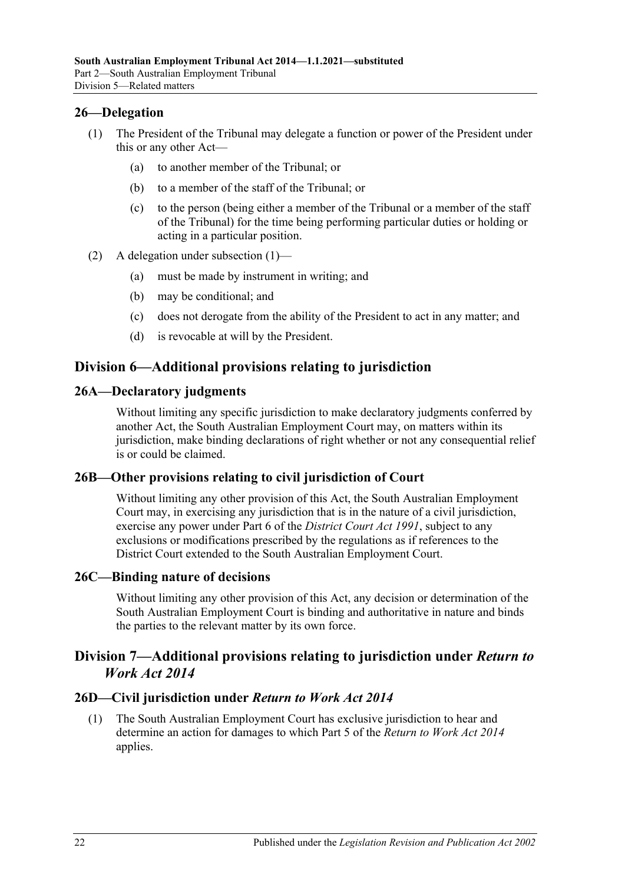## <span id="page-21-7"></span><span id="page-21-0"></span>**26—Delegation**

- (1) The President of the Tribunal may delegate a function or power of the President under this or any other Act—
	- (a) to another member of the Tribunal; or
	- (b) to a member of the staff of the Tribunal; or
	- (c) to the person (being either a member of the Tribunal or a member of the staff of the Tribunal) for the time being performing particular duties or holding or acting in a particular position.
- (2) A delegation under [subsection](#page-21-7) (1)—
	- (a) must be made by instrument in writing; and
	- (b) may be conditional; and
	- (c) does not derogate from the ability of the President to act in any matter; and
	- (d) is revocable at will by the President.

# <span id="page-21-1"></span>**Division 6—Additional provisions relating to jurisdiction**

#### <span id="page-21-2"></span>**26A—Declaratory judgments**

Without limiting any specific jurisdiction to make declaratory judgments conferred by another Act, the South Australian Employment Court may, on matters within its jurisdiction, make binding declarations of right whether or not any consequential relief is or could be claimed.

#### <span id="page-21-3"></span>**26B—Other provisions relating to civil jurisdiction of Court**

Without limiting any other provision of this Act, the South Australian Employment Court may, in exercising any jurisdiction that is in the nature of a civil jurisdiction, exercise any power under Part 6 of the *[District Court Act](http://www.legislation.sa.gov.au/index.aspx?action=legref&type=act&legtitle=District%20Court%20Act%201991) 1991*, subject to any exclusions or modifications prescribed by the regulations as if references to the District Court extended to the South Australian Employment Court.

#### <span id="page-21-4"></span>**26C—Binding nature of decisions**

Without limiting any other provision of this Act, any decision or determination of the South Australian Employment Court is binding and authoritative in nature and binds the parties to the relevant matter by its own force.

# <span id="page-21-5"></span>**Division 7—Additional provisions relating to jurisdiction under** *Return to Work Act 2014*

# <span id="page-21-8"></span><span id="page-21-6"></span>**26D—Civil jurisdiction under** *Return to Work Act 2014*

(1) The South Australian Employment Court has exclusive jurisdiction to hear and determine an action for damages to which Part 5 of the *[Return to Work Act](http://www.legislation.sa.gov.au/index.aspx?action=legref&type=act&legtitle=Return%20to%20Work%20Act%202014) 2014* applies.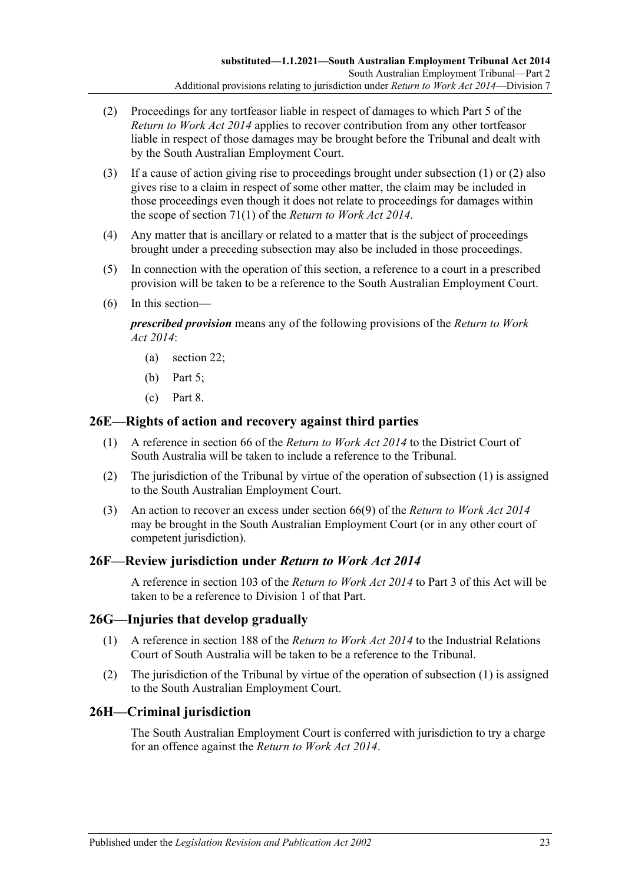- <span id="page-22-4"></span>(2) Proceedings for any tortfeasor liable in respect of damages to which Part 5 of the *[Return to Work Act](http://www.legislation.sa.gov.au/index.aspx?action=legref&type=act&legtitle=Return%20to%20Work%20Act%202014) 2014* applies to recover contribution from any other tortfeasor liable in respect of those damages may be brought before the Tribunal and dealt with by the South Australian Employment Court.
- (3) If a cause of action giving rise to proceedings brought under [subsection](#page-21-8) (1) or [\(2\)](#page-22-4) also gives rise to a claim in respect of some other matter, the claim may be included in those proceedings even though it does not relate to proceedings for damages within the scope of section 71(1) of the *[Return to Work Act](http://www.legislation.sa.gov.au/index.aspx?action=legref&type=act&legtitle=Return%20to%20Work%20Act%202014) 2014*.
- (4) Any matter that is ancillary or related to a matter that is the subject of proceedings brought under a preceding subsection may also be included in those proceedings.
- (5) In connection with the operation of this section, a reference to a court in a prescribed provision will be taken to be a reference to the South Australian Employment Court.
- (6) In this section—

*prescribed provision* means any of the following provisions of the *[Return to Work](http://www.legislation.sa.gov.au/index.aspx?action=legref&type=act&legtitle=Return%20to%20Work%20Act%202014)  Act [2014](http://www.legislation.sa.gov.au/index.aspx?action=legref&type=act&legtitle=Return%20to%20Work%20Act%202014)*:

- (a) section 22;
- (b) Part 5;
- (c) Part 8.

#### <span id="page-22-5"></span><span id="page-22-0"></span>**26E—Rights of action and recovery against third parties**

- (1) A reference in section 66 of the *[Return to Work Act](http://www.legislation.sa.gov.au/index.aspx?action=legref&type=act&legtitle=Return%20to%20Work%20Act%202014) 2014* to the District Court of South Australia will be taken to include a reference to the Tribunal.
- (2) The jurisdiction of the Tribunal by virtue of the operation of [subsection](#page-22-5) (1) is assigned to the South Australian Employment Court.
- (3) An action to recover an excess under section 66(9) of the *[Return to Work Act](http://www.legislation.sa.gov.au/index.aspx?action=legref&type=act&legtitle=Return%20to%20Work%20Act%202014) 2014* may be brought in the South Australian Employment Court (or in any other court of competent jurisdiction).

### <span id="page-22-1"></span>**26F—Review jurisdiction under** *Return to Work Act 2014*

A reference in section 103 of the *[Return to Work Act](http://www.legislation.sa.gov.au/index.aspx?action=legref&type=act&legtitle=Return%20to%20Work%20Act%202014) 2014* to [Part](#page-24-0) 3 of this Act will be taken to be a reference to [Division 1](#page-24-1) of that Part.

### <span id="page-22-6"></span><span id="page-22-2"></span>**26G—Injuries that develop gradually**

- (1) A reference in section 188 of the *[Return to Work Act](http://www.legislation.sa.gov.au/index.aspx?action=legref&type=act&legtitle=Return%20to%20Work%20Act%202014) 2014* to the Industrial Relations Court of South Australia will be taken to be a reference to the Tribunal.
- (2) The jurisdiction of the Tribunal by virtue of the operation of [subsection](#page-22-6) (1) is assigned to the South Australian Employment Court.

### <span id="page-22-3"></span>**26H—Criminal jurisdiction**

The South Australian Employment Court is conferred with jurisdiction to try a charge for an offence against the *[Return to Work Act](http://www.legislation.sa.gov.au/index.aspx?action=legref&type=act&legtitle=Return%20to%20Work%20Act%202014) 2014*.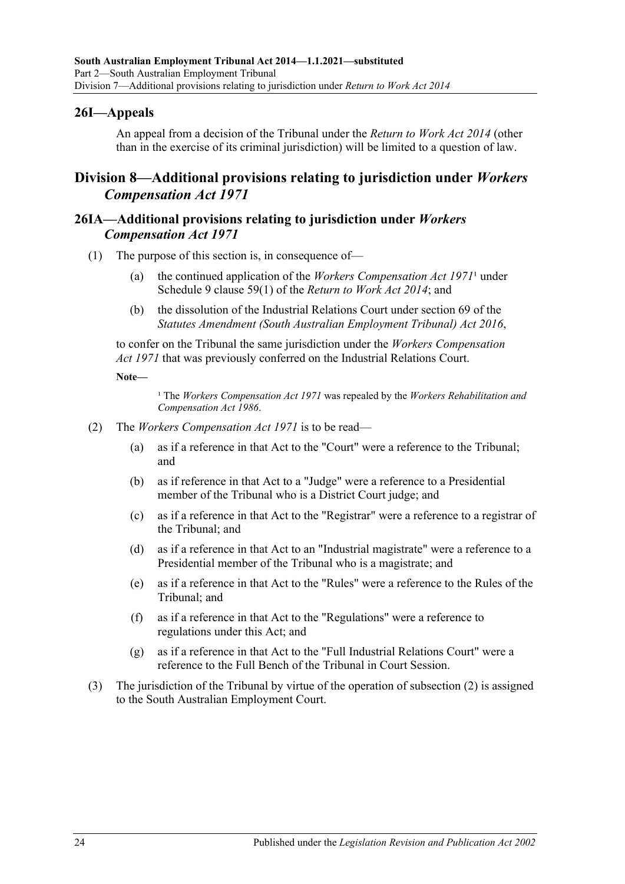## <span id="page-23-0"></span>**26I—Appeals**

An appeal from a decision of the Tribunal under the *[Return to Work Act](http://www.legislation.sa.gov.au/index.aspx?action=legref&type=act&legtitle=Return%20to%20Work%20Act%202014) 2014* (other than in the exercise of its criminal jurisdiction) will be limited to a question of law.

# <span id="page-23-1"></span>**Division 8—Additional provisions relating to jurisdiction under** *Workers Compensation Act 1971*

### <span id="page-23-2"></span>**26IA—Additional provisions relating to jurisdiction under** *Workers Compensation Act 1971*

- (1) The purpose of this section is, in consequence of—
	- (a) the continued application of the *[Workers Compensation Act](http://www.legislation.sa.gov.au/index.aspx?action=legref&type=act&legtitle=Workers%20Compensation%20Act%201971)*  $1971<sup>1</sup>$  under Schedule 9 clause 59(1) of the *[Return to Work Act](http://www.legislation.sa.gov.au/index.aspx?action=legref&type=act&legtitle=Return%20to%20Work%20Act%202014) 2014*; and
	- (b) the dissolution of the Industrial Relations Court under section 69 of the *[Statutes Amendment \(South Australian Employment Tribunal\) Act](http://www.legislation.sa.gov.au/index.aspx?action=legref&type=act&legtitle=Statutes%20Amendment%20(South%20Australian%20Employment%20Tribunal)%20Act%202016) 2016*,

to confer on the Tribunal the same jurisdiction under the *[Workers Compensation](http://www.legislation.sa.gov.au/index.aspx?action=legref&type=act&legtitle=Workers%20Compensation%20Act%201971)  Act [1971](http://www.legislation.sa.gov.au/index.aspx?action=legref&type=act&legtitle=Workers%20Compensation%20Act%201971)* that was previously conferred on the Industrial Relations Court.

#### **Note—**

<sup>1</sup> The *[Workers Compensation Act](http://www.legislation.sa.gov.au/index.aspx?action=legref&type=act&legtitle=Workers%20Compensation%20Act%201971) 1971* was repealed by the *Workers Rehabilitation and [Compensation Act](http://www.legislation.sa.gov.au/index.aspx?action=legref&type=act&legtitle=Workers%20Rehabilitation%20and%20Compensation%20Act%201986) 1986*.

- <span id="page-23-3"></span>(2) The *[Workers Compensation Act](http://www.legislation.sa.gov.au/index.aspx?action=legref&type=act&legtitle=Workers%20Compensation%20Act%201971) 1971* is to be read—
	- (a) as if a reference in that Act to the "Court" were a reference to the Tribunal; and
	- (b) as if reference in that Act to a "Judge" were a reference to a Presidential member of the Tribunal who is a District Court judge; and
	- (c) as if a reference in that Act to the "Registrar" were a reference to a registrar of the Tribunal; and
	- (d) as if a reference in that Act to an "Industrial magistrate" were a reference to a Presidential member of the Tribunal who is a magistrate; and
	- (e) as if a reference in that Act to the "Rules" were a reference to the Rules of the Tribunal; and
	- (f) as if a reference in that Act to the "Regulations" were a reference to regulations under this Act; and
	- (g) as if a reference in that Act to the "Full Industrial Relations Court" were a reference to the Full Bench of the Tribunal in Court Session.
- (3) The jurisdiction of the Tribunal by virtue of the operation of [subsection](#page-23-3) (2) is assigned to the South Australian Employment Court.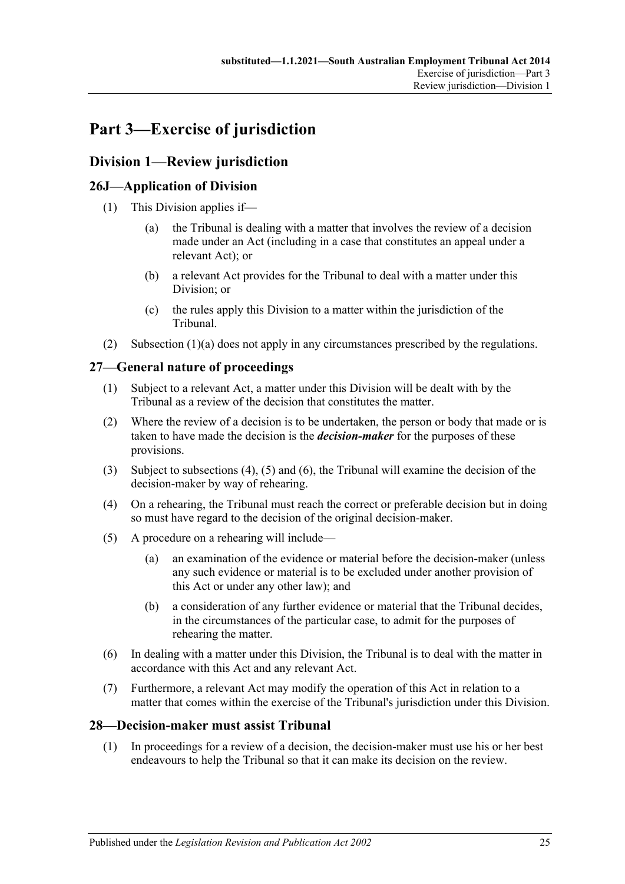# <span id="page-24-0"></span>**Part 3—Exercise of jurisdiction**

# <span id="page-24-1"></span>**Division 1—Review jurisdiction**

# <span id="page-24-2"></span>**26J—Application of Division**

- <span id="page-24-6"></span>(1) This Division applies if—
	- (a) the Tribunal is dealing with a matter that involves the review of a decision made under an Act (including in a case that constitutes an appeal under a relevant Act); or
	- (b) a relevant Act provides for the Tribunal to deal with a matter under this Division; or
	- (c) the rules apply this Division to a matter within the jurisdiction of the Tribunal.
- (2) [Subsection](#page-24-6)  $(1)(a)$  does not apply in any circumstances prescribed by the regulations.

# <span id="page-24-3"></span>**27—General nature of proceedings**

- (1) Subject to a relevant Act, a matter under this Division will be dealt with by the Tribunal as a review of the decision that constitutes the matter.
- <span id="page-24-5"></span>(2) Where the review of a decision is to be undertaken, the person or body that made or is taken to have made the decision is the *decision-maker* for the purposes of these provisions.
- (3) Subject to [subsections \(4\),](#page-24-7) [\(5\)](#page-24-8) and [\(6\),](#page-24-9) the Tribunal will examine the decision of the decision-maker by way of rehearing.
- <span id="page-24-7"></span>(4) On a rehearing, the Tribunal must reach the correct or preferable decision but in doing so must have regard to the decision of the original decision-maker.
- <span id="page-24-8"></span>(5) A procedure on a rehearing will include—
	- (a) an examination of the evidence or material before the decision-maker (unless any such evidence or material is to be excluded under another provision of this Act or under any other law); and
	- (b) a consideration of any further evidence or material that the Tribunal decides, in the circumstances of the particular case, to admit for the purposes of rehearing the matter.
- <span id="page-24-9"></span>(6) In dealing with a matter under this Division, the Tribunal is to deal with the matter in accordance with this Act and any relevant Act.
- (7) Furthermore, a relevant Act may modify the operation of this Act in relation to a matter that comes within the exercise of the Tribunal's jurisdiction under this Division.

# <span id="page-24-10"></span><span id="page-24-4"></span>**28—Decision-maker must assist Tribunal**

(1) In proceedings for a review of a decision, the decision-maker must use his or her best endeavours to help the Tribunal so that it can make its decision on the review.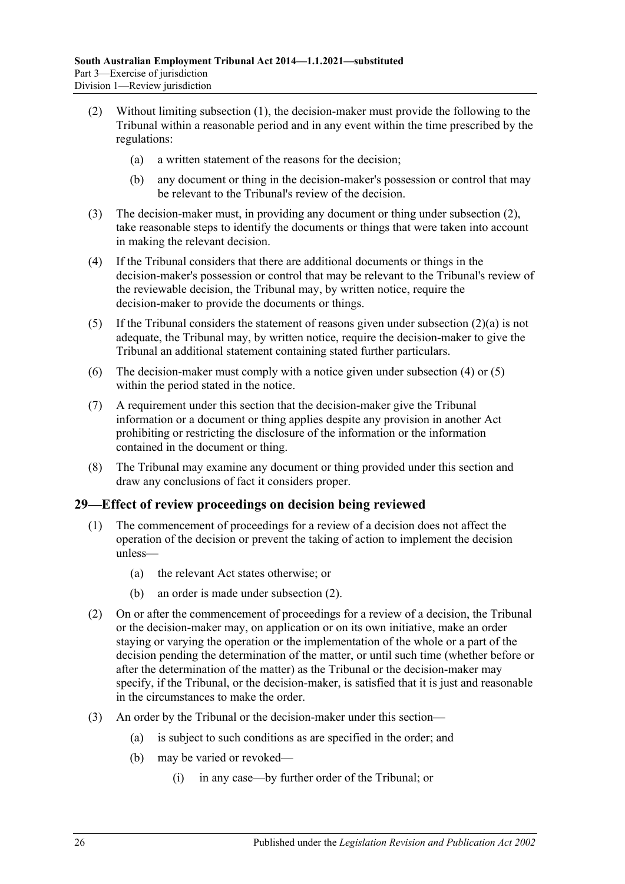- <span id="page-25-2"></span><span id="page-25-1"></span>(2) Without limiting [subsection](#page-24-10) (1), the decision-maker must provide the following to the Tribunal within a reasonable period and in any event within the time prescribed by the regulations:
	- (a) a written statement of the reasons for the decision;
	- (b) any document or thing in the decision-maker's possession or control that may be relevant to the Tribunal's review of the decision.
- (3) The decision-maker must, in providing any document or thing under [subsection](#page-25-1) (2), take reasonable steps to identify the documents or things that were taken into account in making the relevant decision.
- <span id="page-25-3"></span>(4) If the Tribunal considers that there are additional documents or things in the decision-maker's possession or control that may be relevant to the Tribunal's review of the reviewable decision, the Tribunal may, by written notice, require the decision-maker to provide the documents or things.
- <span id="page-25-4"></span>(5) If the Tribunal considers the statement of reasons given under [subsection](#page-25-2)  $(2)(a)$  is not adequate, the Tribunal may, by written notice, require the decision-maker to give the Tribunal an additional statement containing stated further particulars.
- (6) The decision-maker must comply with a notice given under [subsection](#page-25-3) (4) or [\(5\)](#page-25-4) within the period stated in the notice.
- (7) A requirement under this section that the decision-maker give the Tribunal information or a document or thing applies despite any provision in another Act prohibiting or restricting the disclosure of the information or the information contained in the document or thing.
- (8) The Tribunal may examine any document or thing provided under this section and draw any conclusions of fact it considers proper.

# <span id="page-25-0"></span>**29—Effect of review proceedings on decision being reviewed**

- (1) The commencement of proceedings for a review of a decision does not affect the operation of the decision or prevent the taking of action to implement the decision unless—
	- (a) the relevant Act states otherwise; or
	- (b) an order is made under [subsection](#page-25-5) (2).
- <span id="page-25-5"></span>(2) On or after the commencement of proceedings for a review of a decision, the Tribunal or the decision-maker may, on application or on its own initiative, make an order staying or varying the operation or the implementation of the whole or a part of the decision pending the determination of the matter, or until such time (whether before or after the determination of the matter) as the Tribunal or the decision-maker may specify, if the Tribunal, or the decision-maker, is satisfied that it is just and reasonable in the circumstances to make the order.
- (3) An order by the Tribunal or the decision-maker under this section—
	- (a) is subject to such conditions as are specified in the order; and
	- (b) may be varied or revoked—
		- (i) in any case—by further order of the Tribunal; or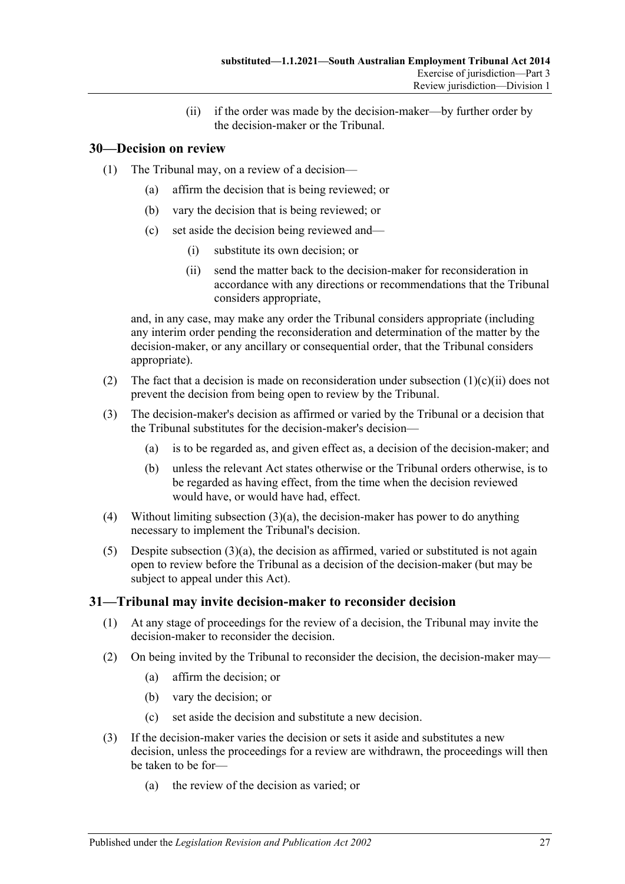(ii) if the order was made by the decision-maker—by further order by the decision-maker or the Tribunal.

# <span id="page-26-0"></span>**30—Decision on review**

- (1) The Tribunal may, on a review of a decision—
	- (a) affirm the decision that is being reviewed; or
	- (b) vary the decision that is being reviewed; or
	- (c) set aside the decision being reviewed and—
		- (i) substitute its own decision; or
		- (ii) send the matter back to the decision-maker for reconsideration in accordance with any directions or recommendations that the Tribunal considers appropriate,

<span id="page-26-2"></span>and, in any case, may make any order the Tribunal considers appropriate (including any interim order pending the reconsideration and determination of the matter by the decision-maker, or any ancillary or consequential order, that the Tribunal considers appropriate).

- (2) The fact that a decision is made on reconsideration under [subsection](#page-26-2)  $(1)(c)(ii)$  does not prevent the decision from being open to review by the Tribunal.
- <span id="page-26-3"></span>(3) The decision-maker's decision as affirmed or varied by the Tribunal or a decision that the Tribunal substitutes for the decision-maker's decision—
	- (a) is to be regarded as, and given effect as, a decision of the decision-maker; and
	- (b) unless the relevant Act states otherwise or the Tribunal orders otherwise, is to be regarded as having effect, from the time when the decision reviewed would have, or would have had, effect.
- (4) Without limiting [subsection](#page-26-3)  $(3)(a)$ , the decision-maker has power to do anything necessary to implement the Tribunal's decision.
- (5) Despite [subsection](#page-26-3)  $(3)(a)$ , the decision as affirmed, varied or substituted is not again open to review before the Tribunal as a decision of the decision-maker (but may be subject to appeal under this Act).

# <span id="page-26-1"></span>**31—Tribunal may invite decision-maker to reconsider decision**

- (1) At any stage of proceedings for the review of a decision, the Tribunal may invite the decision-maker to reconsider the decision.
- (2) On being invited by the Tribunal to reconsider the decision, the decision-maker may—
	- (a) affirm the decision; or
	- (b) vary the decision; or
	- (c) set aside the decision and substitute a new decision.
- (3) If the decision-maker varies the decision or sets it aside and substitutes a new decision, unless the proceedings for a review are withdrawn, the proceedings will then be taken to be for—
	- (a) the review of the decision as varied; or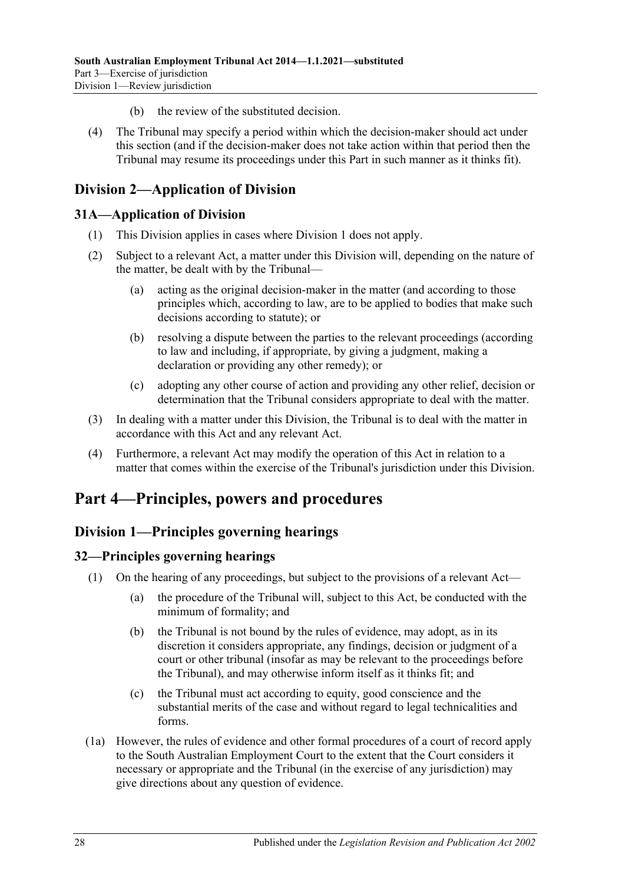- (b) the review of the substituted decision.
- (4) The Tribunal may specify a period within which the decision-maker should act under this section (and if the decision-maker does not take action within that period then the Tribunal may resume its proceedings under this Part in such manner as it thinks fit).

# <span id="page-27-0"></span>**Division 2—Application of Division**

# <span id="page-27-1"></span>**31A—Application of Division**

- (1) This Division applies in cases where [Division 1](#page-24-1) does not apply.
- (2) Subject to a relevant Act, a matter under this Division will, depending on the nature of the matter, be dealt with by the Tribunal—
	- (a) acting as the original decision-maker in the matter (and according to those principles which, according to law, are to be applied to bodies that make such decisions according to statute); or
	- (b) resolving a dispute between the parties to the relevant proceedings (according to law and including, if appropriate, by giving a judgment, making a declaration or providing any other remedy); or
	- (c) adopting any other course of action and providing any other relief, decision or determination that the Tribunal considers appropriate to deal with the matter.
- (3) In dealing with a matter under this Division, the Tribunal is to deal with the matter in accordance with this Act and any relevant Act.
- (4) Furthermore, a relevant Act may modify the operation of this Act in relation to a matter that comes within the exercise of the Tribunal's jurisdiction under this Division.

# <span id="page-27-2"></span>**Part 4—Principles, powers and procedures**

# <span id="page-27-3"></span>**Division 1—Principles governing hearings**

# <span id="page-27-4"></span>**32—Principles governing hearings**

- (1) On the hearing of any proceedings, but subject to the provisions of a relevant Act—
	- (a) the procedure of the Tribunal will, subject to this Act, be conducted with the minimum of formality; and
	- (b) the Tribunal is not bound by the rules of evidence, may adopt, as in its discretion it considers appropriate, any findings, decision or judgment of a court or other tribunal (insofar as may be relevant to the proceedings before the Tribunal), and may otherwise inform itself as it thinks fit; and
	- (c) the Tribunal must act according to equity, good conscience and the substantial merits of the case and without regard to legal technicalities and forms.
- (1a) However, the rules of evidence and other formal procedures of a court of record apply to the South Australian Employment Court to the extent that the Court considers it necessary or appropriate and the Tribunal (in the exercise of any jurisdiction) may give directions about any question of evidence.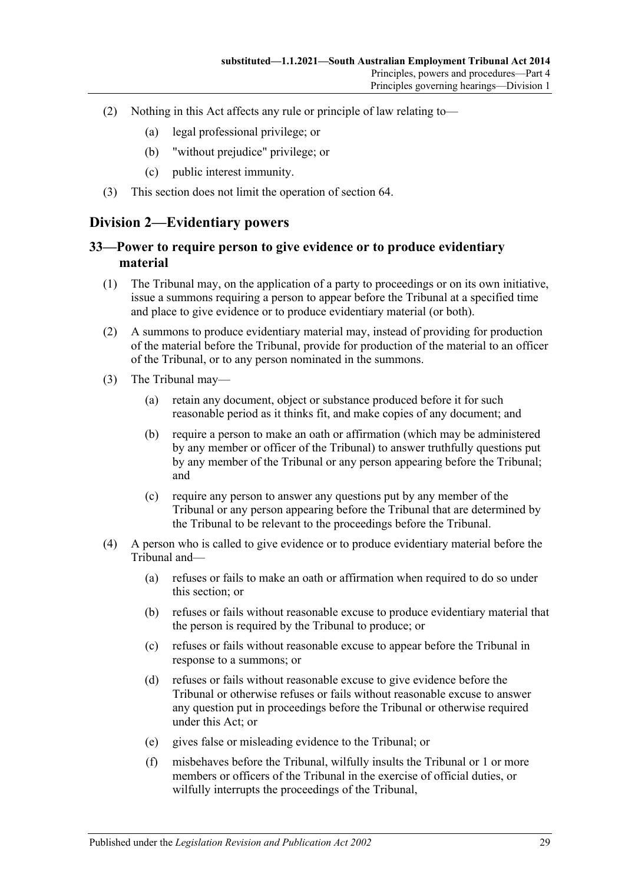- (2) Nothing in this Act affects any rule or principle of law relating to—
	- (a) legal professional privilege; or
	- (b) "without prejudice" privilege; or
	- (c) public interest immunity.
- (3) This section does not limit the operation of [section](#page-41-1) 64.

# <span id="page-28-0"></span>**Division 2—Evidentiary powers**

### <span id="page-28-1"></span>**33—Power to require person to give evidence or to produce evidentiary material**

- (1) The Tribunal may, on the application of a party to proceedings or on its own initiative, issue a summons requiring a person to appear before the Tribunal at a specified time and place to give evidence or to produce evidentiary material (or both).
- (2) A summons to produce evidentiary material may, instead of providing for production of the material before the Tribunal, provide for production of the material to an officer of the Tribunal, or to any person nominated in the summons.
- (3) The Tribunal may—
	- (a) retain any document, object or substance produced before it for such reasonable period as it thinks fit, and make copies of any document; and
	- (b) require a person to make an oath or affirmation (which may be administered by any member or officer of the Tribunal) to answer truthfully questions put by any member of the Tribunal or any person appearing before the Tribunal; and
	- (c) require any person to answer any questions put by any member of the Tribunal or any person appearing before the Tribunal that are determined by the Tribunal to be relevant to the proceedings before the Tribunal.
- (4) A person who is called to give evidence or to produce evidentiary material before the Tribunal and—
	- (a) refuses or fails to make an oath or affirmation when required to do so under this section; or
	- (b) refuses or fails without reasonable excuse to produce evidentiary material that the person is required by the Tribunal to produce; or
	- (c) refuses or fails without reasonable excuse to appear before the Tribunal in response to a summons; or
	- (d) refuses or fails without reasonable excuse to give evidence before the Tribunal or otherwise refuses or fails without reasonable excuse to answer any question put in proceedings before the Tribunal or otherwise required under this Act; or
	- (e) gives false or misleading evidence to the Tribunal; or
	- (f) misbehaves before the Tribunal, wilfully insults the Tribunal or 1 or more members or officers of the Tribunal in the exercise of official duties, or wilfully interrupts the proceedings of the Tribunal,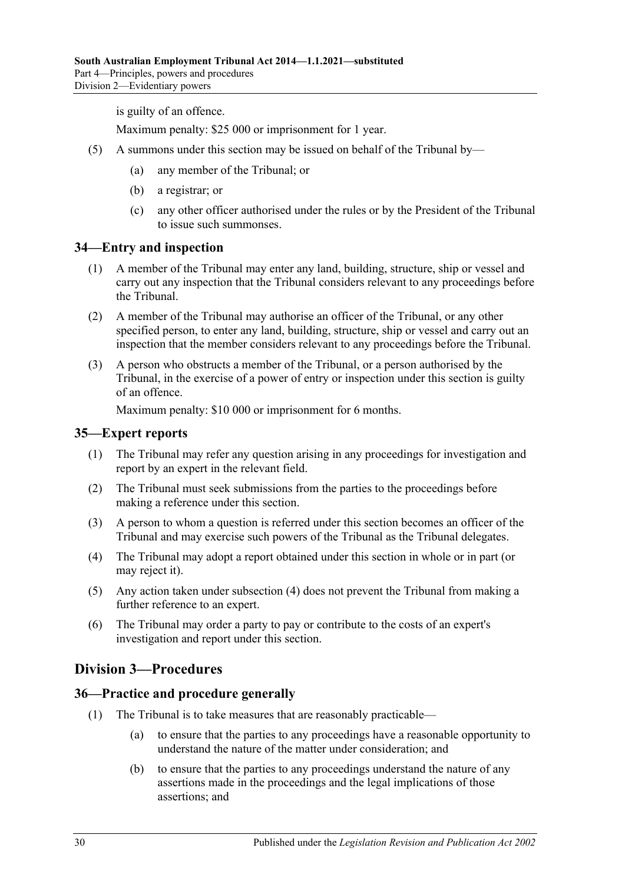is guilty of an offence.

Maximum penalty: \$25 000 or imprisonment for 1 year.

- (5) A summons under this section may be issued on behalf of the Tribunal by—
	- (a) any member of the Tribunal; or
	- (b) a registrar; or
	- (c) any other officer authorised under the rules or by the President of the Tribunal to issue such summonses.

#### <span id="page-29-0"></span>**34—Entry and inspection**

- (1) A member of the Tribunal may enter any land, building, structure, ship or vessel and carry out any inspection that the Tribunal considers relevant to any proceedings before the Tribunal.
- (2) A member of the Tribunal may authorise an officer of the Tribunal, or any other specified person, to enter any land, building, structure, ship or vessel and carry out an inspection that the member considers relevant to any proceedings before the Tribunal.
- (3) A person who obstructs a member of the Tribunal, or a person authorised by the Tribunal, in the exercise of a power of entry or inspection under this section is guilty of an offence.

Maximum penalty: \$10 000 or imprisonment for 6 months.

#### <span id="page-29-1"></span>**35—Expert reports**

- (1) The Tribunal may refer any question arising in any proceedings for investigation and report by an expert in the relevant field.
- (2) The Tribunal must seek submissions from the parties to the proceedings before making a reference under this section.
- (3) A person to whom a question is referred under this section becomes an officer of the Tribunal and may exercise such powers of the Tribunal as the Tribunal delegates.
- <span id="page-29-4"></span>(4) The Tribunal may adopt a report obtained under this section in whole or in part (or may reject it).
- (5) Any action taken under [subsection](#page-29-4) (4) does not prevent the Tribunal from making a further reference to an expert.
- (6) The Tribunal may order a party to pay or contribute to the costs of an expert's investigation and report under this section.

# <span id="page-29-2"></span>**Division 3—Procedures**

#### <span id="page-29-3"></span>**36—Practice and procedure generally**

- (1) The Tribunal is to take measures that are reasonably practicable—
	- (a) to ensure that the parties to any proceedings have a reasonable opportunity to understand the nature of the matter under consideration; and
	- (b) to ensure that the parties to any proceedings understand the nature of any assertions made in the proceedings and the legal implications of those assertions; and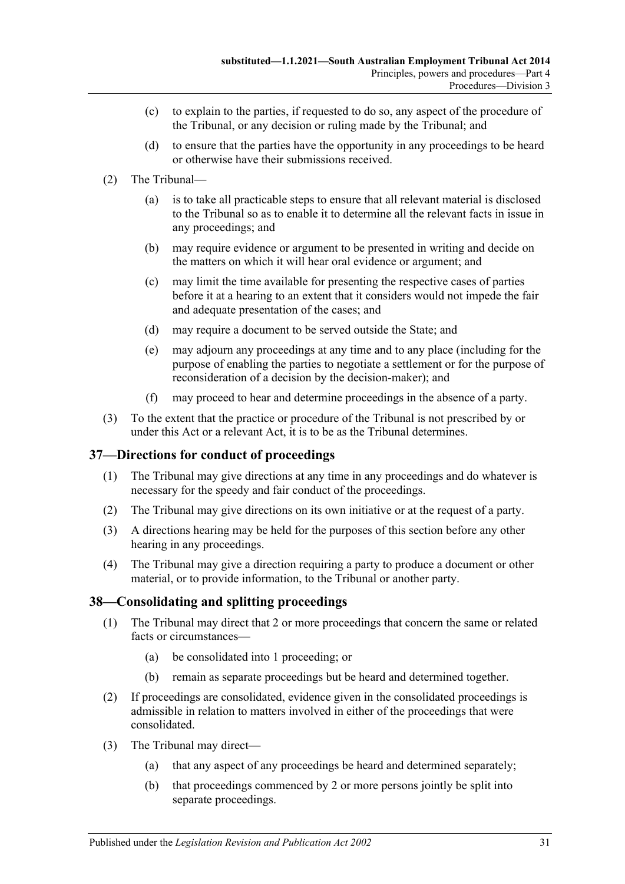- (c) to explain to the parties, if requested to do so, any aspect of the procedure of the Tribunal, or any decision or ruling made by the Tribunal; and
- (d) to ensure that the parties have the opportunity in any proceedings to be heard or otherwise have their submissions received.
- (2) The Tribunal—
	- (a) is to take all practicable steps to ensure that all relevant material is disclosed to the Tribunal so as to enable it to determine all the relevant facts in issue in any proceedings; and
	- (b) may require evidence or argument to be presented in writing and decide on the matters on which it will hear oral evidence or argument; and
	- (c) may limit the time available for presenting the respective cases of parties before it at a hearing to an extent that it considers would not impede the fair and adequate presentation of the cases; and
	- (d) may require a document to be served outside the State; and
	- (e) may adjourn any proceedings at any time and to any place (including for the purpose of enabling the parties to negotiate a settlement or for the purpose of reconsideration of a decision by the decision-maker); and
	- (f) may proceed to hear and determine proceedings in the absence of a party.
- (3) To the extent that the practice or procedure of the Tribunal is not prescribed by or under this Act or a relevant Act, it is to be as the Tribunal determines.

### <span id="page-30-0"></span>**37—Directions for conduct of proceedings**

- (1) The Tribunal may give directions at any time in any proceedings and do whatever is necessary for the speedy and fair conduct of the proceedings.
- (2) The Tribunal may give directions on its own initiative or at the request of a party.
- (3) A directions hearing may be held for the purposes of this section before any other hearing in any proceedings.
- (4) The Tribunal may give a direction requiring a party to produce a document or other material, or to provide information, to the Tribunal or another party.

# <span id="page-30-1"></span>**38—Consolidating and splitting proceedings**

- (1) The Tribunal may direct that 2 or more proceedings that concern the same or related facts or circumstances—
	- (a) be consolidated into 1 proceeding; or
	- (b) remain as separate proceedings but be heard and determined together.
- (2) If proceedings are consolidated, evidence given in the consolidated proceedings is admissible in relation to matters involved in either of the proceedings that were consolidated.
- (3) The Tribunal may direct—
	- (a) that any aspect of any proceedings be heard and determined separately;
	- (b) that proceedings commenced by 2 or more persons jointly be split into separate proceedings.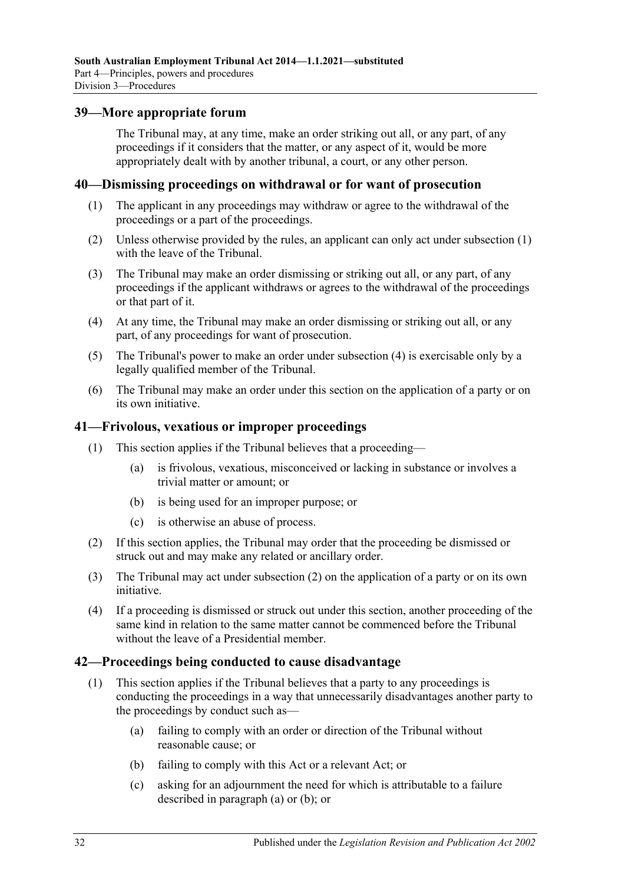#### <span id="page-31-0"></span>**39—More appropriate forum**

The Tribunal may, at any time, make an order striking out all, or any part, of any proceedings if it considers that the matter, or any aspect of it, would be more appropriately dealt with by another tribunal, a court, or any other person.

#### <span id="page-31-4"></span><span id="page-31-1"></span>**40—Dismissing proceedings on withdrawal or for want of prosecution**

- (1) The applicant in any proceedings may withdraw or agree to the withdrawal of the proceedings or a part of the proceedings.
- (2) Unless otherwise provided by the rules, an applicant can only act under [subsection](#page-31-4) (1) with the leave of the Tribunal.
- (3) The Tribunal may make an order dismissing or striking out all, or any part, of any proceedings if the applicant withdraws or agrees to the withdrawal of the proceedings or that part of it.
- <span id="page-31-5"></span>(4) At any time, the Tribunal may make an order dismissing or striking out all, or any part, of any proceedings for want of prosecution.
- (5) The Tribunal's power to make an order under [subsection](#page-31-5) (4) is exercisable only by a legally qualified member of the Tribunal.
- (6) The Tribunal may make an order under this section on the application of a party or on its own initiative.

#### <span id="page-31-2"></span>**41—Frivolous, vexatious or improper proceedings**

- (1) This section applies if the Tribunal believes that a proceeding—
	- (a) is frivolous, vexatious, misconceived or lacking in substance or involves a trivial matter or amount; or
	- (b) is being used for an improper purpose; or
	- (c) is otherwise an abuse of process.
- <span id="page-31-6"></span>(2) If this section applies, the Tribunal may order that the proceeding be dismissed or struck out and may make any related or ancillary order.
- (3) The Tribunal may act under [subsection](#page-31-6) (2) on the application of a party or on its own initiative.
- (4) If a proceeding is dismissed or struck out under this section, another proceeding of the same kind in relation to the same matter cannot be commenced before the Tribunal without the leave of a Presidential member.

#### <span id="page-31-3"></span>**42—Proceedings being conducted to cause disadvantage**

- <span id="page-31-8"></span><span id="page-31-7"></span>(1) This section applies if the Tribunal believes that a party to any proceedings is conducting the proceedings in a way that unnecessarily disadvantages another party to the proceedings by conduct such as—
	- (a) failing to comply with an order or direction of the Tribunal without reasonable cause; or
	- (b) failing to comply with this Act or a relevant Act; or
	- (c) asking for an adjournment the need for which is attributable to a failure described in [paragraph](#page-31-7) (a) or [\(b\);](#page-31-8) or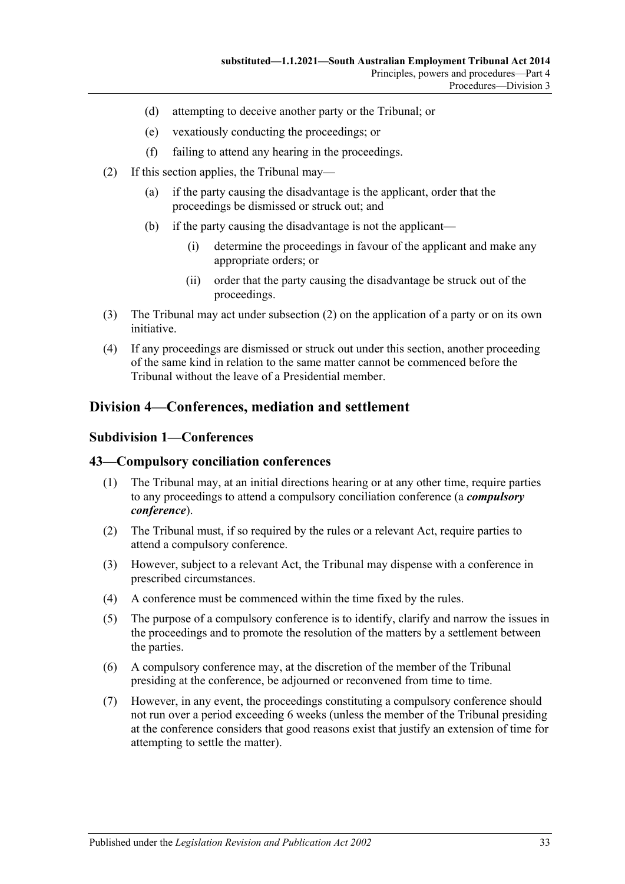- (d) attempting to deceive another party or the Tribunal; or
- (e) vexatiously conducting the proceedings; or
- (f) failing to attend any hearing in the proceedings.
- <span id="page-32-3"></span>(2) If this section applies, the Tribunal may—
	- (a) if the party causing the disadvantage is the applicant, order that the proceedings be dismissed or struck out; and
	- (b) if the party causing the disadvantage is not the applicant—
		- (i) determine the proceedings in favour of the applicant and make any appropriate orders; or
		- (ii) order that the party causing the disadvantage be struck out of the proceedings.
- (3) The Tribunal may act under [subsection](#page-32-3) (2) on the application of a party or on its own initiative.
- (4) If any proceedings are dismissed or struck out under this section, another proceeding of the same kind in relation to the same matter cannot be commenced before the Tribunal without the leave of a Presidential member.

# <span id="page-32-1"></span><span id="page-32-0"></span>**Division 4—Conferences, mediation and settlement**

#### **Subdivision 1—Conferences**

#### <span id="page-32-2"></span>**43—Compulsory conciliation conferences**

- (1) The Tribunal may, at an initial directions hearing or at any other time, require parties to any proceedings to attend a compulsory conciliation conference (a *compulsory conference*).
- (2) The Tribunal must, if so required by the rules or a relevant Act, require parties to attend a compulsory conference.
- (3) However, subject to a relevant Act, the Tribunal may dispense with a conference in prescribed circumstances.
- (4) A conference must be commenced within the time fixed by the rules.
- (5) The purpose of a compulsory conference is to identify, clarify and narrow the issues in the proceedings and to promote the resolution of the matters by a settlement between the parties.
- (6) A compulsory conference may, at the discretion of the member of the Tribunal presiding at the conference, be adjourned or reconvened from time to time.
- (7) However, in any event, the proceedings constituting a compulsory conference should not run over a period exceeding 6 weeks (unless the member of the Tribunal presiding at the conference considers that good reasons exist that justify an extension of time for attempting to settle the matter).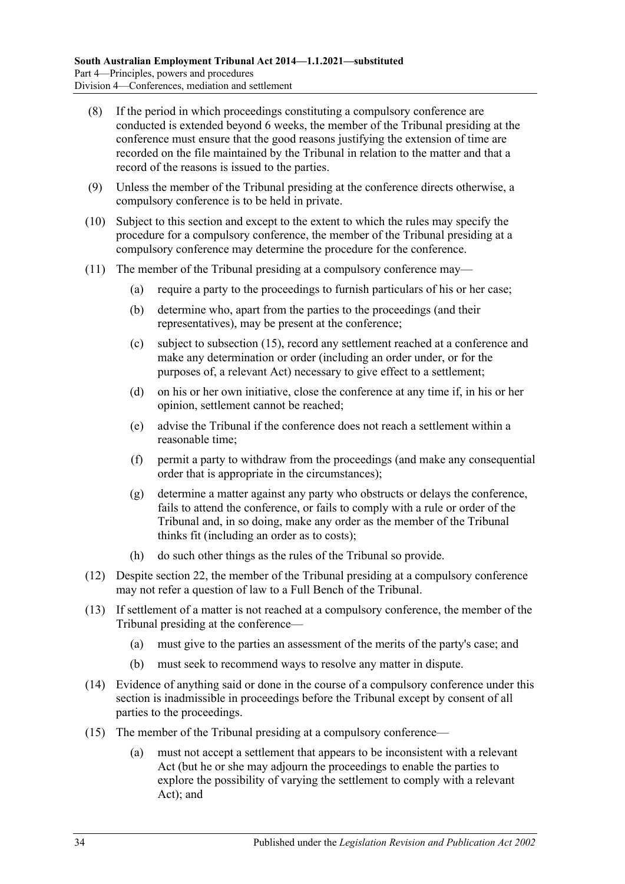- (8) If the period in which proceedings constituting a compulsory conference are conducted is extended beyond 6 weeks, the member of the Tribunal presiding at the conference must ensure that the good reasons justifying the extension of time are recorded on the file maintained by the Tribunal in relation to the matter and that a record of the reasons is issued to the parties.
- (9) Unless the member of the Tribunal presiding at the conference directs otherwise, a compulsory conference is to be held in private.
- (10) Subject to this section and except to the extent to which the rules may specify the procedure for a compulsory conference, the member of the Tribunal presiding at a compulsory conference may determine the procedure for the conference.
- (11) The member of the Tribunal presiding at a compulsory conference may—
	- (a) require a party to the proceedings to furnish particulars of his or her case;
	- (b) determine who, apart from the parties to the proceedings (and their representatives), may be present at the conference;
	- (c) subject to [subsection](#page-33-0) (15), record any settlement reached at a conference and make any determination or order (including an order under, or for the purposes of, a relevant Act) necessary to give effect to a settlement;
	- (d) on his or her own initiative, close the conference at any time if, in his or her opinion, settlement cannot be reached;
	- (e) advise the Tribunal if the conference does not reach a settlement within a reasonable time;
	- (f) permit a party to withdraw from the proceedings (and make any consequential order that is appropriate in the circumstances);
	- (g) determine a matter against any party who obstructs or delays the conference, fails to attend the conference, or fails to comply with a rule or order of the Tribunal and, in so doing, make any order as the member of the Tribunal thinks fit (including an order as to costs);
	- (h) do such other things as the rules of the Tribunal so provide.
- (12) Despite [section](#page-20-1) 22, the member of the Tribunal presiding at a compulsory conference may not refer a question of law to a Full Bench of the Tribunal.
- (13) If settlement of a matter is not reached at a compulsory conference, the member of the Tribunal presiding at the conference—
	- (a) must give to the parties an assessment of the merits of the party's case; and
	- (b) must seek to recommend ways to resolve any matter in dispute.
- (14) Evidence of anything said or done in the course of a compulsory conference under this section is inadmissible in proceedings before the Tribunal except by consent of all parties to the proceedings.
- <span id="page-33-0"></span>(15) The member of the Tribunal presiding at a compulsory conference—
	- (a) must not accept a settlement that appears to be inconsistent with a relevant Act (but he or she may adjourn the proceedings to enable the parties to explore the possibility of varying the settlement to comply with a relevant Act); and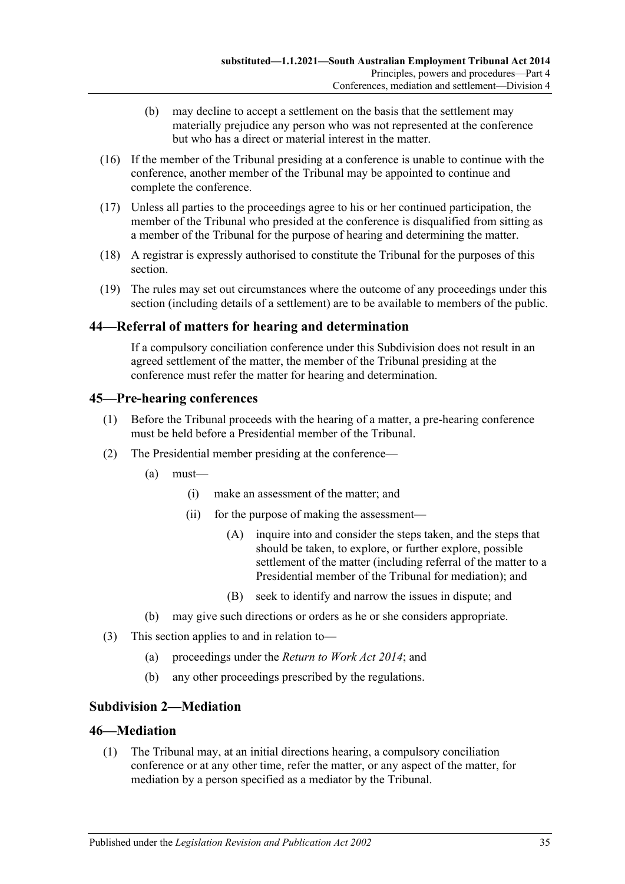- (b) may decline to accept a settlement on the basis that the settlement may materially prejudice any person who was not represented at the conference but who has a direct or material interest in the matter.
- (16) If the member of the Tribunal presiding at a conference is unable to continue with the conference, another member of the Tribunal may be appointed to continue and complete the conference.
- (17) Unless all parties to the proceedings agree to his or her continued participation, the member of the Tribunal who presided at the conference is disqualified from sitting as a member of the Tribunal for the purpose of hearing and determining the matter.
- (18) A registrar is expressly authorised to constitute the Tribunal for the purposes of this section.
- (19) The rules may set out circumstances where the outcome of any proceedings under this section (including details of a settlement) are to be available to members of the public.

### <span id="page-34-0"></span>**44—Referral of matters for hearing and determination**

If a compulsory conciliation conference under this Subdivision does not result in an agreed settlement of the matter, the member of the Tribunal presiding at the conference must refer the matter for hearing and determination.

# <span id="page-34-1"></span>**45—Pre-hearing conferences**

- (1) Before the Tribunal proceeds with the hearing of a matter, a pre-hearing conference must be held before a Presidential member of the Tribunal.
- (2) The Presidential member presiding at the conference—
	- (a) must—
		- (i) make an assessment of the matter; and
		- (ii) for the purpose of making the assessment—
			- (A) inquire into and consider the steps taken, and the steps that should be taken, to explore, or further explore, possible settlement of the matter (including referral of the matter to a Presidential member of the Tribunal for mediation); and
			- (B) seek to identify and narrow the issues in dispute; and
	- (b) may give such directions or orders as he or she considers appropriate.
- (3) This section applies to and in relation to—
	- (a) proceedings under the *[Return to Work Act](http://www.legislation.sa.gov.au/index.aspx?action=legref&type=act&legtitle=Return%20to%20Work%20Act%202014) 2014*; and
	- (b) any other proceedings prescribed by the regulations.

# <span id="page-34-2"></span>**Subdivision 2—Mediation**

### <span id="page-34-3"></span>**46—Mediation**

(1) The Tribunal may, at an initial directions hearing, a compulsory conciliation conference or at any other time, refer the matter, or any aspect of the matter, for mediation by a person specified as a mediator by the Tribunal.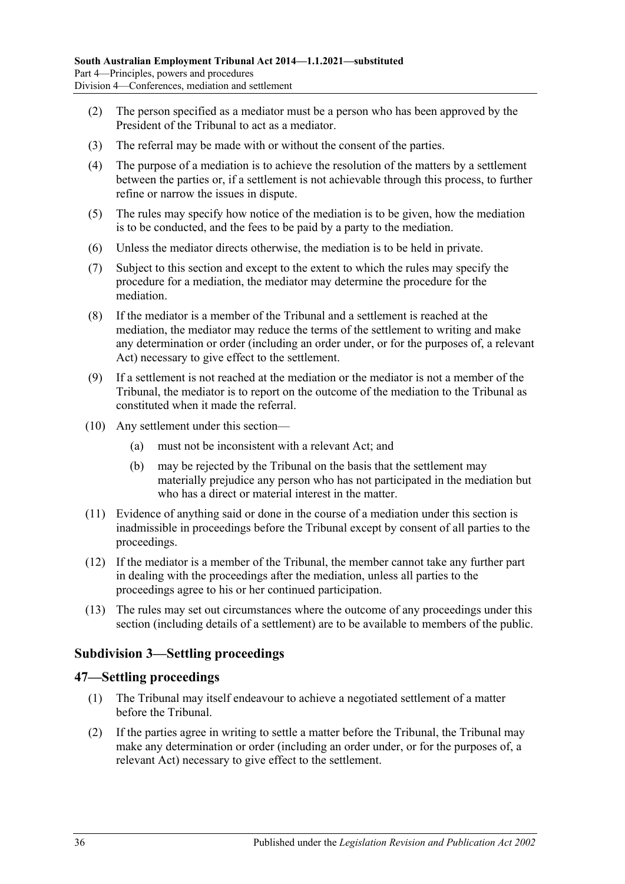- (2) The person specified as a mediator must be a person who has been approved by the President of the Tribunal to act as a mediator.
- (3) The referral may be made with or without the consent of the parties.
- (4) The purpose of a mediation is to achieve the resolution of the matters by a settlement between the parties or, if a settlement is not achievable through this process, to further refine or narrow the issues in dispute.
- (5) The rules may specify how notice of the mediation is to be given, how the mediation is to be conducted, and the fees to be paid by a party to the mediation.
- (6) Unless the mediator directs otherwise, the mediation is to be held in private.
- (7) Subject to this section and except to the extent to which the rules may specify the procedure for a mediation, the mediator may determine the procedure for the mediation.
- (8) If the mediator is a member of the Tribunal and a settlement is reached at the mediation, the mediator may reduce the terms of the settlement to writing and make any determination or order (including an order under, or for the purposes of, a relevant Act) necessary to give effect to the settlement.
- (9) If a settlement is not reached at the mediation or the mediator is not a member of the Tribunal, the mediator is to report on the outcome of the mediation to the Tribunal as constituted when it made the referral.
- (10) Any settlement under this section—
	- (a) must not be inconsistent with a relevant Act; and
	- (b) may be rejected by the Tribunal on the basis that the settlement may materially prejudice any person who has not participated in the mediation but who has a direct or material interest in the matter.
- (11) Evidence of anything said or done in the course of a mediation under this section is inadmissible in proceedings before the Tribunal except by consent of all parties to the proceedings.
- (12) If the mediator is a member of the Tribunal, the member cannot take any further part in dealing with the proceedings after the mediation, unless all parties to the proceedings agree to his or her continued participation.
- (13) The rules may set out circumstances where the outcome of any proceedings under this section (including details of a settlement) are to be available to members of the public.

# <span id="page-35-0"></span>**Subdivision 3—Settling proceedings**

#### <span id="page-35-1"></span>**47—Settling proceedings**

- (1) The Tribunal may itself endeavour to achieve a negotiated settlement of a matter before the Tribunal.
- <span id="page-35-2"></span>(2) If the parties agree in writing to settle a matter before the Tribunal, the Tribunal may make any determination or order (including an order under, or for the purposes of, a relevant Act) necessary to give effect to the settlement.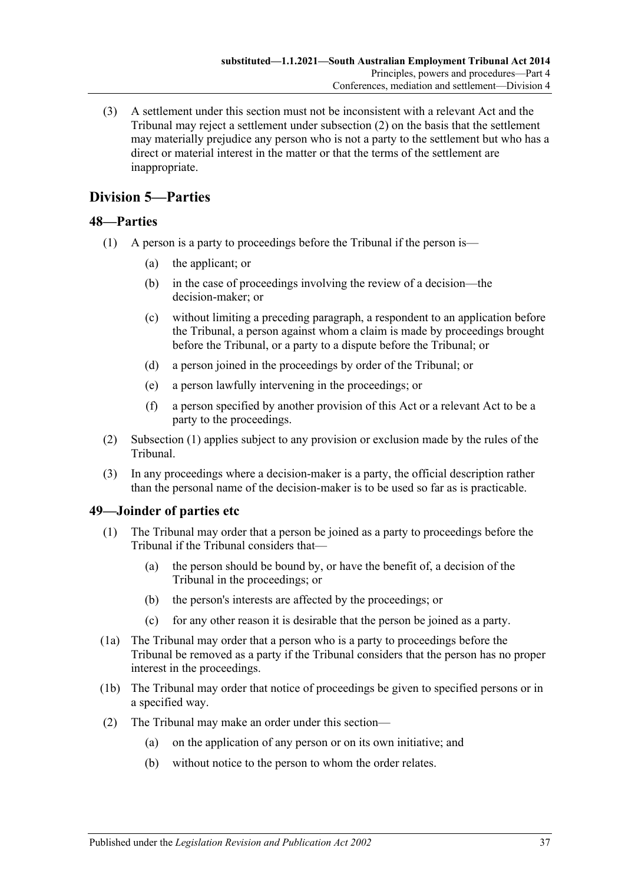(3) A settlement under this section must not be inconsistent with a relevant Act and the Tribunal may reject a settlement under [subsection](#page-35-2) (2) on the basis that the settlement may materially prejudice any person who is not a party to the settlement but who has a direct or material interest in the matter or that the terms of the settlement are inappropriate.

# <span id="page-36-0"></span>**Division 5—Parties**

# <span id="page-36-3"></span><span id="page-36-1"></span>**48—Parties**

- (1) A person is a party to proceedings before the Tribunal if the person is—
	- (a) the applicant; or
	- (b) in the case of proceedings involving the review of a decision—the decision-maker; or
	- (c) without limiting a preceding paragraph, a respondent to an application before the Tribunal, a person against whom a claim is made by proceedings brought before the Tribunal, or a party to a dispute before the Tribunal; or
	- (d) a person joined in the proceedings by order of the Tribunal; or
	- (e) a person lawfully intervening in the proceedings; or
	- (f) a person specified by another provision of this Act or a relevant Act to be a party to the proceedings.
- (2) [Subsection](#page-36-3) (1) applies subject to any provision or exclusion made by the rules of the Tribunal.
- (3) In any proceedings where a decision-maker is a party, the official description rather than the personal name of the decision-maker is to be used so far as is practicable.

### <span id="page-36-2"></span>**49—Joinder of parties etc**

- (1) The Tribunal may order that a person be joined as a party to proceedings before the Tribunal if the Tribunal considers that—
	- (a) the person should be bound by, or have the benefit of, a decision of the Tribunal in the proceedings; or
	- (b) the person's interests are affected by the proceedings; or
	- (c) for any other reason it is desirable that the person be joined as a party.
- (1a) The Tribunal may order that a person who is a party to proceedings before the Tribunal be removed as a party if the Tribunal considers that the person has no proper interest in the proceedings.
- (1b) The Tribunal may order that notice of proceedings be given to specified persons or in a specified way.
- (2) The Tribunal may make an order under this section—
	- (a) on the application of any person or on its own initiative; and
	- (b) without notice to the person to whom the order relates.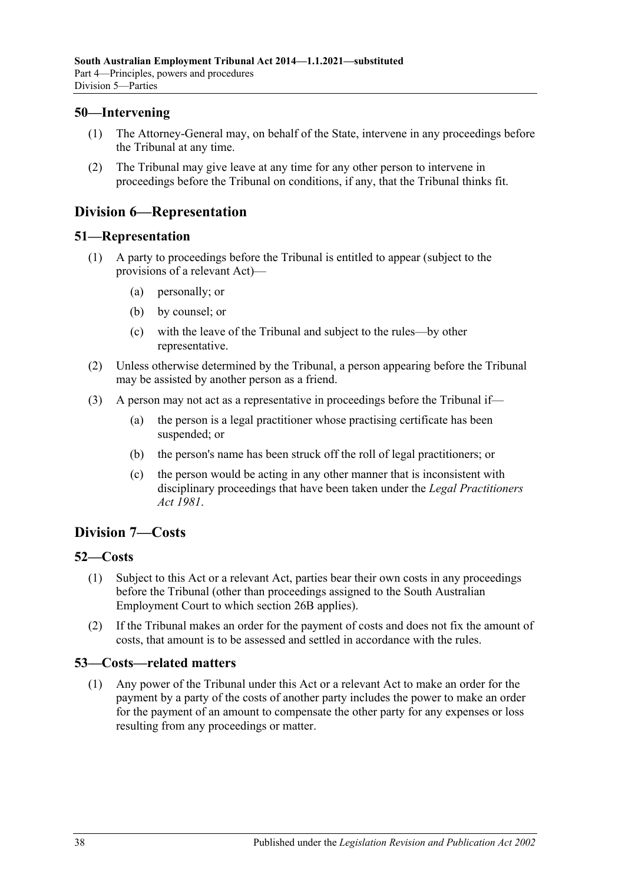## <span id="page-37-0"></span>**50—Intervening**

- (1) The Attorney-General may, on behalf of the State, intervene in any proceedings before the Tribunal at any time.
- (2) The Tribunal may give leave at any time for any other person to intervene in proceedings before the Tribunal on conditions, if any, that the Tribunal thinks fit.

# <span id="page-37-1"></span>**Division 6—Representation**

#### <span id="page-37-2"></span>**51—Representation**

- (1) A party to proceedings before the Tribunal is entitled to appear (subject to the provisions of a relevant Act)—
	- (a) personally; or
	- (b) by counsel; or
	- (c) with the leave of the Tribunal and subject to the rules—by other representative.
- (2) Unless otherwise determined by the Tribunal, a person appearing before the Tribunal may be assisted by another person as a friend.
- (3) A person may not act as a representative in proceedings before the Tribunal if—
	- (a) the person is a legal practitioner whose practising certificate has been suspended; or
	- (b) the person's name has been struck off the roll of legal practitioners; or
	- (c) the person would be acting in any other manner that is inconsistent with disciplinary proceedings that have been taken under the *[Legal Practitioners](http://www.legislation.sa.gov.au/index.aspx?action=legref&type=act&legtitle=Legal%20Practitioners%20Act%201981)  Act [1981](http://www.legislation.sa.gov.au/index.aspx?action=legref&type=act&legtitle=Legal%20Practitioners%20Act%201981)*.

# <span id="page-37-3"></span>**Division 7—Costs**

### <span id="page-37-4"></span>**52—Costs**

- (1) Subject to this Act or a relevant Act, parties bear their own costs in any proceedings before the Tribunal (other than proceedings assigned to the South Australian Employment Court to which [section](#page-21-3) 26B applies).
- (2) If the Tribunal makes an order for the payment of costs and does not fix the amount of costs, that amount is to be assessed and settled in accordance with the rules.

### <span id="page-37-5"></span>**53—Costs—related matters**

(1) Any power of the Tribunal under this Act or a relevant Act to make an order for the payment by a party of the costs of another party includes the power to make an order for the payment of an amount to compensate the other party for any expenses or loss resulting from any proceedings or matter.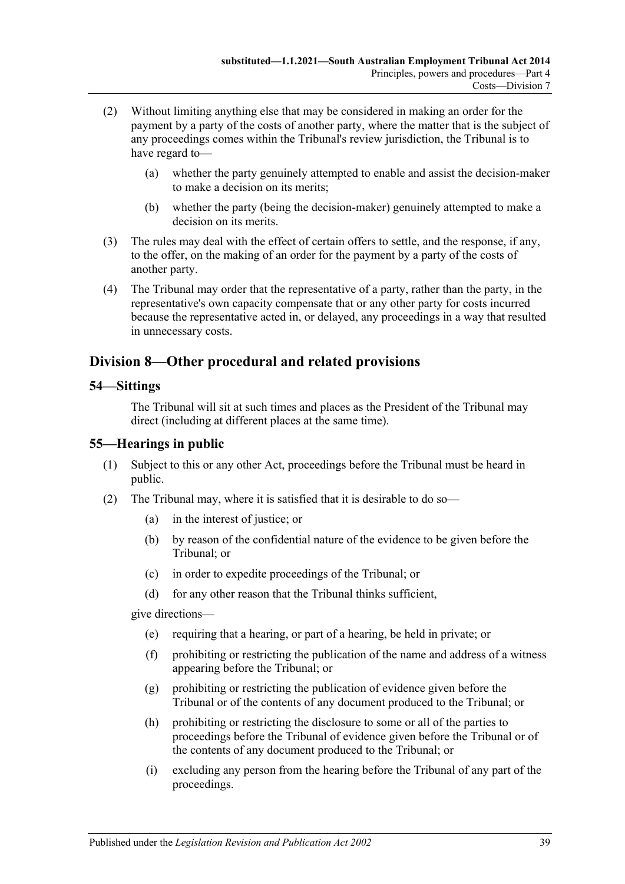- (2) Without limiting anything else that may be considered in making an order for the payment by a party of the costs of another party, where the matter that is the subject of any proceedings comes within the Tribunal's review jurisdiction, the Tribunal is to have regard to—
	- (a) whether the party genuinely attempted to enable and assist the decision-maker to make a decision on its merits;
	- (b) whether the party (being the decision-maker) genuinely attempted to make a decision on its merits.
- (3) The rules may deal with the effect of certain offers to settle, and the response, if any, to the offer, on the making of an order for the payment by a party of the costs of another party.
- (4) The Tribunal may order that the representative of a party, rather than the party, in the representative's own capacity compensate that or any other party for costs incurred because the representative acted in, or delayed, any proceedings in a way that resulted in unnecessary costs.

# <span id="page-38-0"></span>**Division 8—Other procedural and related provisions**

#### <span id="page-38-1"></span>**54—Sittings**

The Tribunal will sit at such times and places as the President of the Tribunal may direct (including at different places at the same time).

### <span id="page-38-2"></span>**55—Hearings in public**

- (1) Subject to this or any other Act, proceedings before the Tribunal must be heard in public.
- <span id="page-38-3"></span>(2) The Tribunal may, where it is satisfied that it is desirable to do so—
	- (a) in the interest of justice; or
	- (b) by reason of the confidential nature of the evidence to be given before the Tribunal; or
	- (c) in order to expedite proceedings of the Tribunal; or
	- (d) for any other reason that the Tribunal thinks sufficient,

give directions—

- (e) requiring that a hearing, or part of a hearing, be held in private; or
- (f) prohibiting or restricting the publication of the name and address of a witness appearing before the Tribunal; or
- (g) prohibiting or restricting the publication of evidence given before the Tribunal or of the contents of any document produced to the Tribunal; or
- (h) prohibiting or restricting the disclosure to some or all of the parties to proceedings before the Tribunal of evidence given before the Tribunal or of the contents of any document produced to the Tribunal; or
- (i) excluding any person from the hearing before the Tribunal of any part of the proceedings.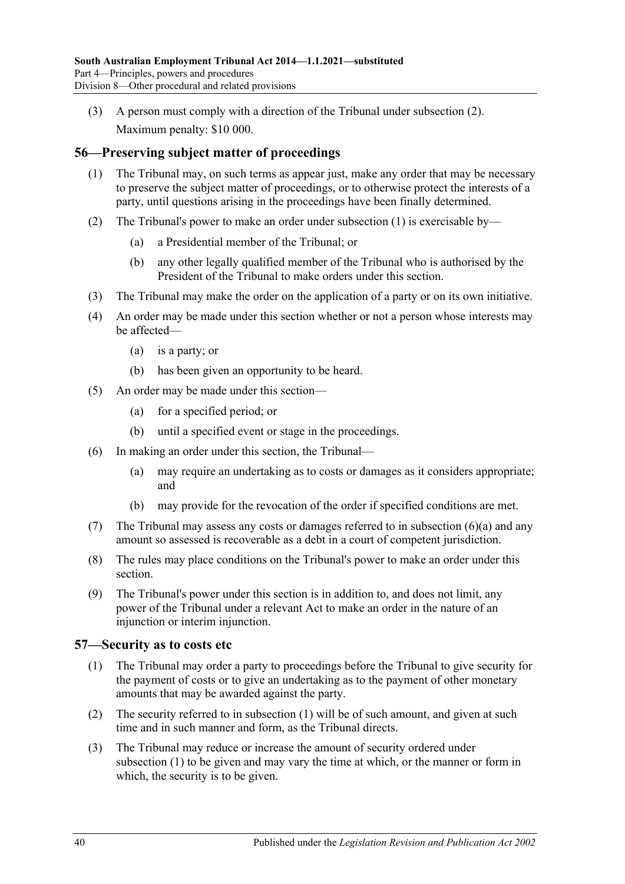(3) A person must comply with a direction of the Tribunal under [subsection](#page-38-3) (2). Maximum penalty: \$10 000.

# <span id="page-39-2"></span><span id="page-39-0"></span>**56—Preserving subject matter of proceedings**

- (1) The Tribunal may, on such terms as appear just, make any order that may be necessary to preserve the subject matter of proceedings, or to otherwise protect the interests of a party, until questions arising in the proceedings have been finally determined.
- (2) The Tribunal's power to make an order under [subsection](#page-39-2) (1) is exercisable by—
	- (a) a Presidential member of the Tribunal; or
	- (b) any other legally qualified member of the Tribunal who is authorised by the President of the Tribunal to make orders under this section.
- (3) The Tribunal may make the order on the application of a party or on its own initiative.
- (4) An order may be made under this section whether or not a person whose interests may be affected—
	- (a) is a party; or
	- (b) has been given an opportunity to be heard.
- (5) An order may be made under this section—
	- (a) for a specified period; or
	- (b) until a specified event or stage in the proceedings.
- <span id="page-39-3"></span>(6) In making an order under this section, the Tribunal—
	- (a) may require an undertaking as to costs or damages as it considers appropriate; and
	- (b) may provide for the revocation of the order if specified conditions are met.
- (7) The Tribunal may assess any costs or damages referred to in [subsection](#page-39-3) (6)(a) and any amount so assessed is recoverable as a debt in a court of competent jurisdiction.
- (8) The rules may place conditions on the Tribunal's power to make an order under this section.
- (9) The Tribunal's power under this section is in addition to, and does not limit, any power of the Tribunal under a relevant Act to make an order in the nature of an injunction or interim injunction.

### <span id="page-39-4"></span><span id="page-39-1"></span>**57—Security as to costs etc**

- (1) The Tribunal may order a party to proceedings before the Tribunal to give security for the payment of costs or to give an undertaking as to the payment of other monetary amounts that may be awarded against the party.
- (2) The security referred to in [subsection](#page-39-4) (1) will be of such amount, and given at such time and in such manner and form, as the Tribunal directs.
- (3) The Tribunal may reduce or increase the amount of security ordered under [subsection](#page-39-4) (1) to be given and may vary the time at which, or the manner or form in which, the security is to be given.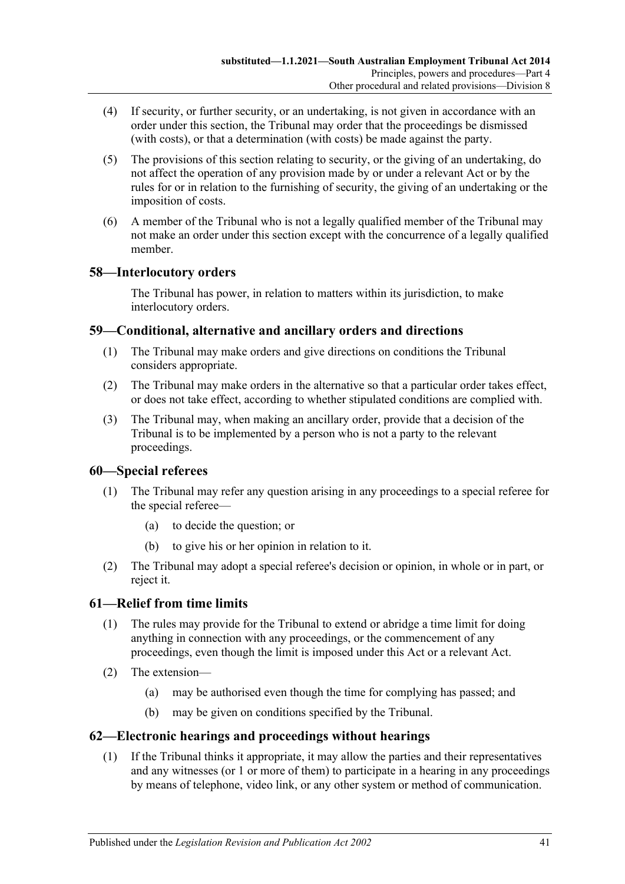- (4) If security, or further security, or an undertaking, is not given in accordance with an order under this section, the Tribunal may order that the proceedings be dismissed (with costs), or that a determination (with costs) be made against the party.
- (5) The provisions of this section relating to security, or the giving of an undertaking, do not affect the operation of any provision made by or under a relevant Act or by the rules for or in relation to the furnishing of security, the giving of an undertaking or the imposition of costs.
- (6) A member of the Tribunal who is not a legally qualified member of the Tribunal may not make an order under this section except with the concurrence of a legally qualified member.

# <span id="page-40-0"></span>**58—Interlocutory orders**

The Tribunal has power, in relation to matters within its jurisdiction, to make interlocutory orders.

# <span id="page-40-1"></span>**59—Conditional, alternative and ancillary orders and directions**

- (1) The Tribunal may make orders and give directions on conditions the Tribunal considers appropriate.
- (2) The Tribunal may make orders in the alternative so that a particular order takes effect, or does not take effect, according to whether stipulated conditions are complied with.
- (3) The Tribunal may, when making an ancillary order, provide that a decision of the Tribunal is to be implemented by a person who is not a party to the relevant proceedings.

### <span id="page-40-2"></span>**60—Special referees**

- (1) The Tribunal may refer any question arising in any proceedings to a special referee for the special referee—
	- (a) to decide the question; or
	- (b) to give his or her opinion in relation to it.
- (2) The Tribunal may adopt a special referee's decision or opinion, in whole or in part, or reject it.

# <span id="page-40-3"></span>**61—Relief from time limits**

- (1) The rules may provide for the Tribunal to extend or abridge a time limit for doing anything in connection with any proceedings, or the commencement of any proceedings, even though the limit is imposed under this Act or a relevant Act.
- (2) The extension—
	- (a) may be authorised even though the time for complying has passed; and
	- (b) may be given on conditions specified by the Tribunal.

### <span id="page-40-4"></span>**62—Electronic hearings and proceedings without hearings**

(1) If the Tribunal thinks it appropriate, it may allow the parties and their representatives and any witnesses (or 1 or more of them) to participate in a hearing in any proceedings by means of telephone, video link, or any other system or method of communication.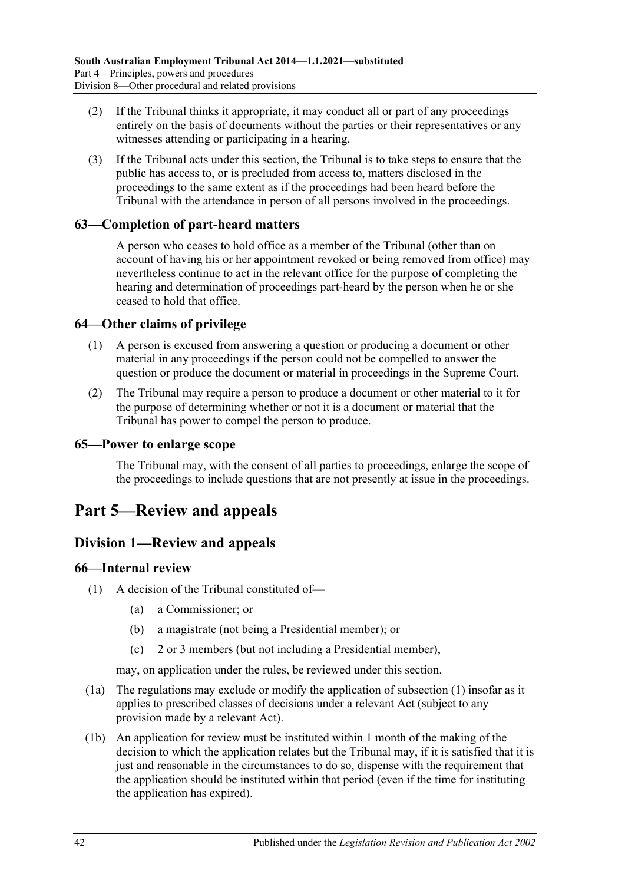- (2) If the Tribunal thinks it appropriate, it may conduct all or part of any proceedings entirely on the basis of documents without the parties or their representatives or any witnesses attending or participating in a hearing.
- (3) If the Tribunal acts under this section, the Tribunal is to take steps to ensure that the public has access to, or is precluded from access to, matters disclosed in the proceedings to the same extent as if the proceedings had been heard before the Tribunal with the attendance in person of all persons involved in the proceedings.

### <span id="page-41-0"></span>**63—Completion of part-heard matters**

A person who ceases to hold office as a member of the Tribunal (other than on account of having his or her appointment revoked or being removed from office) may nevertheless continue to act in the relevant office for the purpose of completing the hearing and determination of proceedings part-heard by the person when he or she ceased to hold that office.

### <span id="page-41-1"></span>**64—Other claims of privilege**

- (1) A person is excused from answering a question or producing a document or other material in any proceedings if the person could not be compelled to answer the question or produce the document or material in proceedings in the Supreme Court.
- (2) The Tribunal may require a person to produce a document or other material to it for the purpose of determining whether or not it is a document or material that the Tribunal has power to compel the person to produce.

## <span id="page-41-2"></span>**65—Power to enlarge scope**

The Tribunal may, with the consent of all parties to proceedings, enlarge the scope of the proceedings to include questions that are not presently at issue in the proceedings.

# <span id="page-41-3"></span>**Part 5—Review and appeals**

# <span id="page-41-4"></span>**Division 1—Review and appeals**

### <span id="page-41-6"></span><span id="page-41-5"></span>**66—Internal review**

- (1) A decision of the Tribunal constituted of—
	- (a) a Commissioner; or
	- (b) a magistrate (not being a Presidential member); or
	- (c) 2 or 3 members (but not including a Presidential member),

may, on application under the rules, be reviewed under this section.

- (1a) The regulations may exclude or modify the application of [subsection](#page-41-6) (1) insofar as it applies to prescribed classes of decisions under a relevant Act (subject to any provision made by a relevant Act).
- (1b) An application for review must be instituted within 1 month of the making of the decision to which the application relates but the Tribunal may, if it is satisfied that it is just and reasonable in the circumstances to do so, dispense with the requirement that the application should be instituted within that period (even if the time for instituting the application has expired).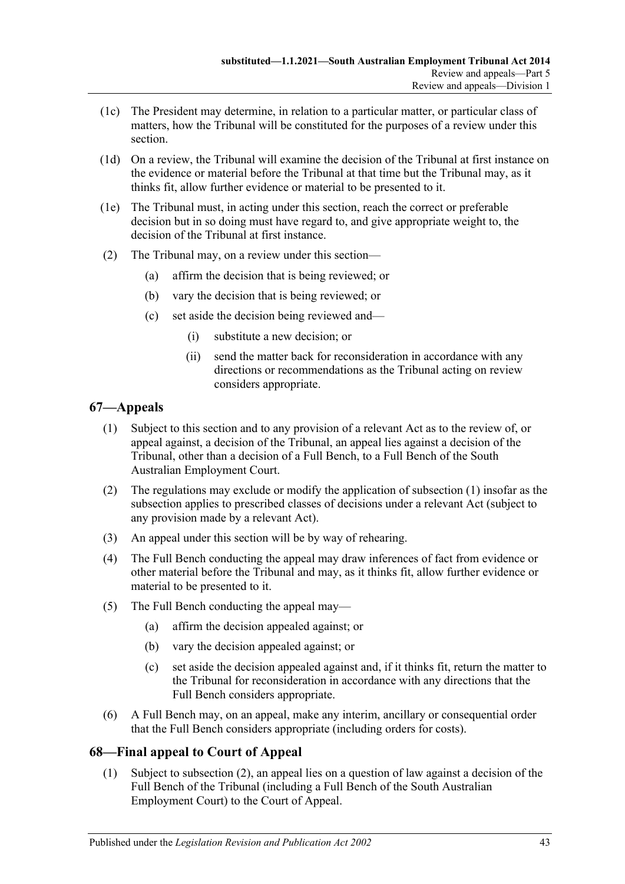- (1c) The President may determine, in relation to a particular matter, or particular class of matters, how the Tribunal will be constituted for the purposes of a review under this section.
- (1d) On a review, the Tribunal will examine the decision of the Tribunal at first instance on the evidence or material before the Tribunal at that time but the Tribunal may, as it thinks fit, allow further evidence or material to be presented to it.
- (1e) The Tribunal must, in acting under this section, reach the correct or preferable decision but in so doing must have regard to, and give appropriate weight to, the decision of the Tribunal at first instance.
- (2) The Tribunal may, on a review under this section—
	- (a) affirm the decision that is being reviewed; or
	- (b) vary the decision that is being reviewed; or
	- (c) set aside the decision being reviewed and—
		- (i) substitute a new decision; or
		- (ii) send the matter back for reconsideration in accordance with any directions or recommendations as the Tribunal acting on review considers appropriate.

# <span id="page-42-2"></span><span id="page-42-0"></span>**67—Appeals**

- (1) Subject to this section and to any provision of a relevant Act as to the review of, or appeal against, a decision of the Tribunal, an appeal lies against a decision of the Tribunal, other than a decision of a Full Bench, to a Full Bench of the South Australian Employment Court.
- (2) The regulations may exclude or modify the application of [subsection](#page-42-2) (1) insofar as the subsection applies to prescribed classes of decisions under a relevant Act (subject to any provision made by a relevant Act).
- (3) An appeal under this section will be by way of rehearing.
- (4) The Full Bench conducting the appeal may draw inferences of fact from evidence or other material before the Tribunal and may, as it thinks fit, allow further evidence or material to be presented to it.
- (5) The Full Bench conducting the appeal may—
	- (a) affirm the decision appealed against; or
	- (b) vary the decision appealed against; or
	- (c) set aside the decision appealed against and, if it thinks fit, return the matter to the Tribunal for reconsideration in accordance with any directions that the Full Bench considers appropriate.
- (6) A Full Bench may, on an appeal, make any interim, ancillary or consequential order that the Full Bench considers appropriate (including orders for costs).

# <span id="page-42-1"></span>**68—Final appeal to Court of Appeal**

(1) Subject to [subsection](#page-43-6) (2), an appeal lies on a question of law against a decision of the Full Bench of the Tribunal (including a Full Bench of the South Australian Employment Court) to the Court of Appeal.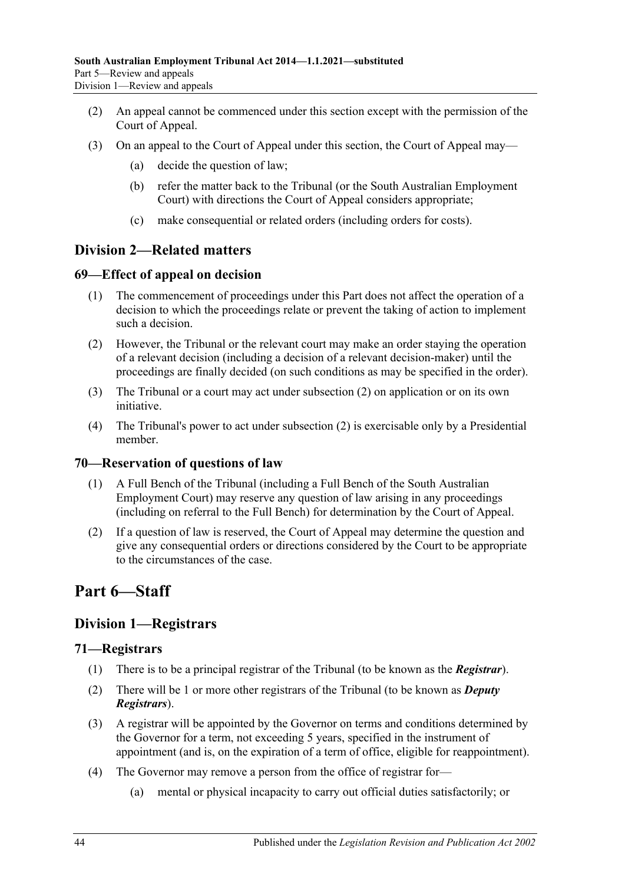- <span id="page-43-6"></span>(2) An appeal cannot be commenced under this section except with the permission of the Court of Appeal.
- (3) On an appeal to the Court of Appeal under this section, the Court of Appeal may—
	- (a) decide the question of law;
	- (b) refer the matter back to the Tribunal (or the South Australian Employment Court) with directions the Court of Appeal considers appropriate;
	- (c) make consequential or related orders (including orders for costs).

# <span id="page-43-0"></span>**Division 2—Related matters**

# <span id="page-43-1"></span>**69—Effect of appeal on decision**

- (1) The commencement of proceedings under this Part does not affect the operation of a decision to which the proceedings relate or prevent the taking of action to implement such a decision.
- <span id="page-43-7"></span>(2) However, the Tribunal or the relevant court may make an order staying the operation of a relevant decision (including a decision of a relevant decision-maker) until the proceedings are finally decided (on such conditions as may be specified in the order).
- (3) The Tribunal or a court may act under [subsection](#page-43-7) (2) on application or on its own initiative.
- (4) The Tribunal's power to act under [subsection](#page-43-7) (2) is exercisable only by a Presidential member.

### <span id="page-43-2"></span>**70—Reservation of questions of law**

- (1) A Full Bench of the Tribunal (including a Full Bench of the South Australian Employment Court) may reserve any question of law arising in any proceedings (including on referral to the Full Bench) for determination by the Court of Appeal.
- (2) If a question of law is reserved, the Court of Appeal may determine the question and give any consequential orders or directions considered by the Court to be appropriate to the circumstances of the case.

# <span id="page-43-3"></span>**Part 6—Staff**

# <span id="page-43-4"></span>**Division 1—Registrars**

### <span id="page-43-5"></span>**71—Registrars**

- (1) There is to be a principal registrar of the Tribunal (to be known as the *Registrar*).
- (2) There will be 1 or more other registrars of the Tribunal (to be known as *Deputy Registrars*).
- (3) A registrar will be appointed by the Governor on terms and conditions determined by the Governor for a term, not exceeding 5 years, specified in the instrument of appointment (and is, on the expiration of a term of office, eligible for reappointment).
- <span id="page-43-8"></span>(4) The Governor may remove a person from the office of registrar for—
	- (a) mental or physical incapacity to carry out official duties satisfactorily; or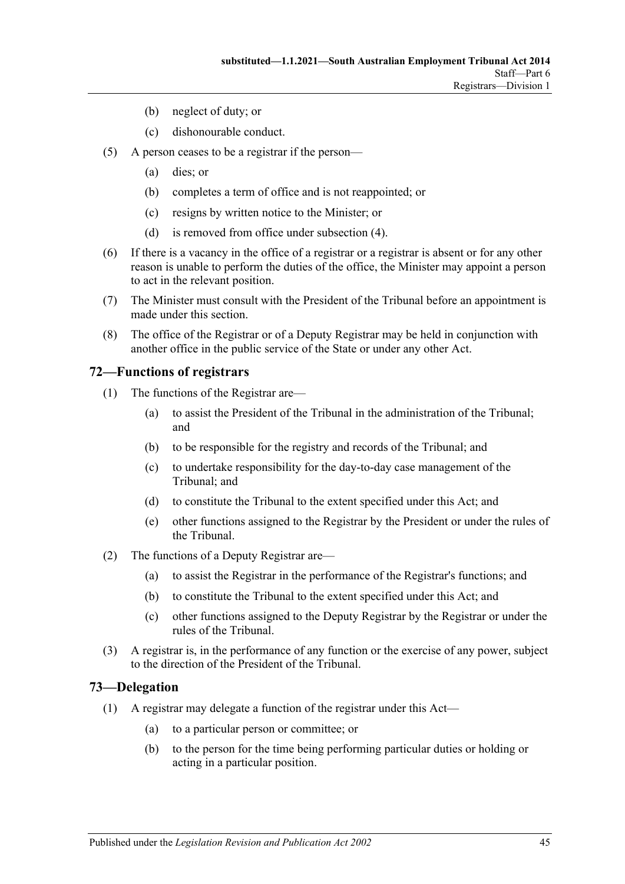- (b) neglect of duty; or
- (c) dishonourable conduct.
- (5) A person ceases to be a registrar if the person—
	- (a) dies; or
	- (b) completes a term of office and is not reappointed; or
	- (c) resigns by written notice to the Minister; or
	- (d) is removed from office under [subsection](#page-43-8) (4).
- (6) If there is a vacancy in the office of a registrar or a registrar is absent or for any other reason is unable to perform the duties of the office, the Minister may appoint a person to act in the relevant position.
- (7) The Minister must consult with the President of the Tribunal before an appointment is made under this section.
- (8) The office of the Registrar or of a Deputy Registrar may be held in conjunction with another office in the public service of the State or under any other Act.

#### <span id="page-44-0"></span>**72—Functions of registrars**

- (1) The functions of the Registrar are—
	- (a) to assist the President of the Tribunal in the administration of the Tribunal; and
	- (b) to be responsible for the registry and records of the Tribunal; and
	- (c) to undertake responsibility for the day-to-day case management of the Tribunal; and
	- (d) to constitute the Tribunal to the extent specified under this Act; and
	- (e) other functions assigned to the Registrar by the President or under the rules of the Tribunal.
- (2) The functions of a Deputy Registrar are—
	- (a) to assist the Registrar in the performance of the Registrar's functions; and
	- (b) to constitute the Tribunal to the extent specified under this Act; and
	- (c) other functions assigned to the Deputy Registrar by the Registrar or under the rules of the Tribunal.
- (3) A registrar is, in the performance of any function or the exercise of any power, subject to the direction of the President of the Tribunal.

#### <span id="page-44-2"></span><span id="page-44-1"></span>**73—Delegation**

- (1) A registrar may delegate a function of the registrar under this Act—
	- (a) to a particular person or committee; or
	- (b) to the person for the time being performing particular duties or holding or acting in a particular position.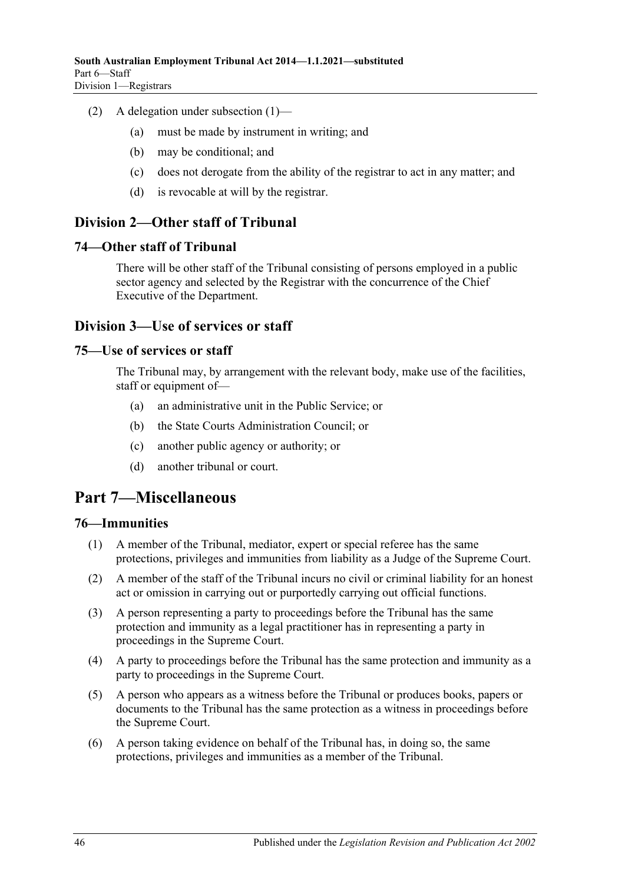- (2) A delegation under [subsection](#page-44-2) (1)—
	- (a) must be made by instrument in writing; and
	- (b) may be conditional; and
	- (c) does not derogate from the ability of the registrar to act in any matter; and
	- (d) is revocable at will by the registrar.

# <span id="page-45-0"></span>**Division 2—Other staff of Tribunal**

#### <span id="page-45-1"></span>**74—Other staff of Tribunal**

There will be other staff of the Tribunal consisting of persons employed in a public sector agency and selected by the Registrar with the concurrence of the Chief Executive of the Department.

# <span id="page-45-2"></span>**Division 3—Use of services or staff**

#### <span id="page-45-3"></span>**75—Use of services or staff**

The Tribunal may, by arrangement with the relevant body, make use of the facilities, staff or equipment of-

- (a) an administrative unit in the Public Service; or
- (b) the State Courts Administration Council; or
- (c) another public agency or authority; or
- (d) another tribunal or court.

# <span id="page-45-4"></span>**Part 7—Miscellaneous**

### <span id="page-45-5"></span>**76—Immunities**

- (1) A member of the Tribunal, mediator, expert or special referee has the same protections, privileges and immunities from liability as a Judge of the Supreme Court.
- (2) A member of the staff of the Tribunal incurs no civil or criminal liability for an honest act or omission in carrying out or purportedly carrying out official functions.
- (3) A person representing a party to proceedings before the Tribunal has the same protection and immunity as a legal practitioner has in representing a party in proceedings in the Supreme Court.
- (4) A party to proceedings before the Tribunal has the same protection and immunity as a party to proceedings in the Supreme Court.
- (5) A person who appears as a witness before the Tribunal or produces books, papers or documents to the Tribunal has the same protection as a witness in proceedings before the Supreme Court.
- (6) A person taking evidence on behalf of the Tribunal has, in doing so, the same protections, privileges and immunities as a member of the Tribunal.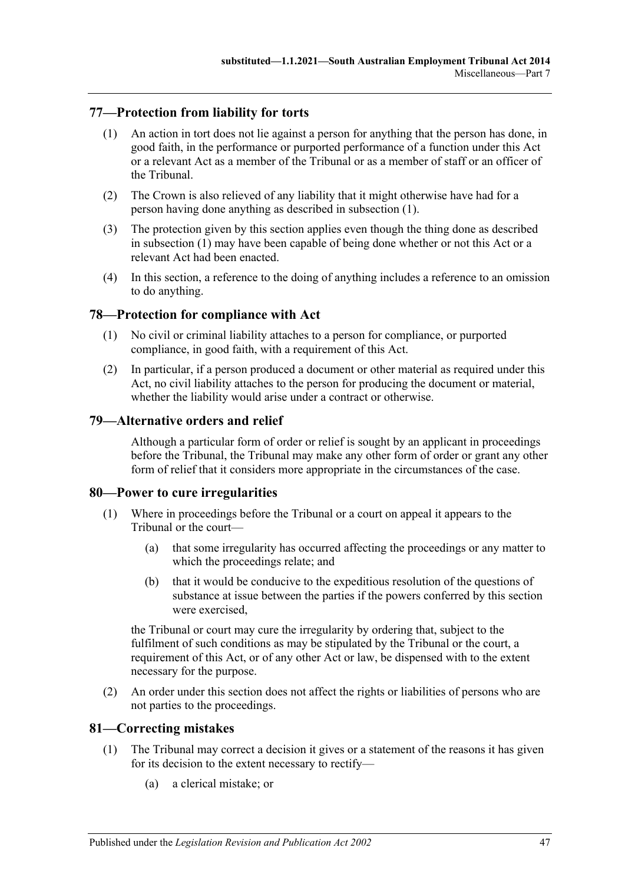## <span id="page-46-5"></span><span id="page-46-0"></span>**77—Protection from liability for torts**

- (1) An action in tort does not lie against a person for anything that the person has done, in good faith, in the performance or purported performance of a function under this Act or a relevant Act as a member of the Tribunal or as a member of staff or an officer of the Tribunal.
- (2) The Crown is also relieved of any liability that it might otherwise have had for a person having done anything as described in [subsection](#page-46-5) (1).
- (3) The protection given by this section applies even though the thing done as described in [subsection](#page-46-5) (1) may have been capable of being done whether or not this Act or a relevant Act had been enacted.
- (4) In this section, a reference to the doing of anything includes a reference to an omission to do anything.

### <span id="page-46-1"></span>**78—Protection for compliance with Act**

- (1) No civil or criminal liability attaches to a person for compliance, or purported compliance, in good faith, with a requirement of this Act.
- (2) In particular, if a person produced a document or other material as required under this Act, no civil liability attaches to the person for producing the document or material, whether the liability would arise under a contract or otherwise.

#### <span id="page-46-2"></span>**79—Alternative orders and relief**

Although a particular form of order or relief is sought by an applicant in proceedings before the Tribunal, the Tribunal may make any other form of order or grant any other form of relief that it considers more appropriate in the circumstances of the case.

### <span id="page-46-3"></span>**80—Power to cure irregularities**

- (1) Where in proceedings before the Tribunal or a court on appeal it appears to the Tribunal or the court—
	- (a) that some irregularity has occurred affecting the proceedings or any matter to which the proceedings relate; and
	- (b) that it would be conducive to the expeditious resolution of the questions of substance at issue between the parties if the powers conferred by this section were exercised,

the Tribunal or court may cure the irregularity by ordering that, subject to the fulfilment of such conditions as may be stipulated by the Tribunal or the court, a requirement of this Act, or of any other Act or law, be dispensed with to the extent necessary for the purpose.

(2) An order under this section does not affect the rights or liabilities of persons who are not parties to the proceedings.

### <span id="page-46-4"></span>**81—Correcting mistakes**

- (1) The Tribunal may correct a decision it gives or a statement of the reasons it has given for its decision to the extent necessary to rectify—
	- (a) a clerical mistake; or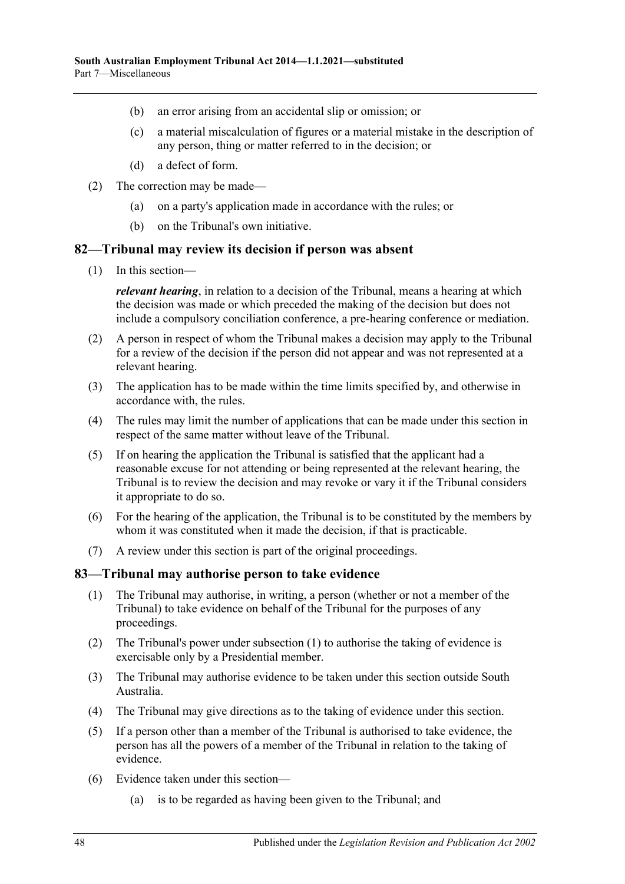- (b) an error arising from an accidental slip or omission; or
- (c) a material miscalculation of figures or a material mistake in the description of any person, thing or matter referred to in the decision; or
- (d) a defect of form.
- (2) The correction may be made—
	- (a) on a party's application made in accordance with the rules; or
	- (b) on the Tribunal's own initiative.

#### <span id="page-47-0"></span>**82—Tribunal may review its decision if person was absent**

(1) In this section—

*relevant hearing*, in relation to a decision of the Tribunal, means a hearing at which the decision was made or which preceded the making of the decision but does not include a compulsory conciliation conference, a pre-hearing conference or mediation.

- (2) A person in respect of whom the Tribunal makes a decision may apply to the Tribunal for a review of the decision if the person did not appear and was not represented at a relevant hearing.
- (3) The application has to be made within the time limits specified by, and otherwise in accordance with, the rules.
- (4) The rules may limit the number of applications that can be made under this section in respect of the same matter without leave of the Tribunal.
- (5) If on hearing the application the Tribunal is satisfied that the applicant had a reasonable excuse for not attending or being represented at the relevant hearing, the Tribunal is to review the decision and may revoke or vary it if the Tribunal considers it appropriate to do so.
- (6) For the hearing of the application, the Tribunal is to be constituted by the members by whom it was constituted when it made the decision, if that is practicable.
- (7) A review under this section is part of the original proceedings.

### <span id="page-47-2"></span><span id="page-47-1"></span>**83—Tribunal may authorise person to take evidence**

- (1) The Tribunal may authorise, in writing, a person (whether or not a member of the Tribunal) to take evidence on behalf of the Tribunal for the purposes of any proceedings.
- (2) The Tribunal's power under [subsection](#page-47-2) (1) to authorise the taking of evidence is exercisable only by a Presidential member.
- (3) The Tribunal may authorise evidence to be taken under this section outside South Australia.
- (4) The Tribunal may give directions as to the taking of evidence under this section.
- (5) If a person other than a member of the Tribunal is authorised to take evidence, the person has all the powers of a member of the Tribunal in relation to the taking of evidence.
- (6) Evidence taken under this section—
	- (a) is to be regarded as having been given to the Tribunal; and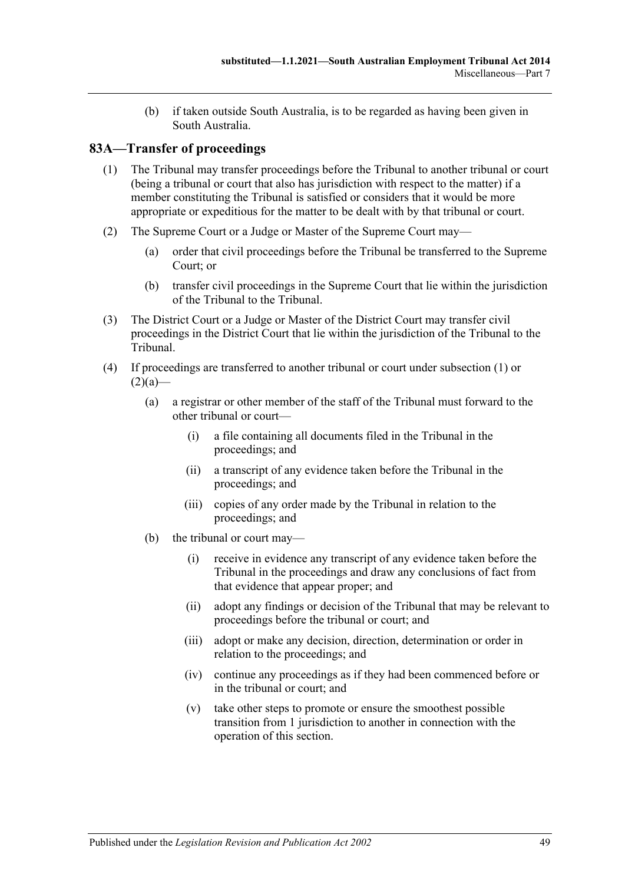(b) if taken outside South Australia, is to be regarded as having been given in South Australia.

# <span id="page-48-1"></span><span id="page-48-0"></span>**83A—Transfer of proceedings**

- (1) The Tribunal may transfer proceedings before the Tribunal to another tribunal or court (being a tribunal or court that also has jurisdiction with respect to the matter) if a member constituting the Tribunal is satisfied or considers that it would be more appropriate or expeditious for the matter to be dealt with by that tribunal or court.
- <span id="page-48-2"></span>(2) The Supreme Court or a Judge or Master of the Supreme Court may—
	- (a) order that civil proceedings before the Tribunal be transferred to the Supreme Court; or
	- (b) transfer civil proceedings in the Supreme Court that lie within the jurisdiction of the Tribunal to the Tribunal.
- <span id="page-48-4"></span><span id="page-48-3"></span>(3) The District Court or a Judge or Master of the District Court may transfer civil proceedings in the District Court that lie within the jurisdiction of the Tribunal to the Tribunal.
- (4) If proceedings are transferred to another tribunal or court under [subsection](#page-48-1) (1) or  $(2)(a)$ —
	- (a) a registrar or other member of the staff of the Tribunal must forward to the other tribunal or court—
		- (i) a file containing all documents filed in the Tribunal in the proceedings; and
		- (ii) a transcript of any evidence taken before the Tribunal in the proceedings; and
		- (iii) copies of any order made by the Tribunal in relation to the proceedings; and
	- (b) the tribunal or court may—
		- (i) receive in evidence any transcript of any evidence taken before the Tribunal in the proceedings and draw any conclusions of fact from that evidence that appear proper; and
		- (ii) adopt any findings or decision of the Tribunal that may be relevant to proceedings before the tribunal or court; and
		- (iii) adopt or make any decision, direction, determination or order in relation to the proceedings; and
		- (iv) continue any proceedings as if they had been commenced before or in the tribunal or court; and
		- (v) take other steps to promote or ensure the smoothest possible transition from 1 jurisdiction to another in connection with the operation of this section.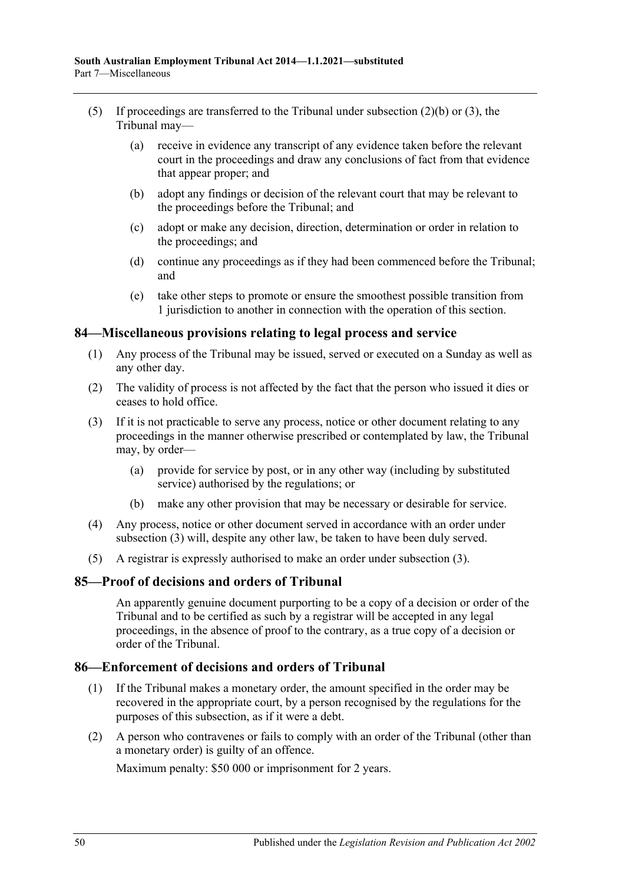- (5) If proceedings are transferred to the Tribunal under [subsection](#page-48-3)  $(2)(b)$  or  $(3)$ , the Tribunal may—
	- (a) receive in evidence any transcript of any evidence taken before the relevant court in the proceedings and draw any conclusions of fact from that evidence that appear proper; and
	- (b) adopt any findings or decision of the relevant court that may be relevant to the proceedings before the Tribunal; and
	- (c) adopt or make any decision, direction, determination or order in relation to the proceedings; and
	- (d) continue any proceedings as if they had been commenced before the Tribunal; and
	- (e) take other steps to promote or ensure the smoothest possible transition from 1 jurisdiction to another in connection with the operation of this section.

#### <span id="page-49-0"></span>**84—Miscellaneous provisions relating to legal process and service**

- (1) Any process of the Tribunal may be issued, served or executed on a Sunday as well as any other day.
- (2) The validity of process is not affected by the fact that the person who issued it dies or ceases to hold office.
- <span id="page-49-3"></span>(3) If it is not practicable to serve any process, notice or other document relating to any proceedings in the manner otherwise prescribed or contemplated by law, the Tribunal may, by order—
	- (a) provide for service by post, or in any other way (including by substituted service) authorised by the regulations; or
	- (b) make any other provision that may be necessary or desirable for service.
- (4) Any process, notice or other document served in accordance with an order under [subsection](#page-49-3) (3) will, despite any other law, be taken to have been duly served.
- (5) A registrar is expressly authorised to make an order under [subsection](#page-49-3) (3).

### <span id="page-49-1"></span>**85—Proof of decisions and orders of Tribunal**

An apparently genuine document purporting to be a copy of a decision or order of the Tribunal and to be certified as such by a registrar will be accepted in any legal proceedings, in the absence of proof to the contrary, as a true copy of a decision or order of the Tribunal.

#### <span id="page-49-2"></span>**86—Enforcement of decisions and orders of Tribunal**

- (1) If the Tribunal makes a monetary order, the amount specified in the order may be recovered in the appropriate court, by a person recognised by the regulations for the purposes of this subsection, as if it were a debt.
- (2) A person who contravenes or fails to comply with an order of the Tribunal (other than a monetary order) is guilty of an offence.

Maximum penalty: \$50 000 or imprisonment for 2 years.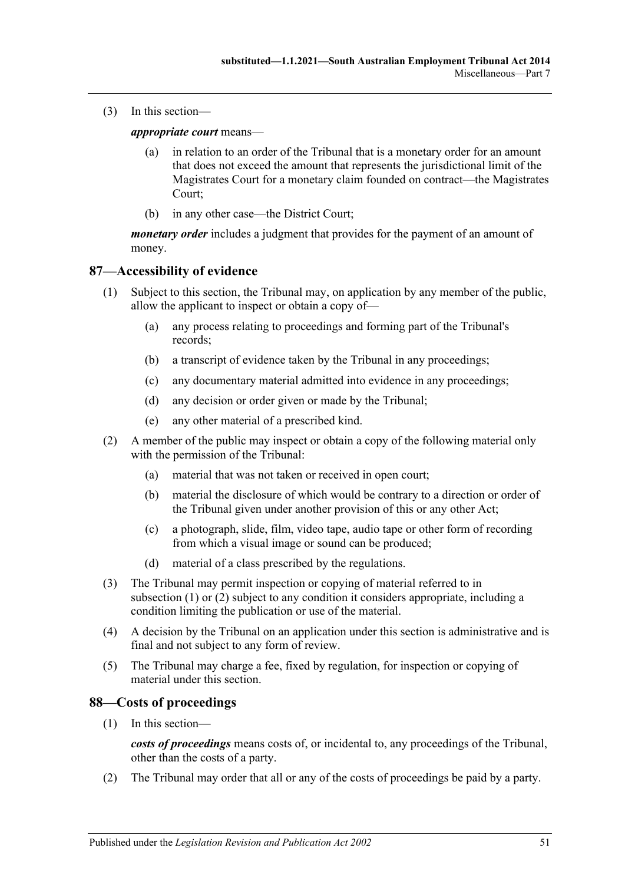(3) In this section—

*appropriate court* means—

- (a) in relation to an order of the Tribunal that is a monetary order for an amount that does not exceed the amount that represents the jurisdictional limit of the Magistrates Court for a monetary claim founded on contract—the Magistrates Court;
- (b) in any other case—the District Court;

*monetary order* includes a judgment that provides for the payment of an amount of money.

# <span id="page-50-2"></span><span id="page-50-0"></span>**87—Accessibility of evidence**

- (1) Subject to this section, the Tribunal may, on application by any member of the public, allow the applicant to inspect or obtain a copy of—
	- (a) any process relating to proceedings and forming part of the Tribunal's records;
	- (b) a transcript of evidence taken by the Tribunal in any proceedings;
	- (c) any documentary material admitted into evidence in any proceedings;
	- (d) any decision or order given or made by the Tribunal;
	- (e) any other material of a prescribed kind.
- <span id="page-50-3"></span>(2) A member of the public may inspect or obtain a copy of the following material only with the permission of the Tribunal:
	- (a) material that was not taken or received in open court;
	- (b) material the disclosure of which would be contrary to a direction or order of the Tribunal given under another provision of this or any other Act;
	- (c) a photograph, slide, film, video tape, audio tape or other form of recording from which a visual image or sound can be produced;
	- (d) material of a class prescribed by the regulations.
- (3) The Tribunal may permit inspection or copying of material referred to in [subsection](#page-50-2) (1) or [\(2\)](#page-50-3) subject to any condition it considers appropriate, including a condition limiting the publication or use of the material.
- (4) A decision by the Tribunal on an application under this section is administrative and is final and not subject to any form of review.
- (5) The Tribunal may charge a fee, fixed by regulation, for inspection or copying of material under this section.

### <span id="page-50-1"></span>**88—Costs of proceedings**

(1) In this section—

*costs of proceedings* means costs of, or incidental to, any proceedings of the Tribunal, other than the costs of a party.

(2) The Tribunal may order that all or any of the costs of proceedings be paid by a party.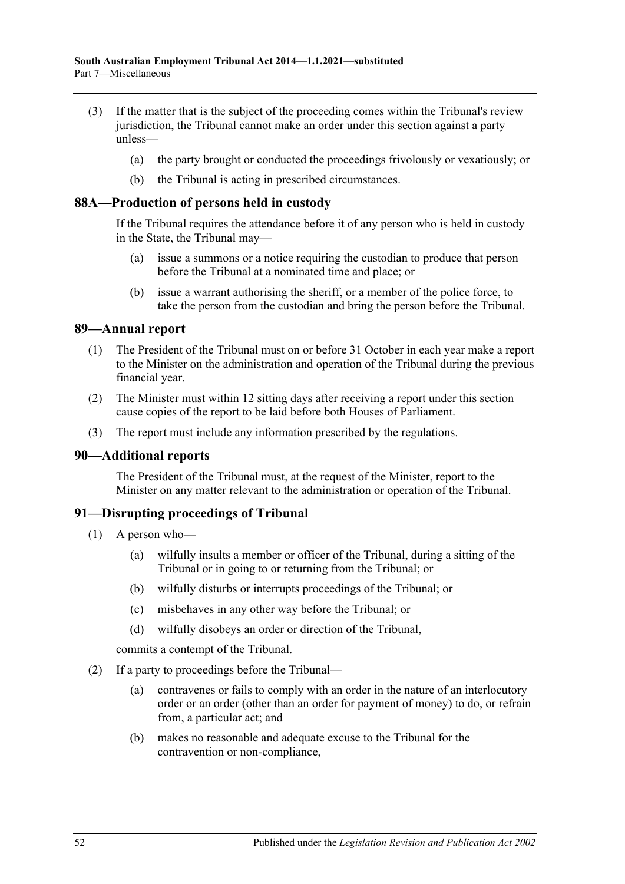- (3) If the matter that is the subject of the proceeding comes within the Tribunal's review jurisdiction, the Tribunal cannot make an order under this section against a party unless—
	- (a) the party brought or conducted the proceedings frivolously or vexatiously; or
	- (b) the Tribunal is acting in prescribed circumstances.

#### <span id="page-51-0"></span>**88A—Production of persons held in custody**

If the Tribunal requires the attendance before it of any person who is held in custody in the State, the Tribunal may—

- (a) issue a summons or a notice requiring the custodian to produce that person before the Tribunal at a nominated time and place; or
- (b) issue a warrant authorising the sheriff, or a member of the police force, to take the person from the custodian and bring the person before the Tribunal.

#### <span id="page-51-1"></span>**89—Annual report**

- (1) The President of the Tribunal must on or before 31 October in each year make a report to the Minister on the administration and operation of the Tribunal during the previous financial year.
- (2) The Minister must within 12 sitting days after receiving a report under this section cause copies of the report to be laid before both Houses of Parliament.
- (3) The report must include any information prescribed by the regulations.

#### <span id="page-51-2"></span>**90—Additional reports**

The President of the Tribunal must, at the request of the Minister, report to the Minister on any matter relevant to the administration or operation of the Tribunal.

#### <span id="page-51-3"></span>**91—Disrupting proceedings of Tribunal**

- (1) A person who—
	- (a) wilfully insults a member or officer of the Tribunal, during a sitting of the Tribunal or in going to or returning from the Tribunal; or
	- (b) wilfully disturbs or interrupts proceedings of the Tribunal; or
	- (c) misbehaves in any other way before the Tribunal; or
	- (d) wilfully disobeys an order or direction of the Tribunal,

commits a contempt of the Tribunal.

- <span id="page-51-4"></span>(2) If a party to proceedings before the Tribunal—
	- (a) contravenes or fails to comply with an order in the nature of an interlocutory order or an order (other than an order for payment of money) to do, or refrain from, a particular act; and
	- (b) makes no reasonable and adequate excuse to the Tribunal for the contravention or non-compliance,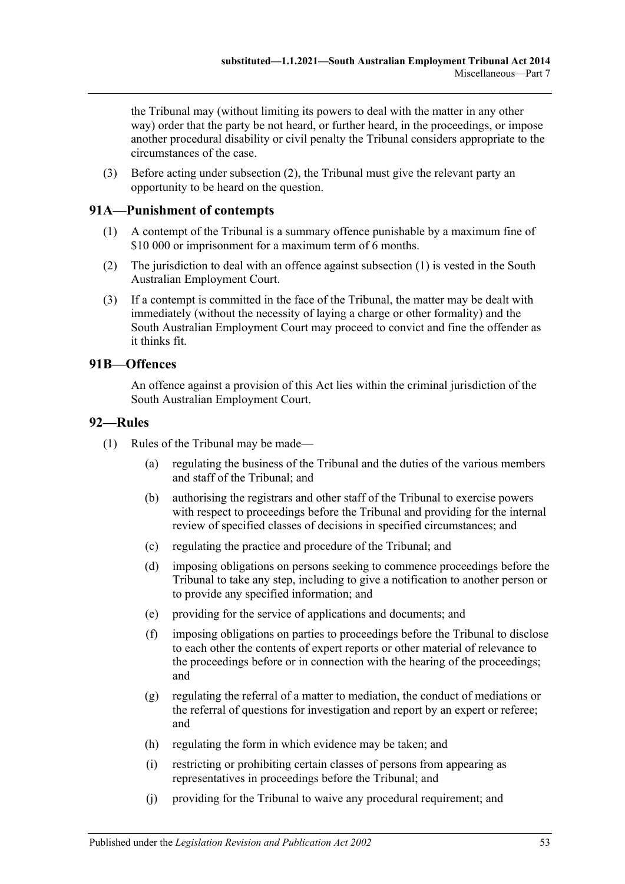the Tribunal may (without limiting its powers to deal with the matter in any other way) order that the party be not heard, or further heard, in the proceedings, or impose another procedural disability or civil penalty the Tribunal considers appropriate to the circumstances of the case.

(3) Before acting under [subsection](#page-51-4) (2), the Tribunal must give the relevant party an opportunity to be heard on the question.

# <span id="page-52-3"></span><span id="page-52-0"></span>**91A—Punishment of contempts**

- (1) A contempt of the Tribunal is a summary offence punishable by a maximum fine of \$10 000 or imprisonment for a maximum term of 6 months.
- (2) The jurisdiction to deal with an offence against [subsection](#page-52-3) (1) is vested in the South Australian Employment Court.
- (3) If a contempt is committed in the face of the Tribunal, the matter may be dealt with immediately (without the necessity of laying a charge or other formality) and the South Australian Employment Court may proceed to convict and fine the offender as it thinks fit.

# <span id="page-52-1"></span>**91B—Offences**

An offence against a provision of this Act lies within the criminal jurisdiction of the South Australian Employment Court.

### <span id="page-52-2"></span>**92—Rules**

- (1) Rules of the Tribunal may be made—
	- (a) regulating the business of the Tribunal and the duties of the various members and staff of the Tribunal; and
	- (b) authorising the registrars and other staff of the Tribunal to exercise powers with respect to proceedings before the Tribunal and providing for the internal review of specified classes of decisions in specified circumstances; and
	- (c) regulating the practice and procedure of the Tribunal; and
	- (d) imposing obligations on persons seeking to commence proceedings before the Tribunal to take any step, including to give a notification to another person or to provide any specified information; and
	- (e) providing for the service of applications and documents; and
	- (f) imposing obligations on parties to proceedings before the Tribunal to disclose to each other the contents of expert reports or other material of relevance to the proceedings before or in connection with the hearing of the proceedings; and
	- (g) regulating the referral of a matter to mediation, the conduct of mediations or the referral of questions for investigation and report by an expert or referee; and
	- (h) regulating the form in which evidence may be taken; and
	- (i) restricting or prohibiting certain classes of persons from appearing as representatives in proceedings before the Tribunal; and
	- (j) providing for the Tribunal to waive any procedural requirement; and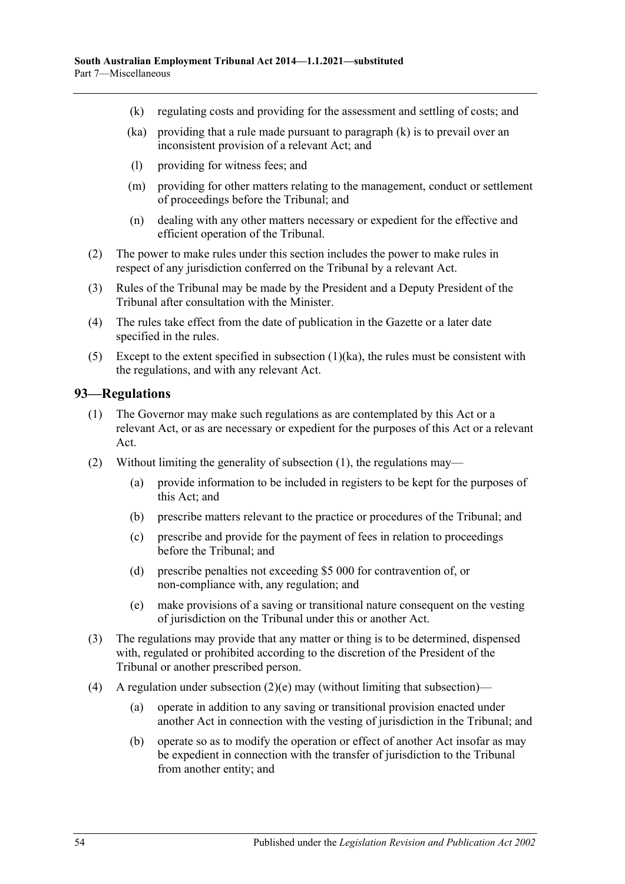- <span id="page-53-2"></span>(k) regulating costs and providing for the assessment and settling of costs; and
- <span id="page-53-1"></span>(ka) providing that a rule made pursuant to [paragraph](#page-53-2) (k) is to prevail over an inconsistent provision of a relevant Act; and
- (l) providing for witness fees; and
- (m) providing for other matters relating to the management, conduct or settlement of proceedings before the Tribunal; and
- (n) dealing with any other matters necessary or expedient for the effective and efficient operation of the Tribunal.
- (2) The power to make rules under this section includes the power to make rules in respect of any jurisdiction conferred on the Tribunal by a relevant Act.
- (3) Rules of the Tribunal may be made by the President and a Deputy President of the Tribunal after consultation with the Minister.
- (4) The rules take effect from the date of publication in the Gazette or a later date specified in the rules.
- (5) Except to the extent specified in [subsection](#page-53-1) (1)(ka), the rules must be consistent with the regulations, and with any relevant Act.

#### <span id="page-53-3"></span><span id="page-53-0"></span>**93—Regulations**

- (1) The Governor may make such regulations as are contemplated by this Act or a relevant Act, or as are necessary or expedient for the purposes of this Act or a relevant Act.
- (2) Without limiting the generality of [subsection](#page-53-3) (1), the regulations may—
	- (a) provide information to be included in registers to be kept for the purposes of this Act; and
	- (b) prescribe matters relevant to the practice or procedures of the Tribunal; and
	- (c) prescribe and provide for the payment of fees in relation to proceedings before the Tribunal; and
	- (d) prescribe penalties not exceeding \$5 000 for contravention of, or non-compliance with, any regulation; and
	- (e) make provisions of a saving or transitional nature consequent on the vesting of jurisdiction on the Tribunal under this or another Act.
- <span id="page-53-4"></span>(3) The regulations may provide that any matter or thing is to be determined, dispensed with, regulated or prohibited according to the discretion of the President of the Tribunal or another prescribed person.
- (4) A regulation under [subsection](#page-53-4)  $(2)(e)$  may (without limiting that subsection)—
	- (a) operate in addition to any saving or transitional provision enacted under another Act in connection with the vesting of jurisdiction in the Tribunal; and
	- (b) operate so as to modify the operation or effect of another Act insofar as may be expedient in connection with the transfer of jurisdiction to the Tribunal from another entity; and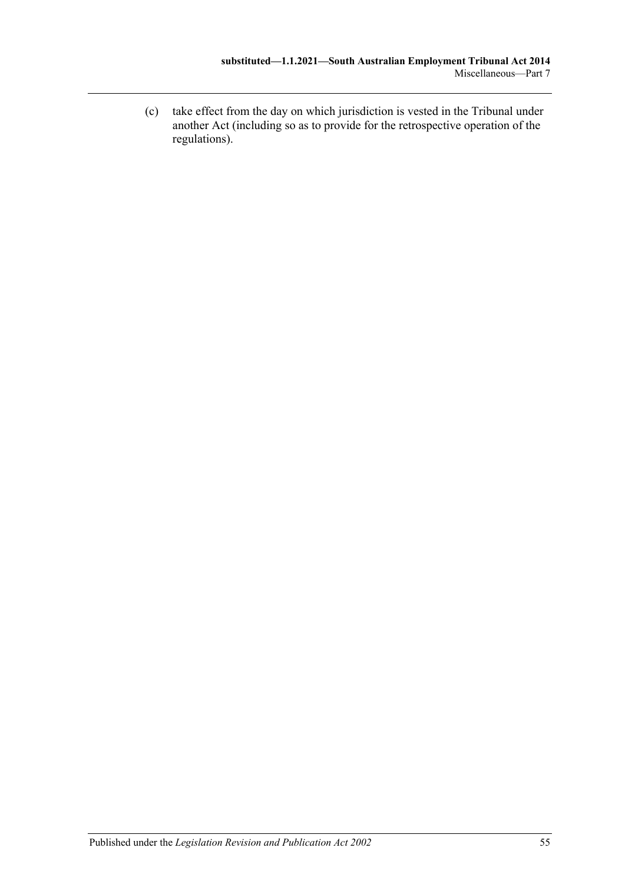(c) take effect from the day on which jurisdiction is vested in the Tribunal under another Act (including so as to provide for the retrospective operation of the regulations).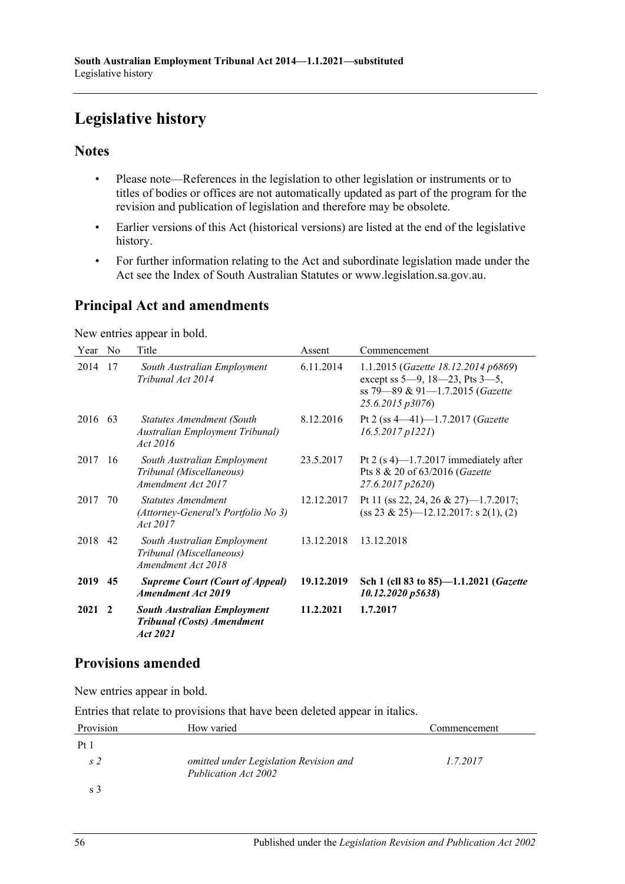# <span id="page-55-0"></span>**Legislative history**

# **Notes**

- Please note—References in the legislation to other legislation or instruments or to titles of bodies or offices are not automatically updated as part of the program for the revision and publication of legislation and therefore may be obsolete.
- Earlier versions of this Act (historical versions) are listed at the end of the legislative history.
- For further information relating to the Act and subordinate legislation made under the Act see the Index of South Australian Statutes or www.legislation.sa.gov.au.

# **Principal Act and amendments**

New entries appear in bold.

| Year    | No           | Title                                                                               | Assent     | Commencement                                                                                                                          |
|---------|--------------|-------------------------------------------------------------------------------------|------------|---------------------------------------------------------------------------------------------------------------------------------------|
| 2014    | 17           | South Australian Employment<br>Tribunal Act 2014                                    | 6.11.2014  | 1.1.2015 (Gazette 18.12.2014 p6869)<br>except ss $5-9$ , $18-23$ , Pts $3-5$ ,<br>ss 79–89 & 91–1.7.2015 (Gazette<br>25.6.2015 p3076) |
| 2016 63 |              | Statutes Amendment (South<br>Australian Employment Tribunal)<br>Act 2016            | 8.12.2016  | Pt 2 (ss $4-41$ )-1.7.2017 (Gazette<br>$16.5.2017$ $p1221$ )                                                                          |
| 2017    | -16          | South Australian Employment<br>Tribunal (Miscellaneous)<br>Amendment Act 2017       | 23.5.2017  | Pt 2 $(s 4)$ —1.7.2017 immediately after<br>Pts 8 & 20 of 63/2016 (Gazette<br>27.6.2017 p2620)                                        |
| 2017    | 70           | <b>Statutes Amendment</b><br>(Attorney-General's Portfolio No 3)<br>Act 2017        | 12.12.2017 | Pt 11 (ss 22, 24, 26 & 27)-1.7.2017;<br>$(s\ s\ 23 \& 25)$ —12.12.2017: s 2(1), (2)                                                   |
| 2018 42 |              | South Australian Employment<br>Tribunal (Miscellaneous)<br>Amendment Act 2018       | 13.12.2018 | 13.12.2018                                                                                                                            |
| 2019    | 45           | <b>Supreme Court (Court of Appeal)</b><br><b>Amendment Act 2019</b>                 | 19.12.2019 | Sch 1 (cll 83 to 85)-1.1.2021 (Gazette<br>10.12.2020 p5638)                                                                           |
| 2021    | $\mathbf{2}$ | <b>South Australian Employment</b><br><b>Tribunal (Costs) Amendment</b><br>Act 2021 | 11.2.2021  | 1.7.2017                                                                                                                              |

# **Provisions amended**

New entries appear in bold.

Entries that relate to provisions that have been deleted appear in italics.

| Provision | How varied                                                     | Commencement |
|-----------|----------------------------------------------------------------|--------------|
| Pt 1      |                                                                |              |
| s 2       | omitted under Legislation Revision and<br>Publication Act 2002 | 1.7.2017     |
|           |                                                                |              |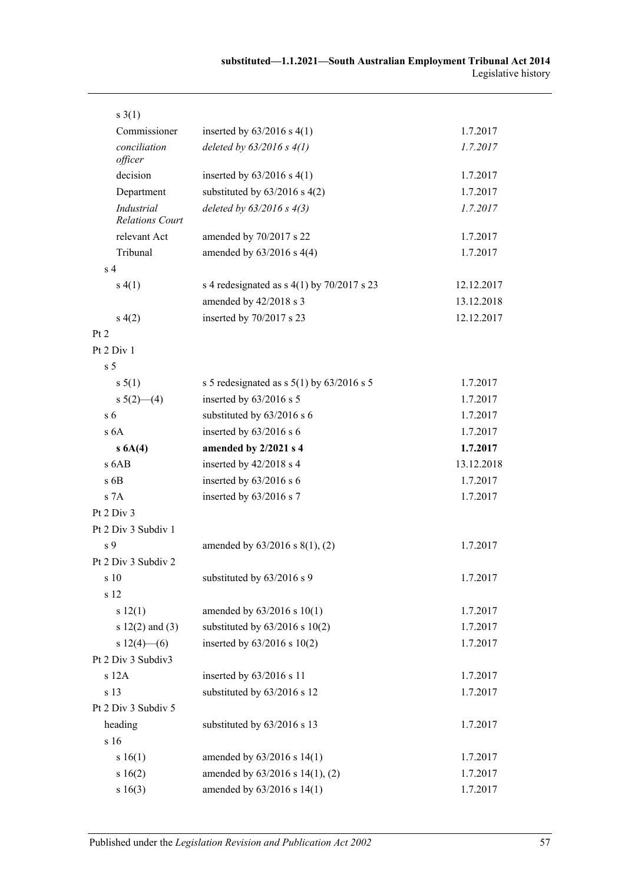| $s \; 3(1)$                                 |                                               |            |
|---------------------------------------------|-----------------------------------------------|------------|
| Commissioner                                | inserted by $63/2016$ s 4(1)                  | 1.7.2017   |
| conciliation<br>officer                     | deleted by $63/2016$ s $4(1)$                 | 1.7.2017   |
| decision                                    | inserted by $63/2016$ s $4(1)$                | 1.7.2017   |
| Department                                  | substituted by $63/2016$ s $4(2)$             | 1.7.2017   |
| <b>Industrial</b><br><b>Relations Court</b> | deleted by $63/2016$ s $4(3)$                 | 1.7.2017   |
| relevant Act                                | amended by 70/2017 s 22                       | 1.7.2017   |
| Tribunal                                    | amended by $63/2016$ s 4(4)                   | 1.7.2017   |
| s <sub>4</sub>                              |                                               |            |
| s(4(1))                                     | s 4 redesignated as $s$ 4(1) by 70/2017 s 23  | 12.12.2017 |
|                                             | amended by 42/2018 s 3                        | 13.12.2018 |
| s(4(2)                                      | inserted by 70/2017 s 23                      | 12.12.2017 |
| Pt 2                                        |                                               |            |
| Pt 2 Div 1                                  |                                               |            |
| s <sub>5</sub>                              |                                               |            |
| s 5(1)                                      | s 5 redesignated as s $5(1)$ by $63/2016$ s 5 | 1.7.2017   |
| s $5(2)$ (4)                                | inserted by 63/2016 s 5                       | 1.7.2017   |
| s <sub>6</sub>                              | substituted by 63/2016 s 6                    | 1.7.2017   |
| s <sub>6A</sub>                             | inserted by 63/2016 s 6                       | 1.7.2017   |
| s 6A(4)                                     | amended by 2/2021 s 4                         | 1.7.2017   |
| s 6AB                                       | inserted by 42/2018 s 4                       | 13.12.2018 |
| $s$ 6B                                      | inserted by 63/2016 s 6                       | 1.7.2017   |
| s 7A                                        | inserted by 63/2016 s 7                       | 1.7.2017   |
| Pt 2 Div 3                                  |                                               |            |
| Pt 2 Div 3 Subdiv 1                         |                                               |            |
| s <sub>9</sub>                              | amended by $63/2016$ s $8(1)$ , (2)           | 1.7.2017   |
| Pt 2 Div 3 Subdiv 2                         |                                               |            |
| s 10                                        | substituted by 63/2016 s 9                    | 1.7.2017   |
| s 12                                        |                                               |            |
| s 12(1)                                     | amended by 63/2016 s 10(1)                    | 1.7.2017   |
| s $12(2)$ and $(3)$                         | substituted by $63/2016$ s $10(2)$            | 1.7.2017   |
| $s 12(4)$ - (6)                             | inserted by $63/2016$ s $10(2)$               | 1.7.2017   |
| Pt 2 Div 3 Subdiv3                          |                                               |            |
| s 12A                                       | inserted by 63/2016 s 11                      | 1.7.2017   |
| s 13                                        | substituted by 63/2016 s 12                   | 1.7.2017   |
| Pt 2 Div 3 Subdiv 5                         |                                               |            |
| heading                                     | substituted by 63/2016 s 13                   | 1.7.2017   |
| s 16                                        |                                               |            |
| s 16(1)                                     | amended by 63/2016 s 14(1)                    | 1.7.2017   |
| s 16(2)                                     | amended by 63/2016 s 14(1), (2)               | 1.7.2017   |
| s 16(3)                                     | amended by 63/2016 s 14(1)                    | 1.7.2017   |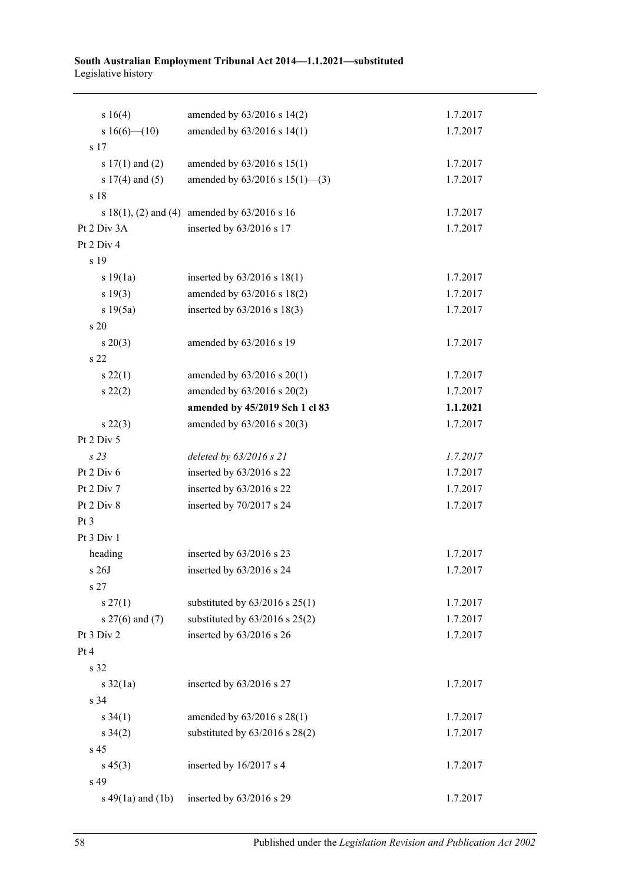#### **South Australian Employment Tribunal Act 2014—1.1.2021—substituted** Legislative history

| s 16(4)               | amended by 63/2016 s 14(2)                        | 1.7.2017 |
|-----------------------|---------------------------------------------------|----------|
| s $16(6)$ (10)        | amended by 63/2016 s 14(1)                        | 1.7.2017 |
| s 17                  |                                                   |          |
| s $17(1)$ and $(2)$   | amended by 63/2016 s 15(1)                        | 1.7.2017 |
| s $17(4)$ and $(5)$   | amended by $63/2016$ s $15(1)$ —(3)               | 1.7.2017 |
| s 18                  |                                                   |          |
|                       | s $18(1)$ , (2) and (4) amended by $63/2016$ s 16 | 1.7.2017 |
| Pt 2 Div 3A           | inserted by 63/2016 s 17                          | 1.7.2017 |
| Pt 2 Div 4            |                                                   |          |
| s 19                  |                                                   |          |
| s 19(1a)              | inserted by 63/2016 s 18(1)                       | 1.7.2017 |
| s 19(3)               | amended by 63/2016 s 18(2)                        | 1.7.2017 |
| s 19(5a)              | inserted by 63/2016 s 18(3)                       | 1.7.2017 |
| s 20                  |                                                   |          |
| $s \ 20(3)$           | amended by 63/2016 s 19                           | 1.7.2017 |
| s 22                  |                                                   |          |
| s 22(1)               | amended by 63/2016 s 20(1)                        | 1.7.2017 |
| $s\,22(2)$            | amended by 63/2016 s 20(2)                        | 1.7.2017 |
|                       | amended by 45/2019 Sch 1 cl 83                    | 1.1.2021 |
| $s\,22(3)$            | amended by 63/2016 s 20(3)                        | 1.7.2017 |
| Pt 2 Div 5            |                                                   |          |
| s 23                  | deleted by 63/2016 s 21                           | 1.7.2017 |
| Pt 2 Div 6            | inserted by 63/2016 s 22                          | 1.7.2017 |
| Pt 2 Div 7            | inserted by 63/2016 s 22                          | 1.7.2017 |
| Pt 2 Div 8            | inserted by 70/2017 s 24                          | 1.7.2017 |
| Pt 3                  |                                                   |          |
| Pt 3 Div 1            |                                                   |          |
| heading               | inserted by 63/2016 s 23                          | 1.7.2017 |
| $\rm s$ 26J           | inserted by 63/2016 s 24                          | 1.7.2017 |
| s <sub>27</sub>       |                                                   |          |
| s 27(1)               | substituted by $63/2016$ s $25(1)$                | 1.7.2017 |
| s $27(6)$ and $(7)$   | substituted by $63/2016$ s $25(2)$                | 1.7.2017 |
| Pt 3 Div 2            | inserted by 63/2016 s 26                          | 1.7.2017 |
| Pt 4                  |                                                   |          |
| s 32                  |                                                   |          |
| s $32(1a)$            | inserted by 63/2016 s 27                          | 1.7.2017 |
| s 34                  |                                                   |          |
| $s \, 34(1)$          | amended by 63/2016 s 28(1)                        | 1.7.2017 |
| $s \, 34(2)$          | substituted by $63/2016$ s $28(2)$                | 1.7.2017 |
| s 45                  |                                                   |          |
| $s\,45(3)$            | inserted by 16/2017 s 4                           | 1.7.2017 |
| s 49                  |                                                   |          |
| s $49(1a)$ and $(1b)$ | inserted by 63/2016 s 29                          | 1.7.2017 |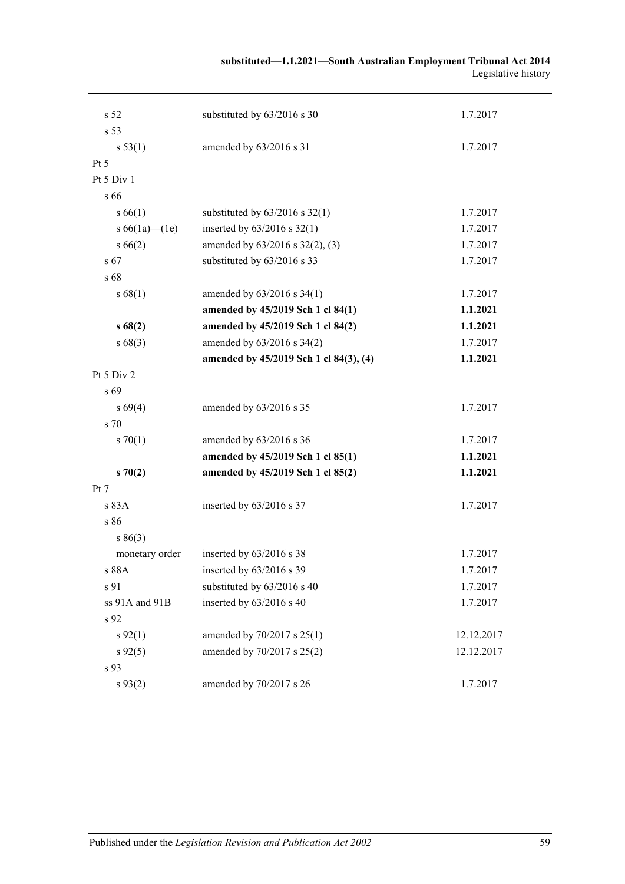| substituted-1.1.2021-South Australian Employment Tribunal Act 2014 |                     |
|--------------------------------------------------------------------|---------------------|
|                                                                    | Legislative history |

| s 52            | substituted by 63/2016 s 30            | 1.7.2017   |
|-----------------|----------------------------------------|------------|
| s 53            |                                        |            |
| s 53(1)         | amended by 63/2016 s 31                | 1.7.2017   |
| Pt 5            |                                        |            |
| Pt 5 Div 1      |                                        |            |
| s 66            |                                        |            |
| s 66(1)         | substituted by $63/2016$ s $32(1)$     | 1.7.2017   |
| s $66(1a)$ (1e) | inserted by $63/2016$ s $32(1)$        | 1.7.2017   |
| $s\,66(2)$      | amended by $63/2016$ s $32(2)$ , (3)   | 1.7.2017   |
| s 67            | substituted by 63/2016 s 33            | 1.7.2017   |
| s 68            |                                        |            |
| s 68(1)         | amended by 63/2016 s 34(1)             | 1.7.2017   |
|                 | amended by 45/2019 Sch 1 cl 84(1)      | 1.1.2021   |
| s68(2)          | amended by 45/2019 Sch 1 cl 84(2)      | 1.1.2021   |
| s68(3)          | amended by 63/2016 s 34(2)             | 1.7.2017   |
|                 | amended by 45/2019 Sch 1 cl 84(3), (4) | 1.1.2021   |
| Pt $5$ Div $2$  |                                        |            |
| s 69            |                                        |            |
| $s\,69(4)$      | amended by 63/2016 s 35                | 1.7.2017   |
| s 70            |                                        |            |
| $s \, 70(1)$    | amended by $63/2016$ s 36              | 1.7.2017   |
|                 | amended by 45/2019 Sch 1 cl 85(1)      | 1.1.2021   |
| $s \, 70(2)$    | amended by 45/2019 Sch 1 cl 85(2)      | 1.1.2021   |
| Pt 7            |                                        |            |
| s83A            | inserted by $63/2016$ s 37             | 1.7.2017   |
| s 86            |                                        |            |
| s 86(3)         |                                        |            |
| monetary order  | inserted by $63/2016$ s 38             | 1.7.2017   |
| s 88A           | inserted by 63/2016 s 39               | 1.7.2017   |
| s 91            | substituted by 63/2016 s 40            | 1.7.2017   |
| ss 91A and 91B  | inserted by 63/2016 s 40               | 1.7.2017   |
| s 92            |                                        |            |
| $s\,92(1)$      | amended by 70/2017 s 25(1)             | 12.12.2017 |
| $s\,92(5)$      | amended by 70/2017 s 25(2)             | 12.12.2017 |
| s 93            |                                        |            |
| $s\,93(2)$      | amended by 70/2017 s 26                | 1.7.2017   |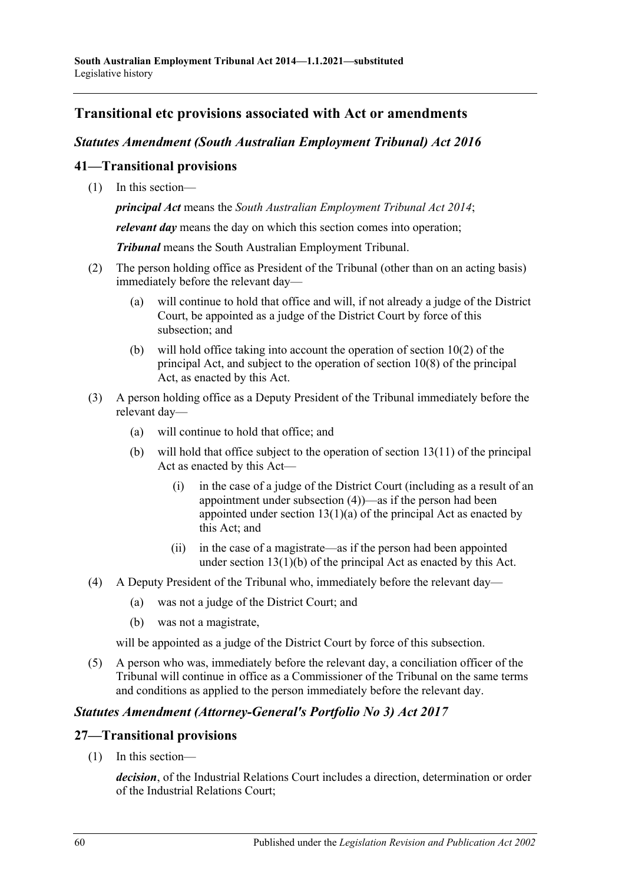# **Transitional etc provisions associated with Act or amendments**

## *Statutes Amendment (South Australian Employment Tribunal) Act 2016*

## **41—Transitional provisions**

(1) In this section—

*principal Act* means the *[South Australian Employment Tribunal Act](http://www.legislation.sa.gov.au/index.aspx?action=legref&type=act&legtitle=South%20Australian%20Employment%20Tribunal%20Act%202014) 2014*;

*relevant day* means the day on which this section comes into operation;

*Tribunal* means the South Australian Employment Tribunal.

- (2) The person holding office as President of the Tribunal (other than on an acting basis) immediately before the relevant day—
	- (a) will continue to hold that office and will, if not already a judge of the District Court, be appointed as a judge of the District Court by force of this subsection; and
	- (b) will hold office taking into account the operation of section 10(2) of the principal Act, and subject to the operation of section 10(8) of the principal Act, as enacted by this Act.
- (3) A person holding office as a Deputy President of the Tribunal immediately before the relevant day—
	- (a) will continue to hold that office; and
	- (b) will hold that office subject to the operation of section 13(11) of the principal Act as enacted by this Act—
		- (i) in the case of a judge of the District Court (including as a result of an appointment under [subsection](#page-59-0) (4))—as if the person had been appointed under section  $13(1)(a)$  of the principal Act as enacted by this Act; and
		- (ii) in the case of a magistrate—as if the person had been appointed under section 13(1)(b) of the principal Act as enacted by this Act.
- <span id="page-59-0"></span>(4) A Deputy President of the Tribunal who, immediately before the relevant day—
	- (a) was not a judge of the District Court; and
	- (b) was not a magistrate,

will be appointed as a judge of the District Court by force of this subsection.

(5) A person who was, immediately before the relevant day, a conciliation officer of the Tribunal will continue in office as a Commissioner of the Tribunal on the same terms and conditions as applied to the person immediately before the relevant day.

# *Statutes Amendment (Attorney-General's Portfolio No 3) Act 2017*

### **27—Transitional provisions**

(1) In this section—

*decision*, of the Industrial Relations Court includes a direction, determination or order of the Industrial Relations Court;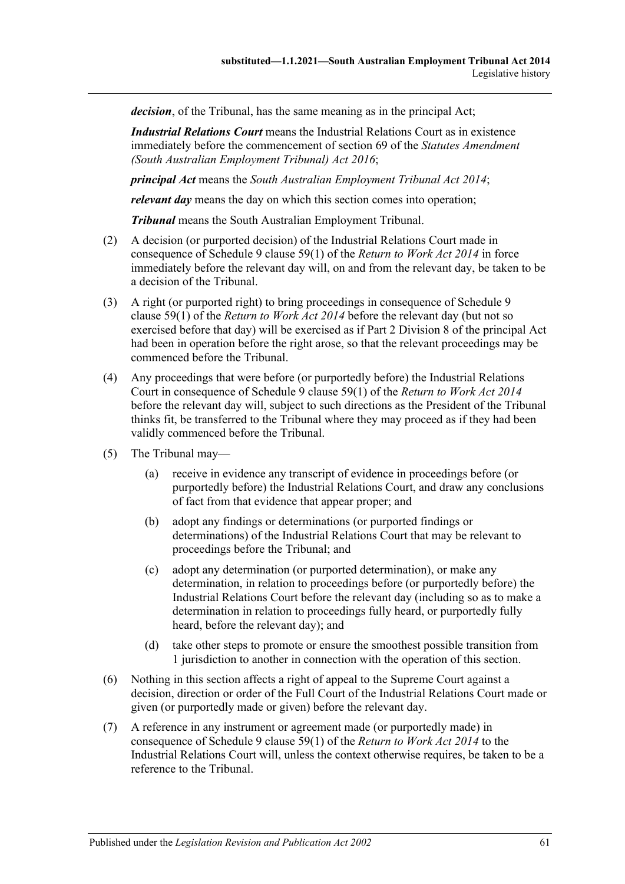*decision*, of the Tribunal, has the same meaning as in the principal Act;

*Industrial Relations Court* means the Industrial Relations Court as in existence immediately before the commencement of section 69 of the *[Statutes Amendment](http://www.legislation.sa.gov.au/index.aspx?action=legref&type=act&legtitle=Statutes%20Amendment%20(South%20Australian%20Employment%20Tribunal)%20Act%202016)  [\(South Australian Employment Tribunal\) Act](http://www.legislation.sa.gov.au/index.aspx?action=legref&type=act&legtitle=Statutes%20Amendment%20(South%20Australian%20Employment%20Tribunal)%20Act%202016) 2016*;

*principal Act* means the *[South Australian Employment Tribunal Act](http://www.legislation.sa.gov.au/index.aspx?action=legref&type=act&legtitle=South%20Australian%20Employment%20Tribunal%20Act%202014) 2014*;

*relevant day* means the day on which this section comes into operation;

*Tribunal* means the South Australian Employment Tribunal.

- (2) A decision (or purported decision) of the Industrial Relations Court made in consequence of Schedule 9 clause 59(1) of the *[Return to Work Act](http://www.legislation.sa.gov.au/index.aspx?action=legref&type=act&legtitle=Return%20to%20Work%20Act%202014) 2014* in force immediately before the relevant day will, on and from the relevant day, be taken to be a decision of the Tribunal.
- (3) A right (or purported right) to bring proceedings in consequence of Schedule 9 clause 59(1) of the *[Return to Work Act](http://www.legislation.sa.gov.au/index.aspx?action=legref&type=act&legtitle=Return%20to%20Work%20Act%202014) 2014* before the relevant day (but not so exercised before that day) will be exercised as if Part 2 Division 8 of the principal Act had been in operation before the right arose, so that the relevant proceedings may be commenced before the Tribunal.
- (4) Any proceedings that were before (or purportedly before) the Industrial Relations Court in consequence of Schedule 9 clause 59(1) of the *[Return to Work Act](http://www.legislation.sa.gov.au/index.aspx?action=legref&type=act&legtitle=Return%20to%20Work%20Act%202014) 2014* before the relevant day will, subject to such directions as the President of the Tribunal thinks fit, be transferred to the Tribunal where they may proceed as if they had been validly commenced before the Tribunal.
- (5) The Tribunal may—
	- (a) receive in evidence any transcript of evidence in proceedings before (or purportedly before) the Industrial Relations Court, and draw any conclusions of fact from that evidence that appear proper; and
	- (b) adopt any findings or determinations (or purported findings or determinations) of the Industrial Relations Court that may be relevant to proceedings before the Tribunal; and
	- (c) adopt any determination (or purported determination), or make any determination, in relation to proceedings before (or purportedly before) the Industrial Relations Court before the relevant day (including so as to make a determination in relation to proceedings fully heard, or purportedly fully heard, before the relevant day); and
	- (d) take other steps to promote or ensure the smoothest possible transition from 1 jurisdiction to another in connection with the operation of this section.
- (6) Nothing in this section affects a right of appeal to the Supreme Court against a decision, direction or order of the Full Court of the Industrial Relations Court made or given (or purportedly made or given) before the relevant day.
- (7) A reference in any instrument or agreement made (or purportedly made) in consequence of Schedule 9 clause 59(1) of the *[Return to Work Act](http://www.legislation.sa.gov.au/index.aspx?action=legref&type=act&legtitle=Return%20to%20Work%20Act%202014) 2014* to the Industrial Relations Court will, unless the context otherwise requires, be taken to be a reference to the Tribunal.